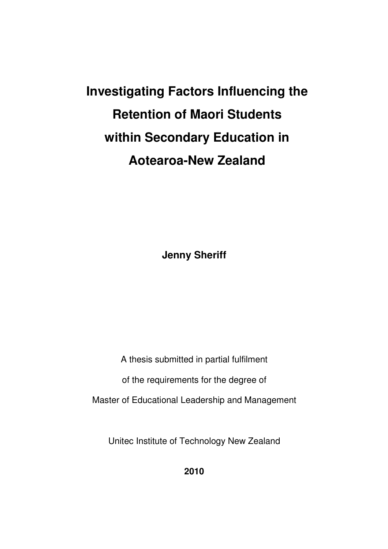# **Investigating Factors Influencing the Retention of Maori Students within Secondary Education in Aotearoa-New Zealand**

**Jenny Sheriff** 

A thesis submitted in partial fulfilment

of the requirements for the degree of

Master of Educational Leadership and Management

Unitec Institute of Technology New Zealand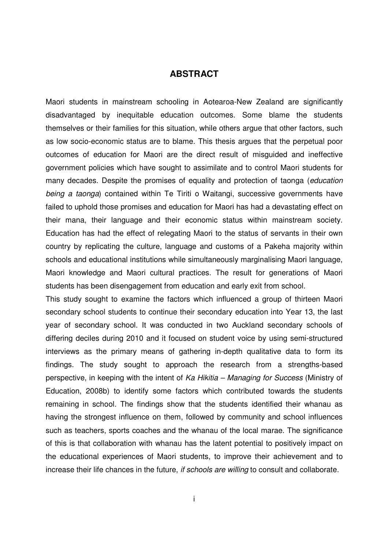### **ABSTRACT**

Maori students in mainstream schooling in Aotearoa-New Zealand are significantly disadvantaged by inequitable education outcomes. Some blame the students themselves or their families for this situation, while others argue that other factors, such as low socio-economic status are to blame. This thesis argues that the perpetual poor outcomes of education for Maori are the direct result of misguided and ineffective government policies which have sought to assimilate and to control Maori students for many decades. Despite the promises of equality and protection of taonga (education being a taonga) contained within Te Tiriti o Waitangi, successive governments have failed to uphold those promises and education for Maori has had a devastating effect on their mana, their language and their economic status within mainstream society. Education has had the effect of relegating Maori to the status of servants in their own country by replicating the culture, language and customs of a Pakeha majority within schools and educational institutions while simultaneously marginalising Maori language, Maori knowledge and Maori cultural practices. The result for generations of Maori students has been disengagement from education and early exit from school.

This study sought to examine the factors which influenced a group of thirteen Maori secondary school students to continue their secondary education into Year 13, the last year of secondary school. It was conducted in two Auckland secondary schools of differing deciles during 2010 and it focused on student voice by using semi-structured interviews as the primary means of gathering in-depth qualitative data to form its findings. The study sought to approach the research from a strengths-based perspective, in keeping with the intent of Ka Hikitia – Managing for Success (Ministry of Education, 2008b) to identify some factors which contributed towards the students remaining in school. The findings show that the students identified their whanau as having the strongest influence on them, followed by community and school influences such as teachers, sports coaches and the whanau of the local marae. The significance of this is that collaboration with whanau has the latent potential to positively impact on the educational experiences of Maori students, to improve their achievement and to increase their life chances in the future, *if schools are willing* to consult and collaborate.

i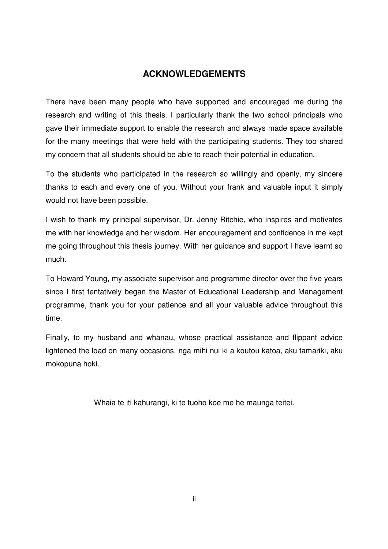## **ACKNOWLEDGEMENTS**

There have been many people who have supported and encouraged me during the research and writing of this thesis. I particularly thank the two school principals who gave their immediate support to enable the research and always made space available for the many meetings that were held with the participating students. They too shared my concern that all students should be able to reach their potential in education.

To the students who participated in the research so willingly and openly, my sincere thanks to each and every one of you. Without your frank and valuable input it simply would not have been possible.

I wish to thank my principal supervisor, Dr. Jenny Ritchie, who inspires and motivates me with her knowledge and her wisdom. Her encouragement and confidence in me kept me going throughout this thesis journey. With her guidance and support I have learnt so much.

To Howard Young, my associate supervisor and programme director over the five years since I first tentatively began the Master of Educational Leadership and Management programme, thank you for your patience and all your valuable advice throughout this time.

Finally, to my husband and whanau, whose practical assistance and flippant advice lightened the load on many occasions, nga mihi nui ki a koutou katoa, aku tamariki, aku mokopuna hoki.

Whaia te iti kahurangi, ki te tuoho koe me he maunga teitei.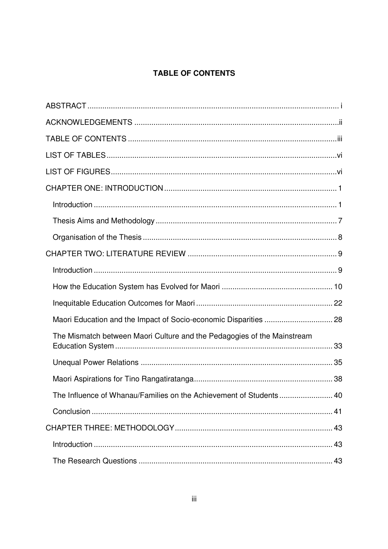# TABLE OF CONTENTS

| Maori Education and the Impact of Socio-economic Disparities  28        |  |
|-------------------------------------------------------------------------|--|
| The Mismatch between Maori Culture and the Pedagogies of the Mainstream |  |
|                                                                         |  |
|                                                                         |  |
| The Influence of Whanau/Families on the Achievement of Students 40      |  |
|                                                                         |  |
|                                                                         |  |
|                                                                         |  |
|                                                                         |  |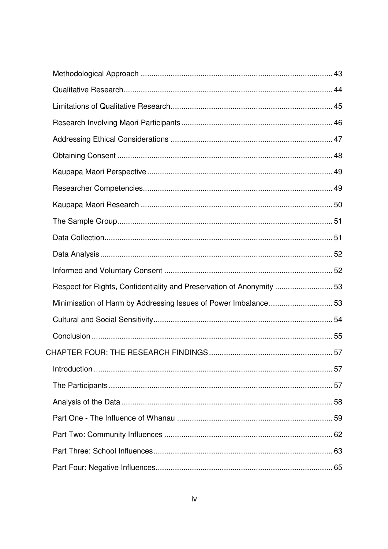| Respect for Rights, Confidentiality and Preservation of Anonymity  53 |  |
|-----------------------------------------------------------------------|--|
| Minimisation of Harm by Addressing Issues of Power Imbalance53        |  |
|                                                                       |  |
|                                                                       |  |
|                                                                       |  |
|                                                                       |  |
|                                                                       |  |
|                                                                       |  |
|                                                                       |  |
|                                                                       |  |
|                                                                       |  |
|                                                                       |  |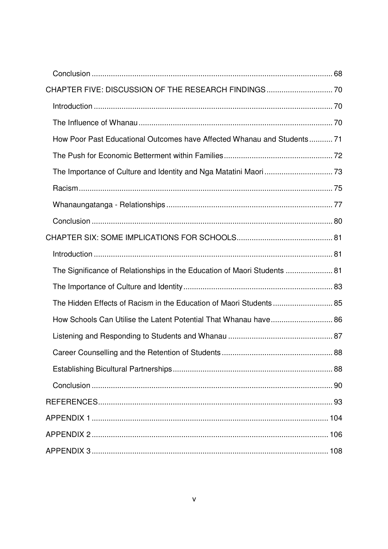| How Poor Past Educational Outcomes have Affected Whanau and Students 71  |  |
|--------------------------------------------------------------------------|--|
|                                                                          |  |
|                                                                          |  |
|                                                                          |  |
|                                                                          |  |
|                                                                          |  |
|                                                                          |  |
|                                                                          |  |
| The Significance of Relationships in the Education of Maori Students  81 |  |
|                                                                          |  |
| The Hidden Effects of Racism in the Education of Maori Students 85       |  |
| How Schools Can Utilise the Latent Potential That Whanau have 86         |  |
|                                                                          |  |
|                                                                          |  |
|                                                                          |  |
|                                                                          |  |
|                                                                          |  |
|                                                                          |  |
|                                                                          |  |
|                                                                          |  |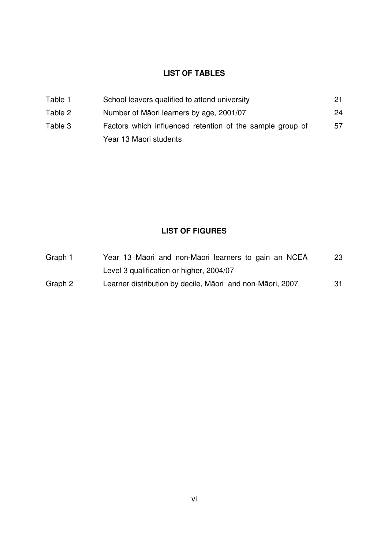## **LIST OF TABLES**

| Table 1 | School leavers qualified to attend university             | 21 |
|---------|-----------------------------------------------------------|----|
| Table 2 | Number of Māori learners by age, 2001/07                  | 24 |
| Table 3 | Factors which influenced retention of the sample group of | 57 |
|         | Year 13 Maori students                                    |    |

# **LIST OF FIGURES**

| Graph 1 | Year 13 Māori and non-Māori learners to gain an NCEA      | 23 |  |  |  |  |
|---------|-----------------------------------------------------------|----|--|--|--|--|
|         | Level 3 qualification or higher, 2004/07                  |    |  |  |  |  |
| Graph 2 | Learner distribution by decile, Māori and non-Māori, 2007 | 31 |  |  |  |  |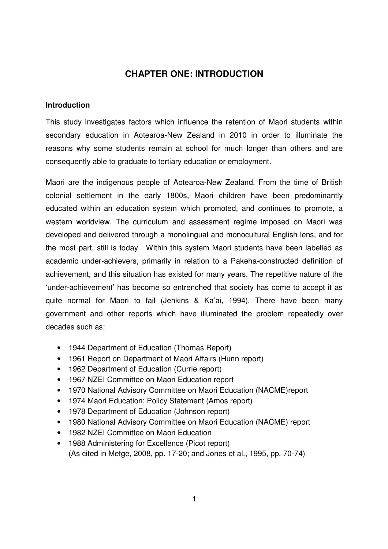## **CHAPTER ONE: INTRODUCTION**

#### **Introduction**

This study investigates factors which influence the retention of Maori students within secondary education in Aotearoa-New Zealand in 2010 in order to illuminate the reasons why some students remain at school for much longer than others and are consequently able to graduate to tertiary education or employment.

Maori are the indigenous people of Aotearoa-New Zealand. From the time of British colonial settlement in the early 1800s, Maori children have been predominantly educated within an education system which promoted, and continues to promote, a western worldview. The curriculum and assessment regime imposed on Maori was developed and delivered through a monolingual and monocultural English lens, and for the most part, still is today. Within this system Maori students have been labelled as academic under-achievers, primarily in relation to a Pakeha-constructed definition of achievement, and this situation has existed for many years. The repetitive nature of the 'under-achievement' has become so entrenched that society has come to accept it as quite normal for Maori to fail (Jenkins & Ka'ai, 1994). There have been many government and other reports which have illuminated the problem repeatedly over decades such as:

- 1944 Department of Education (Thomas Report)
- 1961 Report on Department of Maori Affairs (Hunn report)
- 1962 Department of Education (Currie report)
- 1967 NZEI Committee on Maori Education report
- 1970 National Advisory Committee on Maori Education (NACME)report
- 1974 Maori Education: Policy Statement (Amos report)
- 1978 Department of Education (Johnson report)
- 1980 National Advisory Committee on Maori Education (NACME) report
- 1982 NZEI Committee on Maori Education
- 1988 Administering for Excellence (Picot report) (As cited in Metge, 2008, pp. 17-20; and Jones et al., 1995, pp. 70-74)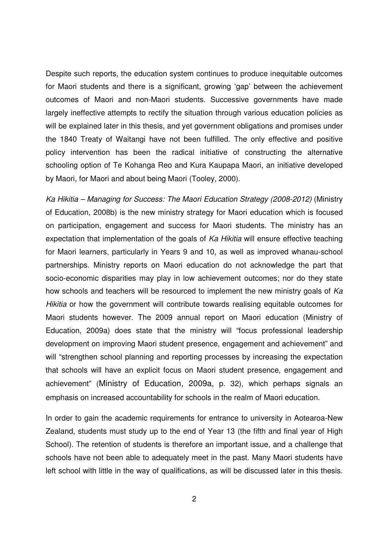Despite such reports, the education system continues to produce inequitable outcomes for Maori students and there is a significant, growing 'gap' between the achievement outcomes of Maori and non-Maori students. Successive governments have made largely ineffective attempts to rectify the situation through various education policies as will be explained later in this thesis, and yet government obligations and promises under the 1840 Treaty of Waitangi have not been fulfilled. The only effective and positive policy intervention has been the radical initiative of constructing the alternative schooling option of Te Kohanga Reo and Kura Kaupapa Maori, an initiative developed by Maori, for Maori and about being Maori (Tooley, 2000).

Ka Hikitia – Managing for Success: The Maori Education Strategy (2008-2012) (Ministry of Education, 2008b) is the new ministry strategy for Maori education which is focused on participation, engagement and success for Maori students. The ministry has an expectation that implementation of the goals of Ka Hikitia will ensure effective teaching for Maori learners, particularly in Years 9 and 10, as well as improved whanau-school partnerships. Ministry reports on Maori education do not acknowledge the part that socio-economic disparities may play in low achievement outcomes; nor do they state how schools and teachers will be resourced to implement the new ministry goals of Ka Hikitia or how the government will contribute towards realising equitable outcomes for Maori students however. The 2009 annual report on Maori education (Ministry of Education, 2009a) does state that the ministry will "focus professional leadership development on improving Maori student presence, engagement and achievement" and will "strengthen school planning and reporting processes by increasing the expectation that schools will have an explicit focus on Maori student presence, engagement and achievement" (Ministry of Education, 2009a, p. 32), which perhaps signals an emphasis on increased accountability for schools in the realm of Maori education.

In order to gain the academic requirements for entrance to university in Aotearoa-New Zealand, students must study up to the end of Year 13 (the fifth and final year of High School). The retention of students is therefore an important issue, and a challenge that schools have not been able to adequately meet in the past. Many Maori students have left school with little in the way of qualifications, as will be discussed later in this thesis.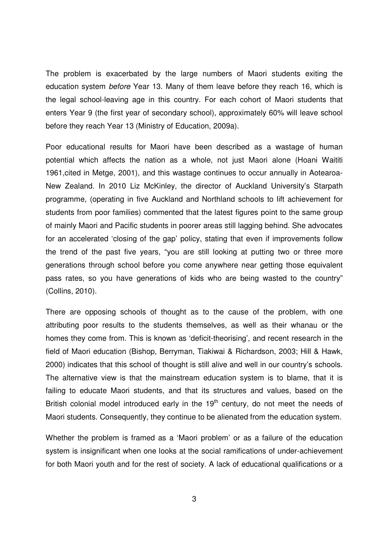The problem is exacerbated by the large numbers of Maori students exiting the education system before Year 13. Many of them leave before they reach 16, which is the legal school-leaving age in this country. For each cohort of Maori students that enters Year 9 (the first year of secondary school), approximately 60% will leave school before they reach Year 13 (Ministry of Education, 2009a).

Poor educational results for Maori have been described as a wastage of human potential which affects the nation as a whole, not just Maori alone (Hoani Waititi 1961,cited in Metge, 2001), and this wastage continues to occur annually in Aotearoa-New Zealand. In 2010 Liz McKinley, the director of Auckland University's Starpath programme, (operating in five Auckland and Northland schools to lift achievement for students from poor families) commented that the latest figures point to the same group of mainly Maori and Pacific students in poorer areas still lagging behind. She advocates for an accelerated 'closing of the gap' policy, stating that even if improvements follow the trend of the past five years, "you are still looking at putting two or three more generations through school before you come anywhere near getting those equivalent pass rates, so you have generations of kids who are being wasted to the country" (Collins, 2010).

There are opposing schools of thought as to the cause of the problem, with one attributing poor results to the students themselves, as well as their whanau or the homes they come from. This is known as 'deficit-theorising', and recent research in the field of Maori education (Bishop, Berryman, Tiakiwai & Richardson, 2003; Hill & Hawk, 2000) indicates that this school of thought is still alive and well in our country's schools. The alternative view is that the mainstream education system is to blame, that it is failing to educate Maori students, and that its structures and values, based on the British colonial model introduced early in the  $19<sup>th</sup>$  century, do not meet the needs of Maori students. Consequently, they continue to be alienated from the education system.

Whether the problem is framed as a 'Maori problem' or as a failure of the education system is insignificant when one looks at the social ramifications of under-achievement for both Maori youth and for the rest of society. A lack of educational qualifications or a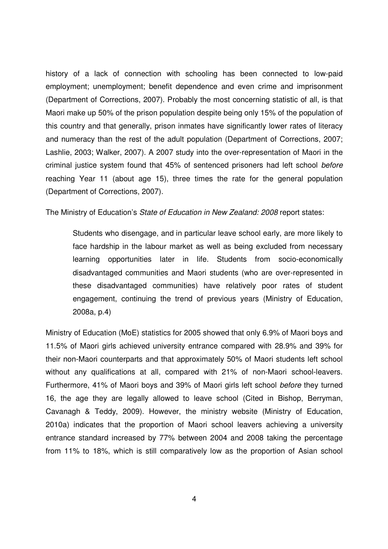history of a lack of connection with schooling has been connected to low-paid employment; unemployment; benefit dependence and even crime and imprisonment (Department of Corrections, 2007). Probably the most concerning statistic of all, is that Maori make up 50% of the prison population despite being only 15% of the population of this country and that generally, prison inmates have significantly lower rates of literacy and numeracy than the rest of the adult population (Department of Corrections, 2007; Lashlie, 2003; Walker, 2007). A 2007 study into the over-representation of Maori in the criminal justice system found that 45% of sentenced prisoners had left school before reaching Year 11 (about age 15), three times the rate for the general population (Department of Corrections, 2007).

The Ministry of Education's State of Education in New Zealand: 2008 report states:

Students who disengage, and in particular leave school early, are more likely to face hardship in the labour market as well as being excluded from necessary learning opportunities later in life. Students from socio-economically disadvantaged communities and Maori students (who are over-represented in these disadvantaged communities) have relatively poor rates of student engagement, continuing the trend of previous years (Ministry of Education, 2008a, p.4)

Ministry of Education (MoE) statistics for 2005 showed that only 6.9% of Maori boys and 11.5% of Maori girls achieved university entrance compared with 28.9% and 39% for their non-Maori counterparts and that approximately 50% of Maori students left school without any qualifications at all, compared with 21% of non-Maori school-leavers. Furthermore, 41% of Maori boys and 39% of Maori girls left school before they turned 16, the age they are legally allowed to leave school (Cited in Bishop, Berryman, Cavanagh & Teddy, 2009). However, the ministry website (Ministry of Education, 2010a) indicates that the proportion of Maori school leavers achieving a university entrance standard increased by 77% between 2004 and 2008 taking the percentage from 11% to 18%, which is still comparatively low as the proportion of Asian school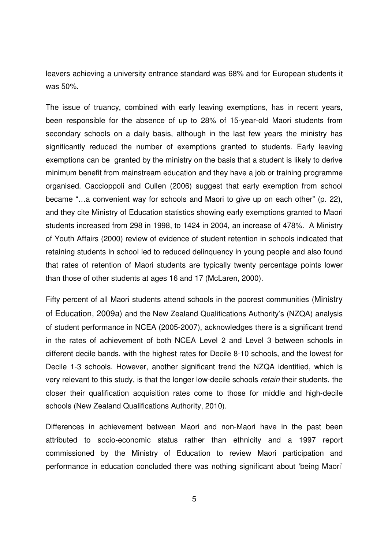leavers achieving a university entrance standard was 68% and for European students it was 50%.

The issue of truancy, combined with early leaving exemptions, has in recent years, been responsible for the absence of up to 28% of 15-year-old Maori students from secondary schools on a daily basis, although in the last few years the ministry has significantly reduced the number of exemptions granted to students. Early leaving exemptions can be granted by the ministry on the basis that a student is likely to derive minimum benefit from mainstream education and they have a job or training programme organised. Caccioppoli and Cullen (2006) suggest that early exemption from school became "…a convenient way for schools and Maori to give up on each other" (p. 22), and they cite Ministry of Education statistics showing early exemptions granted to Maori students increased from 298 in 1998, to 1424 in 2004, an increase of 478%. A Ministry of Youth Affairs (2000) review of evidence of student retention in schools indicated that retaining students in school led to reduced delinquency in young people and also found that rates of retention of Maori students are typically twenty percentage points lower than those of other students at ages 16 and 17 (McLaren, 2000).

Fifty percent of all Maori students attend schools in the poorest communities (Ministry of Education, 2009a) and the New Zealand Qualifications Authority's (NZQA) analysis of student performance in NCEA (2005-2007), acknowledges there is a significant trend in the rates of achievement of both NCEA Level 2 and Level 3 between schools in different decile bands, with the highest rates for Decile 8-10 schools, and the lowest for Decile 1-3 schools. However, another significant trend the NZQA identified, which is very relevant to this study, is that the longer low-decile schools retain their students, the closer their qualification acquisition rates come to those for middle and high-decile schools (New Zealand Qualifications Authority, 2010).

Differences in achievement between Maori and non-Maori have in the past been attributed to socio-economic status rather than ethnicity and a 1997 report commissioned by the Ministry of Education to review Maori participation and performance in education concluded there was nothing significant about 'being Maori'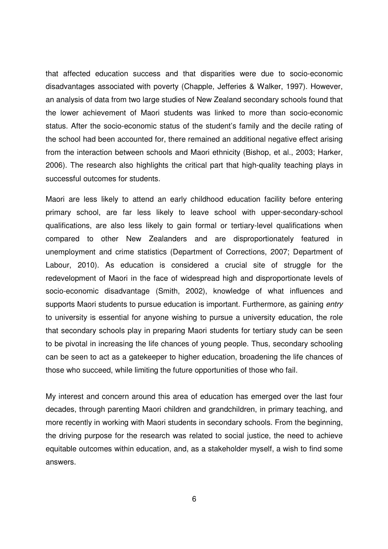that affected education success and that disparities were due to socio-economic disadvantages associated with poverty (Chapple, Jefferies & Walker, 1997). However, an analysis of data from two large studies of New Zealand secondary schools found that the lower achievement of Maori students was linked to more than socio-economic status. After the socio-economic status of the student's family and the decile rating of the school had been accounted for, there remained an additional negative effect arising from the interaction between schools and Maori ethnicity (Bishop, et al., 2003; Harker, 2006). The research also highlights the critical part that high-quality teaching plays in successful outcomes for students.

Maori are less likely to attend an early childhood education facility before entering primary school, are far less likely to leave school with upper-secondary-school qualifications, are also less likely to gain formal or tertiary-level qualifications when compared to other New Zealanders and are disproportionately featured in unemployment and crime statistics (Department of Corrections, 2007; Department of Labour, 2010). As education is considered a crucial site of struggle for the redevelopment of Maori in the face of widespread high and disproportionate levels of socio-economic disadvantage (Smith, 2002), knowledge of what influences and supports Maori students to pursue education is important. Furthermore, as gaining *entry* to university is essential for anyone wishing to pursue a university education, the role that secondary schools play in preparing Maori students for tertiary study can be seen to be pivotal in increasing the life chances of young people. Thus, secondary schooling can be seen to act as a gatekeeper to higher education, broadening the life chances of those who succeed, while limiting the future opportunities of those who fail.

My interest and concern around this area of education has emerged over the last four decades, through parenting Maori children and grandchildren, in primary teaching, and more recently in working with Maori students in secondary schools. From the beginning, the driving purpose for the research was related to social justice, the need to achieve equitable outcomes within education, and, as a stakeholder myself, a wish to find some answers.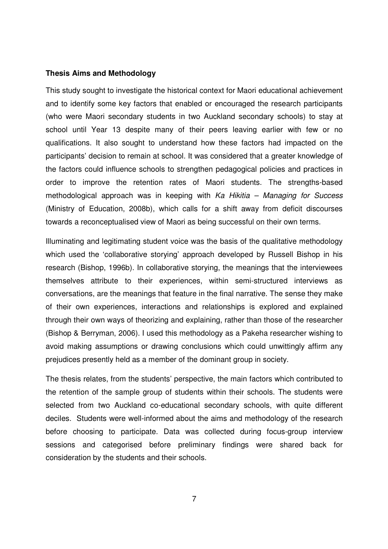#### **Thesis Aims and Methodology**

This study sought to investigate the historical context for Maori educational achievement and to identify some key factors that enabled or encouraged the research participants (who were Maori secondary students in two Auckland secondary schools) to stay at school until Year 13 despite many of their peers leaving earlier with few or no qualifications. It also sought to understand how these factors had impacted on the participants' decision to remain at school. It was considered that a greater knowledge of the factors could influence schools to strengthen pedagogical policies and practices in order to improve the retention rates of Maori students. The strengths-based methodological approach was in keeping with  $Ka$  Hikitia – Managing for Success (Ministry of Education, 2008b), which calls for a shift away from deficit discourses towards a reconceptualised view of Maori as being successful on their own terms.

Illuminating and legitimating student voice was the basis of the qualitative methodology which used the 'collaborative storying' approach developed by Russell Bishop in his research (Bishop, 1996b). In collaborative storying, the meanings that the interviewees themselves attribute to their experiences, within semi-structured interviews as conversations, are the meanings that feature in the final narrative. The sense they make of their own experiences, interactions and relationships is explored and explained through their own ways of theorizing and explaining, rather than those of the researcher (Bishop & Berryman, 2006). I used this methodology as a Pakeha researcher wishing to avoid making assumptions or drawing conclusions which could unwittingly affirm any prejudices presently held as a member of the dominant group in society.

The thesis relates, from the students' perspective, the main factors which contributed to the retention of the sample group of students within their schools. The students were selected from two Auckland co-educational secondary schools, with quite different deciles. Students were well-informed about the aims and methodology of the research before choosing to participate. Data was collected during focus-group interview sessions and categorised before preliminary findings were shared back for consideration by the students and their schools.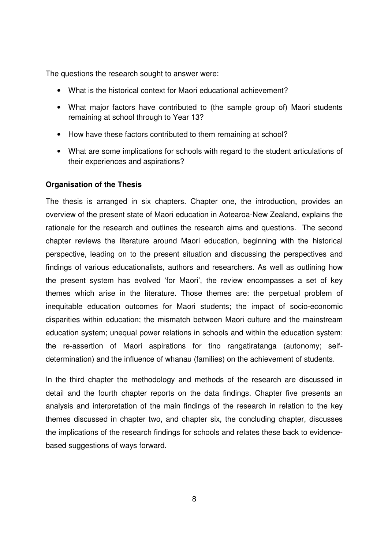The questions the research sought to answer were:

- What is the historical context for Maori educational achievement?
- What major factors have contributed to (the sample group of) Maori students remaining at school through to Year 13?
- How have these factors contributed to them remaining at school?
- What are some implications for schools with regard to the student articulations of their experiences and aspirations?

#### **Organisation of the Thesis**

The thesis is arranged in six chapters. Chapter one, the introduction, provides an overview of the present state of Maori education in Aotearoa-New Zealand, explains the rationale for the research and outlines the research aims and questions. The second chapter reviews the literature around Maori education, beginning with the historical perspective, leading on to the present situation and discussing the perspectives and findings of various educationalists, authors and researchers. As well as outlining how the present system has evolved 'for Maori', the review encompasses a set of key themes which arise in the literature. Those themes are: the perpetual problem of inequitable education outcomes for Maori students; the impact of socio-economic disparities within education; the mismatch between Maori culture and the mainstream education system; unequal power relations in schools and within the education system; the re-assertion of Maori aspirations for tino rangatiratanga (autonomy; selfdetermination) and the influence of whanau (families) on the achievement of students.

In the third chapter the methodology and methods of the research are discussed in detail and the fourth chapter reports on the data findings. Chapter five presents an analysis and interpretation of the main findings of the research in relation to the key themes discussed in chapter two, and chapter six, the concluding chapter, discusses the implications of the research findings for schools and relates these back to evidencebased suggestions of ways forward.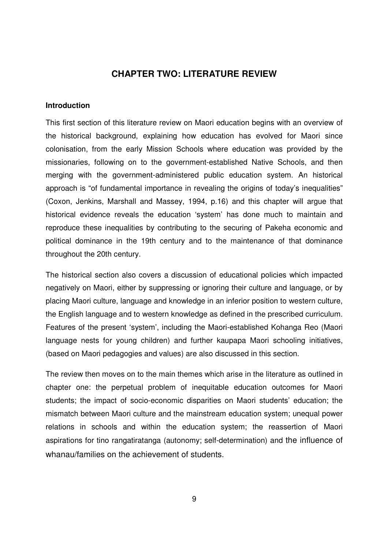## **CHAPTER TWO: LITERATURE REVIEW**

#### **Introduction**

This first section of this literature review on Maori education begins with an overview of the historical background, explaining how education has evolved for Maori since colonisation, from the early Mission Schools where education was provided by the missionaries, following on to the government-established Native Schools, and then merging with the government-administered public education system. An historical approach is "of fundamental importance in revealing the origins of today's inequalities" (Coxon, Jenkins, Marshall and Massey, 1994, p.16) and this chapter will argue that historical evidence reveals the education 'system' has done much to maintain and reproduce these inequalities by contributing to the securing of Pakeha economic and political dominance in the 19th century and to the maintenance of that dominance throughout the 20th century.

The historical section also covers a discussion of educational policies which impacted negatively on Maori, either by suppressing or ignoring their culture and language, or by placing Maori culture, language and knowledge in an inferior position to western culture, the English language and to western knowledge as defined in the prescribed curriculum. Features of the present 'system', including the Maori-established Kohanga Reo (Maori language nests for young children) and further kaupapa Maori schooling initiatives, (based on Maori pedagogies and values) are also discussed in this section.

The review then moves on to the main themes which arise in the literature as outlined in chapter one: the perpetual problem of inequitable education outcomes for Maori students; the impact of socio-economic disparities on Maori students' education; the mismatch between Maori culture and the mainstream education system; unequal power relations in schools and within the education system; the reassertion of Maori aspirations for tino rangatiratanga (autonomy; self-determination) and the influence of whanau/families on the achievement of students.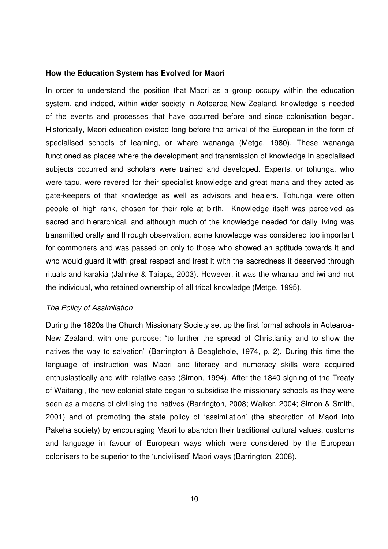#### **How the Education System has Evolved for Maori**

In order to understand the position that Maori as a group occupy within the education system, and indeed, within wider society in Aotearoa-New Zealand, knowledge is needed of the events and processes that have occurred before and since colonisation began. Historically, Maori education existed long before the arrival of the European in the form of specialised schools of learning, or whare wananga (Metge, 1980). These wananga functioned as places where the development and transmission of knowledge in specialised subjects occurred and scholars were trained and developed. Experts, or tohunga, who were tapu, were revered for their specialist knowledge and great mana and they acted as gate-keepers of that knowledge as well as advisors and healers. Tohunga were often people of high rank, chosen for their role at birth. Knowledge itself was perceived as sacred and hierarchical, and although much of the knowledge needed for daily living was transmitted orally and through observation, some knowledge was considered too important for commoners and was passed on only to those who showed an aptitude towards it and who would guard it with great respect and treat it with the sacredness it deserved through rituals and karakia (Jahnke & Taiapa, 2003). However, it was the whanau and iwi and not the individual, who retained ownership of all tribal knowledge (Metge, 1995).

#### The Policy of Assimilation

During the 1820s the Church Missionary Society set up the first formal schools in Aotearoa-New Zealand, with one purpose: "to further the spread of Christianity and to show the natives the way to salvation" (Barrington & Beaglehole, 1974, p. 2). During this time the language of instruction was Maori and literacy and numeracy skills were acquired enthusiastically and with relative ease (Simon, 1994). After the 1840 signing of the Treaty of Waitangi, the new colonial state began to subsidise the missionary schools as they were seen as a means of civilising the natives (Barrington, 2008; Walker, 2004; Simon & Smith, 2001) and of promoting the state policy of 'assimilation' (the absorption of Maori into Pakeha society) by encouraging Maori to abandon their traditional cultural values, customs and language in favour of European ways which were considered by the European colonisers to be superior to the 'uncivilised' Maori ways (Barrington, 2008).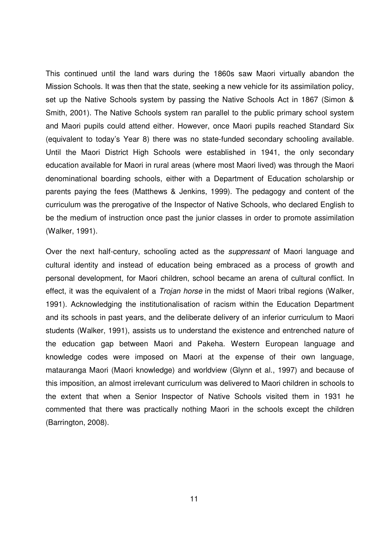This continued until the land wars during the 1860s saw Maori virtually abandon the Mission Schools. It was then that the state, seeking a new vehicle for its assimilation policy, set up the Native Schools system by passing the Native Schools Act in 1867 (Simon & Smith, 2001). The Native Schools system ran parallel to the public primary school system and Maori pupils could attend either. However, once Maori pupils reached Standard Six (equivalent to today's Year 8) there was no state-funded secondary schooling available. Until the Maori District High Schools were established in 1941, the only secondary education available for Maori in rural areas (where most Maori lived) was through the Maori denominational boarding schools, either with a Department of Education scholarship or parents paying the fees (Matthews & Jenkins, 1999). The pedagogy and content of the curriculum was the prerogative of the Inspector of Native Schools, who declared English to be the medium of instruction once past the junior classes in order to promote assimilation (Walker, 1991).

Over the next half-century, schooling acted as the suppressant of Maori language and cultural identity and instead of education being embraced as a process of growth and personal development, for Maori children, school became an arena of cultural conflict. In effect, it was the equivalent of a *Trojan horse* in the midst of Maori tribal regions (Walker, 1991). Acknowledging the institutionalisation of racism within the Education Department and its schools in past years, and the deliberate delivery of an inferior curriculum to Maori students (Walker, 1991), assists us to understand the existence and entrenched nature of the education gap between Maori and Pakeha. Western European language and knowledge codes were imposed on Maori at the expense of their own language, matauranga Maori (Maori knowledge) and worldview (Glynn et al., 1997) and because of this imposition, an almost irrelevant curriculum was delivered to Maori children in schools to the extent that when a Senior Inspector of Native Schools visited them in 1931 he commented that there was practically nothing Maori in the schools except the children (Barrington, 2008).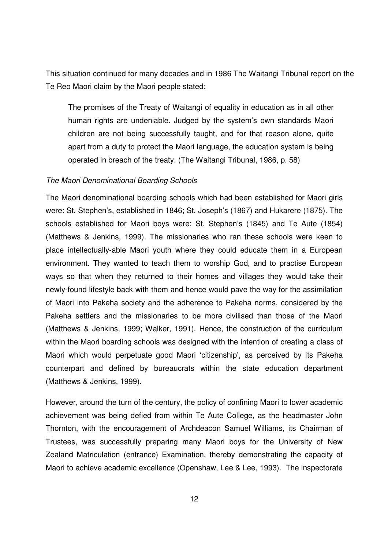This situation continued for many decades and in 1986 The Waitangi Tribunal report on the Te Reo Maori claim by the Maori people stated:

The promises of the Treaty of Waitangi of equality in education as in all other human rights are undeniable. Judged by the system's own standards Maori children are not being successfully taught, and for that reason alone, quite apart from a duty to protect the Maori language, the education system is being operated in breach of the treaty. (The Waitangi Tribunal, 1986, p. 58)

#### The Maori Denominational Boarding Schools

The Maori denominational boarding schools which had been established for Maori girls were: St. Stephen's, established in 1846; St. Joseph's (1867) and Hukarere (1875). The schools established for Maori boys were: St. Stephen's (1845) and Te Aute (1854) (Matthews & Jenkins, 1999). The missionaries who ran these schools were keen to place intellectually-able Maori youth where they could educate them in a European environment. They wanted to teach them to worship God, and to practise European ways so that when they returned to their homes and villages they would take their newly-found lifestyle back with them and hence would pave the way for the assimilation of Maori into Pakeha society and the adherence to Pakeha norms, considered by the Pakeha settlers and the missionaries to be more civilised than those of the Maori (Matthews & Jenkins, 1999; Walker, 1991). Hence, the construction of the curriculum within the Maori boarding schools was designed with the intention of creating a class of Maori which would perpetuate good Maori 'citizenship', as perceived by its Pakeha counterpart and defined by bureaucrats within the state education department (Matthews & Jenkins, 1999).

However, around the turn of the century, the policy of confining Maori to lower academic achievement was being defied from within Te Aute College, as the headmaster John Thornton, with the encouragement of Archdeacon Samuel Williams, its Chairman of Trustees, was successfully preparing many Maori boys for the University of New Zealand Matriculation (entrance) Examination, thereby demonstrating the capacity of Maori to achieve academic excellence (Openshaw, Lee & Lee, 1993). The inspectorate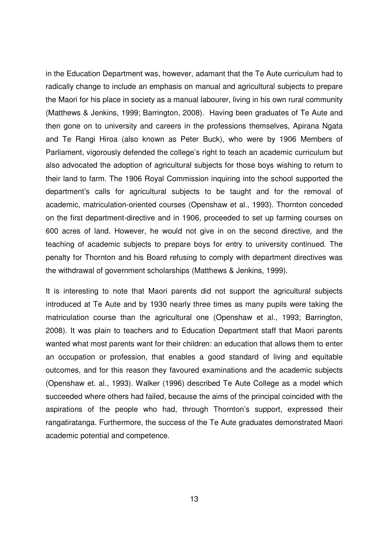in the Education Department was, however, adamant that the Te Aute curriculum had to radically change to include an emphasis on manual and agricultural subjects to prepare the Maori for his place in society as a manual labourer, living in his own rural community (Matthews & Jenkins, 1999; Barrington, 2008). Having been graduates of Te Aute and then gone on to university and careers in the professions themselves, Apirana Ngata and Te Rangi Hiroa (also known as Peter Buck), who were by 1906 Members of Parliament, vigorously defended the college's right to teach an academic curriculum but also advocated the adoption of agricultural subjects for those boys wishing to return to their land to farm. The 1906 Royal Commission inquiring into the school supported the department's calls for agricultural subjects to be taught and for the removal of academic, matriculation-oriented courses (Openshaw et al., 1993). Thornton conceded on the first department-directive and in 1906, proceeded to set up farming courses on 600 acres of land. However, he would not give in on the second directive, and the teaching of academic subjects to prepare boys for entry to university continued. The penalty for Thornton and his Board refusing to comply with department directives was the withdrawal of government scholarships (Matthews & Jenkins, 1999).

It is interesting to note that Maori parents did not support the agricultural subjects introduced at Te Aute and by 1930 nearly three times as many pupils were taking the matriculation course than the agricultural one (Openshaw et al., 1993; Barrington, 2008). It was plain to teachers and to Education Department staff that Maori parents wanted what most parents want for their children: an education that allows them to enter an occupation or profession, that enables a good standard of living and equitable outcomes, and for this reason they favoured examinations and the academic subjects (Openshaw et. al., 1993). Walker (1996) described Te Aute College as a model which succeeded where others had failed, because the aims of the principal coincided with the aspirations of the people who had, through Thornton's support, expressed their rangatiratanga. Furthermore, the success of the Te Aute graduates demonstrated Maori academic potential and competence.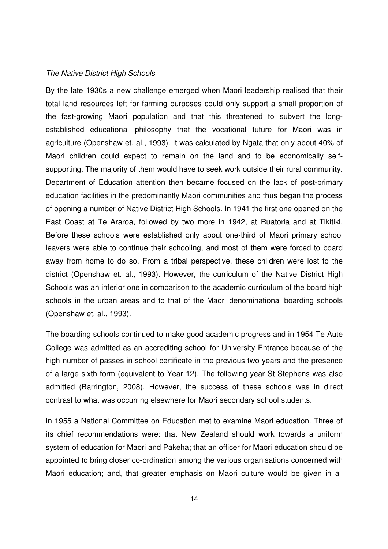#### The Native District High Schools

By the late 1930s a new challenge emerged when Maori leadership realised that their total land resources left for farming purposes could only support a small proportion of the fast-growing Maori population and that this threatened to subvert the longestablished educational philosophy that the vocational future for Maori was in agriculture (Openshaw et. al., 1993). It was calculated by Ngata that only about 40% of Maori children could expect to remain on the land and to be economically selfsupporting. The majority of them would have to seek work outside their rural community. Department of Education attention then became focused on the lack of post-primary education facilities in the predominantly Maori communities and thus began the process of opening a number of Native District High Schools. In 1941 the first one opened on the East Coast at Te Araroa, followed by two more in 1942, at Ruatoria and at Tikitiki. Before these schools were established only about one-third of Maori primary school leavers were able to continue their schooling, and most of them were forced to board away from home to do so. From a tribal perspective, these children were lost to the district (Openshaw et. al., 1993). However, the curriculum of the Native District High Schools was an inferior one in comparison to the academic curriculum of the board high schools in the urban areas and to that of the Maori denominational boarding schools (Openshaw et. al., 1993).

The boarding schools continued to make good academic progress and in 1954 Te Aute College was admitted as an accrediting school for University Entrance because of the high number of passes in school certificate in the previous two years and the presence of a large sixth form (equivalent to Year 12). The following year St Stephens was also admitted (Barrington, 2008). However, the success of these schools was in direct contrast to what was occurring elsewhere for Maori secondary school students.

In 1955 a National Committee on Education met to examine Maori education. Three of its chief recommendations were: that New Zealand should work towards a uniform system of education for Maori and Pakeha; that an officer for Maori education should be appointed to bring closer co-ordination among the various organisations concerned with Maori education; and, that greater emphasis on Maori culture would be given in all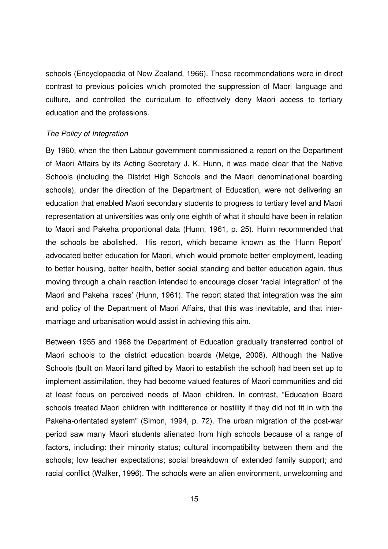schools (Encyclopaedia of New Zealand, 1966). These recommendations were in direct contrast to previous policies which promoted the suppression of Maori language and culture, and controlled the curriculum to effectively deny Maori access to tertiary education and the professions.

#### The Policy of Integration

By 1960, when the then Labour government commissioned a report on the Department of Maori Affairs by its Acting Secretary J. K. Hunn, it was made clear that the Native Schools (including the District High Schools and the Maori denominational boarding schools), under the direction of the Department of Education, were not delivering an education that enabled Maori secondary students to progress to tertiary level and Maori representation at universities was only one eighth of what it should have been in relation to Maori and Pakeha proportional data (Hunn, 1961, p. 25). Hunn recommended that the schools be abolished. His report, which became known as the 'Hunn Report' advocated better education for Maori, which would promote better employment, leading to better housing, better health, better social standing and better education again, thus moving through a chain reaction intended to encourage closer 'racial integration' of the Maori and Pakeha 'races' (Hunn, 1961). The report stated that integration was the aim and policy of the Department of Maori Affairs, that this was inevitable, and that intermarriage and urbanisation would assist in achieving this aim.

Between 1955 and 1968 the Department of Education gradually transferred control of Maori schools to the district education boards (Metge, 2008). Although the Native Schools (built on Maori land gifted by Maori to establish the school) had been set up to implement assimilation, they had become valued features of Maori communities and did at least focus on perceived needs of Maori children. In contrast, "Education Board schools treated Maori children with indifference or hostility if they did not fit in with the Pakeha-orientated system" (Simon, 1994, p. 72). The urban migration of the post-war period saw many Maori students alienated from high schools because of a range of factors, including: their minority status; cultural incompatibility between them and the schools; low teacher expectations; social breakdown of extended family support; and racial conflict (Walker, 1996). The schools were an alien environment, unwelcoming and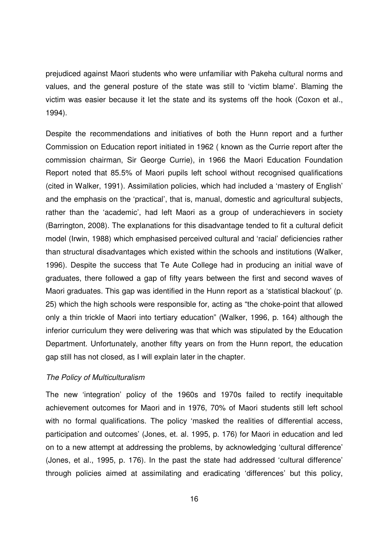prejudiced against Maori students who were unfamiliar with Pakeha cultural norms and values, and the general posture of the state was still to 'victim blame'. Blaming the victim was easier because it let the state and its systems off the hook (Coxon et al., 1994).

Despite the recommendations and initiatives of both the Hunn report and a further Commission on Education report initiated in 1962 ( known as the Currie report after the commission chairman, Sir George Currie), in 1966 the Maori Education Foundation Report noted that 85.5% of Maori pupils left school without recognised qualifications (cited in Walker, 1991). Assimilation policies, which had included a 'mastery of English' and the emphasis on the 'practical', that is, manual, domestic and agricultural subjects, rather than the 'academic', had left Maori as a group of underachievers in society (Barrington, 2008). The explanations for this disadvantage tended to fit a cultural deficit model (Irwin, 1988) which emphasised perceived cultural and 'racial' deficiencies rather than structural disadvantages which existed within the schools and institutions (Walker, 1996). Despite the success that Te Aute College had in producing an initial wave of graduates, there followed a gap of fifty years between the first and second waves of Maori graduates. This gap was identified in the Hunn report as a 'statistical blackout' (p. 25) which the high schools were responsible for, acting as "the choke-point that allowed only a thin trickle of Maori into tertiary education" (Walker, 1996, p. 164) although the inferior curriculum they were delivering was that which was stipulated by the Education Department. Unfortunately, another fifty years on from the Hunn report, the education gap still has not closed, as I will explain later in the chapter.

#### The Policy of Multiculturalism

The new 'integration' policy of the 1960s and 1970s failed to rectify inequitable achievement outcomes for Maori and in 1976, 70% of Maori students still left school with no formal qualifications. The policy 'masked the realities of differential access, participation and outcomes' (Jones, et. al. 1995, p. 176) for Maori in education and led on to a new attempt at addressing the problems, by acknowledging 'cultural difference' (Jones, et al., 1995, p. 176). In the past the state had addressed 'cultural difference' through policies aimed at assimilating and eradicating 'differences' but this policy,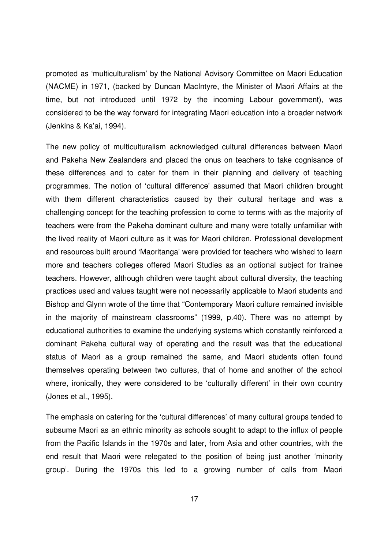promoted as 'multiculturalism' by the National Advisory Committee on Maori Education (NACME) in 1971, (backed by Duncan MacIntyre, the Minister of Maori Affairs at the time, but not introduced until 1972 by the incoming Labour government), was considered to be the way forward for integrating Maori education into a broader network (Jenkins & Ka'ai, 1994).

The new policy of multiculturalism acknowledged cultural differences between Maori and Pakeha New Zealanders and placed the onus on teachers to take cognisance of these differences and to cater for them in their planning and delivery of teaching programmes. The notion of 'cultural difference' assumed that Maori children brought with them different characteristics caused by their cultural heritage and was a challenging concept for the teaching profession to come to terms with as the majority of teachers were from the Pakeha dominant culture and many were totally unfamiliar with the lived reality of Maori culture as it was for Maori children. Professional development and resources built around 'Maoritanga' were provided for teachers who wished to learn more and teachers colleges offered Maori Studies as an optional subject for trainee teachers. However, although children were taught about cultural diversity, the teaching practices used and values taught were not necessarily applicable to Maori students and Bishop and Glynn wrote of the time that "Contemporary Maori culture remained invisible in the majority of mainstream classrooms" (1999, p.40). There was no attempt by educational authorities to examine the underlying systems which constantly reinforced a dominant Pakeha cultural way of operating and the result was that the educational status of Maori as a group remained the same, and Maori students often found themselves operating between two cultures, that of home and another of the school where, ironically, they were considered to be 'culturally different' in their own country (Jones et al., 1995).

The emphasis on catering for the 'cultural differences' of many cultural groups tended to subsume Maori as an ethnic minority as schools sought to adapt to the influx of people from the Pacific Islands in the 1970s and later, from Asia and other countries, with the end result that Maori were relegated to the position of being just another 'minority group'. During the 1970s this led to a growing number of calls from Maori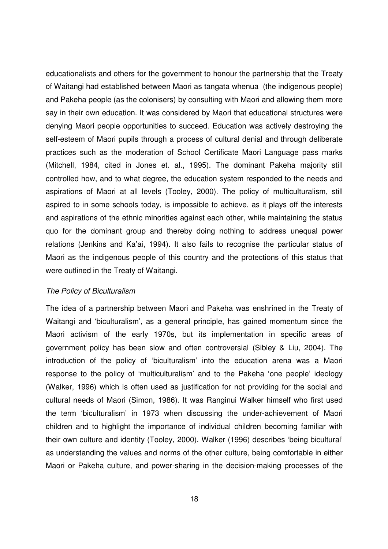educationalists and others for the government to honour the partnership that the Treaty of Waitangi had established between Maori as tangata whenua (the indigenous people) and Pakeha people (as the colonisers) by consulting with Maori and allowing them more say in their own education. It was considered by Maori that educational structures were denying Maori people opportunities to succeed. Education was actively destroying the self-esteem of Maori pupils through a process of cultural denial and through deliberate practices such as the moderation of School Certificate Maori Language pass marks (Mitchell, 1984, cited in Jones et. al., 1995). The dominant Pakeha majority still controlled how, and to what degree, the education system responded to the needs and aspirations of Maori at all levels (Tooley, 2000). The policy of multiculturalism, still aspired to in some schools today, is impossible to achieve, as it plays off the interests and aspirations of the ethnic minorities against each other, while maintaining the status quo for the dominant group and thereby doing nothing to address unequal power relations (Jenkins and Ka'ai, 1994). It also fails to recognise the particular status of Maori as the indigenous people of this country and the protections of this status that were outlined in the Treaty of Waitangi.

#### The Policy of Biculturalism

The idea of a partnership between Maori and Pakeha was enshrined in the Treaty of Waitangi and 'biculturalism', as a general principle, has gained momentum since the Maori activism of the early 1970s, but its implementation in specific areas of government policy has been slow and often controversial (Sibley & Liu, 2004). The introduction of the policy of 'biculturalism' into the education arena was a Maori response to the policy of 'multiculturalism' and to the Pakeha 'one people' ideology (Walker, 1996) which is often used as justification for not providing for the social and cultural needs of Maori (Simon, 1986). It was Ranginui Walker himself who first used the term 'biculturalism' in 1973 when discussing the under-achievement of Maori children and to highlight the importance of individual children becoming familiar with their own culture and identity (Tooley, 2000). Walker (1996) describes 'being bicultural' as understanding the values and norms of the other culture, being comfortable in either Maori or Pakeha culture, and power-sharing in the decision-making processes of the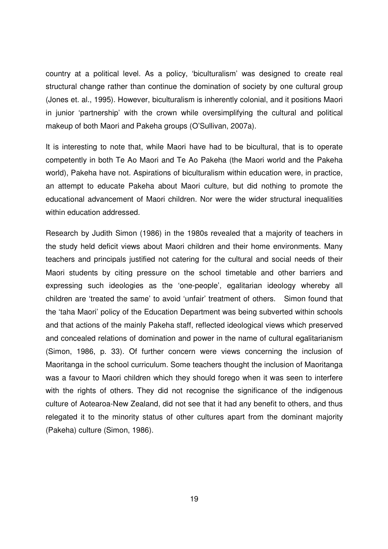country at a political level. As a policy, 'biculturalism' was designed to create real structural change rather than continue the domination of society by one cultural group (Jones et. al., 1995). However, biculturalism is inherently colonial, and it positions Maori in junior 'partnership' with the crown while oversimplifying the cultural and political makeup of both Maori and Pakeha groups (O'Sullivan, 2007a).

It is interesting to note that, while Maori have had to be bicultural, that is to operate competently in both Te Ao Maori and Te Ao Pakeha (the Maori world and the Pakeha world), Pakeha have not. Aspirations of biculturalism within education were, in practice, an attempt to educate Pakeha about Maori culture, but did nothing to promote the educational advancement of Maori children. Nor were the wider structural inequalities within education addressed.

Research by Judith Simon (1986) in the 1980s revealed that a majority of teachers in the study held deficit views about Maori children and their home environments. Many teachers and principals justified not catering for the cultural and social needs of their Maori students by citing pressure on the school timetable and other barriers and expressing such ideologies as the 'one-people', egalitarian ideology whereby all children are 'treated the same' to avoid 'unfair' treatment of others. Simon found that the 'taha Maori' policy of the Education Department was being subverted within schools and that actions of the mainly Pakeha staff, reflected ideological views which preserved and concealed relations of domination and power in the name of cultural egalitarianism (Simon, 1986, p. 33). Of further concern were views concerning the inclusion of Maoritanga in the school curriculum. Some teachers thought the inclusion of Maoritanga was a favour to Maori children which they should forego when it was seen to interfere with the rights of others. They did not recognise the significance of the indigenous culture of Aotearoa-New Zealand, did not see that it had any benefit to others, and thus relegated it to the minority status of other cultures apart from the dominant majority (Pakeha) culture (Simon, 1986).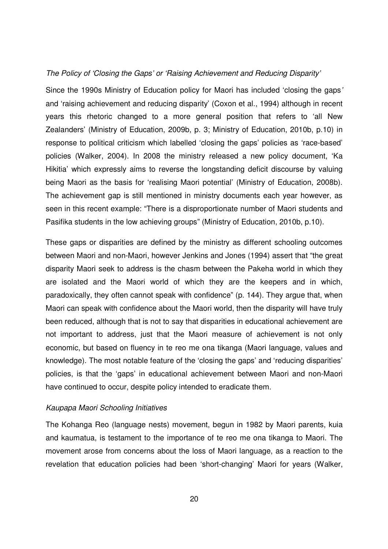#### The Policy of 'Closing the Gaps' or 'Raising Achievement and Reducing Disparity'

Since the 1990s Ministry of Education policy for Maori has included 'closing the gaps' and 'raising achievement and reducing disparity' (Coxon et al., 1994) although in recent years this rhetoric changed to a more general position that refers to 'all New Zealanders' (Ministry of Education, 2009b, p. 3; Ministry of Education, 2010b, p.10) in response to political criticism which labelled 'closing the gaps' policies as 'race-based' policies (Walker, 2004). In 2008 the ministry released a new policy document, 'Ka Hikitia' which expressly aims to reverse the longstanding deficit discourse by valuing being Maori as the basis for 'realising Maori potential' (Ministry of Education, 2008b). The achievement gap is still mentioned in ministry documents each year however, as seen in this recent example: "There is a disproportionate number of Maori students and Pasifika students in the low achieving groups" (Ministry of Education, 2010b, p.10).

These gaps or disparities are defined by the ministry as different schooling outcomes between Maori and non-Maori, however Jenkins and Jones (1994) assert that "the great disparity Maori seek to address is the chasm between the Pakeha world in which they are isolated and the Maori world of which they are the keepers and in which, paradoxically, they often cannot speak with confidence" (p. 144). They argue that, when Maori can speak with confidence about the Maori world, then the disparity will have truly been reduced, although that is not to say that disparities in educational achievement are not important to address, just that the Maori measure of achievement is not only economic, but based on fluency in te reo me ona tikanga (Maori language, values and knowledge). The most notable feature of the 'closing the gaps' and 'reducing disparities' policies, is that the 'gaps' in educational achievement between Maori and non-Maori have continued to occur, despite policy intended to eradicate them.

#### Kaupapa Maori Schooling Initiatives

The Kohanga Reo (language nests) movement, begun in 1982 by Maori parents, kuia and kaumatua, is testament to the importance of te reo me ona tikanga to Maori. The movement arose from concerns about the loss of Maori language, as a reaction to the revelation that education policies had been 'short-changing' Maori for years (Walker,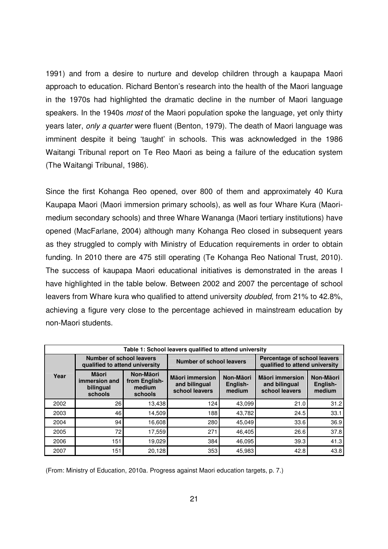1991) and from a desire to nurture and develop children through a kaupapa Maori approach to education. Richard Benton's research into the health of the Maori language in the 1970s had highlighted the dramatic decline in the number of Maori language speakers. In the 1940s *most* of the Maori population spoke the language, yet only thirty years later, only a quarter were fluent (Benton, 1979). The death of Maori language was imminent despite it being 'taught' in schools. This was acknowledged in the 1986 Waitangi Tribunal report on Te Reo Maori as being a failure of the education system (The Waitangi Tribunal, 1986).

Since the first Kohanga Reo opened, over 800 of them and approximately 40 Kura Kaupapa Maori (Maori immersion primary schools), as well as four Whare Kura (Maorimedium secondary schools) and three Whare Wananga (Maori tertiary institutions) have opened (MacFarlane, 2004) although many Kohanga Reo closed in subsequent years as they struggled to comply with Ministry of Education requirements in order to obtain funding. In 2010 there are 475 still operating (Te Kohanga Reo National Trust, 2010). The success of kaupapa Maori educational initiatives is demonstrated in the areas I have highlighted in the table below. Between 2002 and 2007 the percentage of school leavers from Whare kura who qualified to attend university doubled, from 21% to 42.8%, achieving a figure very close to the percentage achieved in mainstream education by non-Maori students.

| Table 1: School leavers qualified to attend university |                                                            |                                                 |                                                           |                                 |                                                                |                                 |  |
|--------------------------------------------------------|------------------------------------------------------------|-------------------------------------------------|-----------------------------------------------------------|---------------------------------|----------------------------------------------------------------|---------------------------------|--|
|                                                        | Number of school leavers<br>qualified to attend university |                                                 | Number of school leavers                                  |                                 | Percentage of school leavers<br>qualified to attend university |                                 |  |
| Year                                                   | <b>M</b> aori<br>immersion and<br>bilingual<br>schools     | Non-Māori<br>from English-<br>medium<br>schools | <b>Mäori immersion</b><br>and bilingual<br>school leavers | Non-Māori<br>English-<br>medium | Māori immersion<br>and bilingual<br>school leavers             | Non-Māori<br>English-<br>medium |  |
| 2002                                                   | 26                                                         | 13,438                                          | 124                                                       | 43,099                          | 21.0                                                           | 31.2                            |  |
| 2003                                                   | 46                                                         | 14,509                                          | 188                                                       | 43,782                          | 24.5                                                           | 33.1                            |  |
| 2004                                                   | 94                                                         | 16,608                                          | 280                                                       | 45,049                          | 33.6                                                           | 36.9                            |  |
| 2005                                                   | 72                                                         | 17,559                                          | 271                                                       | 46,405                          | 26.6                                                           | 37.8                            |  |
| 2006                                                   | 151                                                        | 19,029                                          | 384                                                       | 46,095                          | 39.3                                                           | 41.3                            |  |
| 2007                                                   | 151                                                        | 20,128                                          | 353                                                       | 45,983                          | 42.8                                                           | 43.8                            |  |

(From: Ministry of Education, 2010a. Progress against Maori education targets, p. 7.)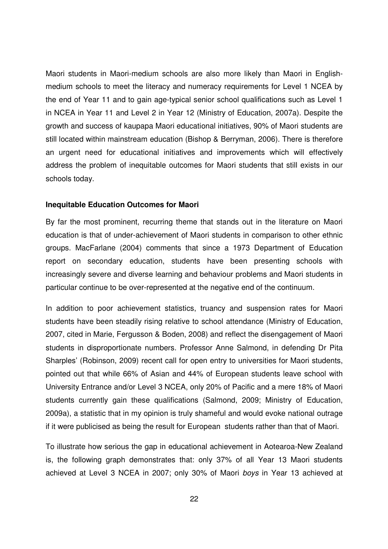Maori students in Maori-medium schools are also more likely than Maori in Englishmedium schools to meet the literacy and numeracy requirements for Level 1 NCEA by the end of Year 11 and to gain age-typical senior school qualifications such as Level 1 in NCEA in Year 11 and Level 2 in Year 12 (Ministry of Education, 2007a). Despite the growth and success of kaupapa Maori educational initiatives, 90% of Maori students are still located within mainstream education (Bishop & Berryman, 2006). There is therefore an urgent need for educational initiatives and improvements which will effectively address the problem of inequitable outcomes for Maori students that still exists in our schools today.

#### **Inequitable Education Outcomes for Maori**

By far the most prominent, recurring theme that stands out in the literature on Maori education is that of under-achievement of Maori students in comparison to other ethnic groups. MacFarlane (2004) comments that since a 1973 Department of Education report on secondary education, students have been presenting schools with increasingly severe and diverse learning and behaviour problems and Maori students in particular continue to be over-represented at the negative end of the continuum.

In addition to poor achievement statistics, truancy and suspension rates for Maori students have been steadily rising relative to school attendance (Ministry of Education, 2007, cited in Marie, Fergusson & Boden, 2008) and reflect the disengagement of Maori students in disproportionate numbers. Professor Anne Salmond, in defending Dr Pita Sharples' (Robinson, 2009) recent call for open entry to universities for Maori students, pointed out that while 66% of Asian and 44% of European students leave school with University Entrance and/or Level 3 NCEA, only 20% of Pacific and a mere 18% of Maori students currently gain these qualifications (Salmond, 2009; Ministry of Education, 2009a), a statistic that in my opinion is truly shameful and would evoke national outrage if it were publicised as being the result for European students rather than that of Maori.

To illustrate how serious the gap in educational achievement in Aotearoa-New Zealand is, the following graph demonstrates that: only 37% of all Year 13 Maori students achieved at Level 3 NCEA in 2007; only 30% of Maori boys in Year 13 achieved at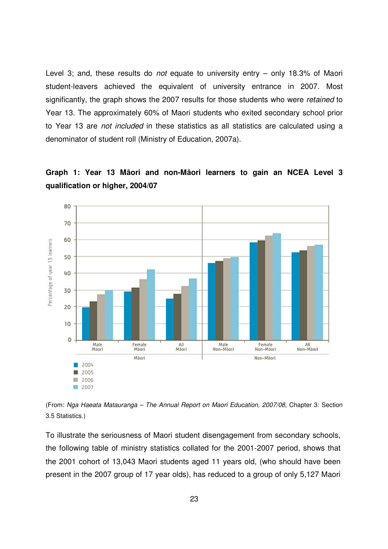Level 3; and, these results do *not* equate to university entry – only 18.3% of Maori student-leavers achieved the equivalent of university entrance in 2007. Most significantly, the graph shows the 2007 results for those students who were retained to Year 13. The approximately 60% of Maori students who exited secondary school prior to Year 13 are not included in these statistics as all statistics are calculated using a denominator of student roll (Ministry of Education, 2007a).





(From: Nga Haeata Matauranga – The Annual Report on Maori Education, 2007/08, Chapter 3: Section 3.5 Statistics.)

To illustrate the seriousness of Maori student disengagement from secondary schools, the following table of ministry statistics collated for the 2001-2007 period, shows that the 2001 cohort of 13,043 Maori students aged 11 years old, (who should have been present in the 2007 group of 17 year olds), has reduced to a group of only 5,127 Maori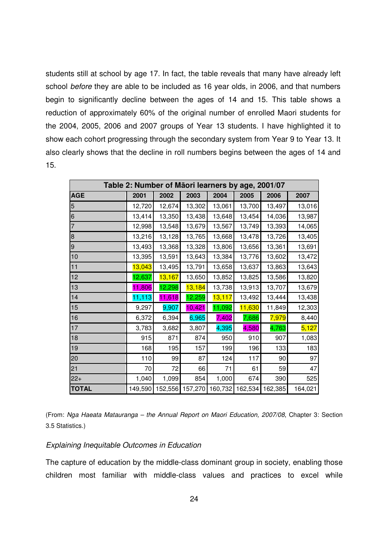students still at school by age 17. In fact, the table reveals that many have already left school before they are able to be included as 16 year olds, in 2006, and that numbers begin to significantly decline between the ages of 14 and 15. This table shows a reduction of approximately 60% of the original number of enrolled Maori students for the 2004, 2005, 2006 and 2007 groups of Year 13 students. I have highlighted it to show each cohort progressing through the secondary system from Year 9 to Year 13. It also clearly shows that the decline in roll numbers begins between the ages of 14 and 15.

| Table 2: Number of Māori learners by age, 2001/07 |         |        |                                 |        |        |         |         |  |
|---------------------------------------------------|---------|--------|---------------------------------|--------|--------|---------|---------|--|
| <b>AGE</b>                                        | 2001    | 2002   | 2003                            | 2004   | 2005   | 2006    | 2007    |  |
| 5                                                 | 12,720  | 12,674 | 13,302                          | 13,061 | 13,700 | 13,497  | 13,016  |  |
| 6                                                 | 13,414  | 13,350 | 13,438                          | 13,648 | 13,454 | 14,036  | 13,987  |  |
| $\overline{7}$                                    | 12,998  | 13,548 | 13,679                          | 13,567 | 13,749 | 13,393  | 14,065  |  |
| 8                                                 | 13,216  | 13,128 | 13,765                          | 13,668 | 13,478 | 13,726  | 13,405  |  |
| $\mathsf 9$                                       | 13,493  | 13,368 | 13,328                          | 13,806 | 13,656 | 13,361  | 13,691  |  |
| 10                                                | 13,395  | 13,591 | 13,643                          | 13,384 | 13,776 | 13,602  | 13,472  |  |
| 11                                                | 13,043  | 13,495 | 13,791                          | 13,658 | 13,637 | 13,863  | 13,643  |  |
| 12                                                | 12,637  | 13,167 | 13,650                          | 13,852 | 13,825 | 13,586  | 13,820  |  |
| 13                                                | 11,806  | 12,298 | 13,184                          | 13,738 | 13,913 | 13,707  | 13,679  |  |
| 14                                                | 11, 113 | 11,618 | 12,259                          | 13,117 | 13,492 | 13,444  | 13,438  |  |
| 15                                                | 9,297   | 9,907  | 10,421                          | 11,092 | 11,630 | 11,849  | 12,303  |  |
| 16                                                | 6,372   | 6,394  | 6,965                           | 7,402  | 7,686  | 7,979   | 8,440   |  |
| 17                                                | 3,783   | 3,682  | 3,807                           | 4,395  | 4,580  | 4,763   | 5,127   |  |
| 18                                                | 915     | 871    | 874                             | 950    | 910    | 907     | 1,083   |  |
| 19                                                | 168     | 195    | 157                             | 199    | 196    | 133     | 183     |  |
| 20                                                | 110     | 99     | 87                              | 124    | 117    | 90      | 97      |  |
| 21                                                | 70      | 72     | 66                              | 71     | 61     | 59      | 47      |  |
| $22+$                                             | 1,040   | 1,099  | 854                             | 1,000  | 674    | 390     | 525     |  |
| <b>TOTAL</b>                                      | 149,590 |        | 152,556 157,270 160,732 162,534 |        |        | 162,385 | 164,021 |  |

(From: Nga Haeata Matauranga – the Annual Report on Maori Education, 2007/08, Chapter 3: Section 3.5 Statistics.)

#### Explaining Inequitable Outcomes in Education

The capture of education by the middle-class dominant group in society, enabling those children most familiar with middle-class values and practices to excel while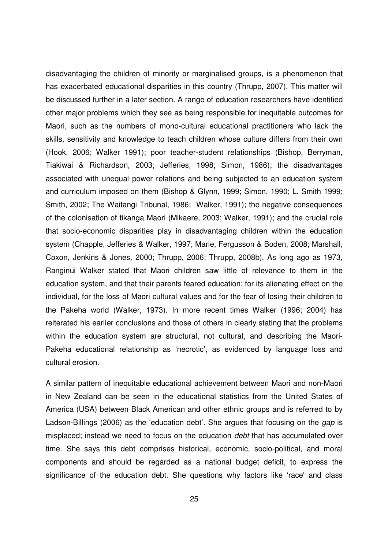disadvantaging the children of minority or marginalised groups, is a phenomenon that has exacerbated educational disparities in this country (Thrupp, 2007). This matter will be discussed further in a later section. A range of education researchers have identified other major problems which they see as being responsible for inequitable outcomes for Maori, such as the numbers of mono-cultural educational practitioners who lack the skills, sensitivity and knowledge to teach children whose culture differs from their own (Hook, 2006; Walker 1991); poor teacher-student relationships (Bishop, Berryman, Tiakiwai & Richardson, 2003; Jefferies, 1998; Simon, 1986); the disadvantages associated with unequal power relations and being subjected to an education system and curriculum imposed on them (Bishop & Glynn, 1999; Simon, 1990; L. Smith 1999; Smith, 2002; The Waitangi Tribunal, 1986; Walker, 1991); the negative consequences of the colonisation of tikanga Maori (Mikaere, 2003; Walker, 1991); and the crucial role that socio-economic disparities play in disadvantaging children within the education system (Chapple, Jefferies & Walker, 1997; Marie, Fergusson & Boden, 2008; Marshall, Coxon, Jenkins & Jones, 2000; Thrupp, 2006; Thrupp, 2008b). As long ago as 1973, Ranginui Walker stated that Maori children saw little of relevance to them in the education system, and that their parents feared education: for its alienating effect on the individual, for the loss of Maori cultural values and for the fear of losing their children to the Pakeha world (Walker, 1973). In more recent times Walker (1996; 2004) has reiterated his earlier conclusions and those of others in clearly stating that the problems within the education system are structural, not cultural, and describing the Maori-Pakeha educational relationship as 'necrotic', as evidenced by language loss and cultural erosion.

A similar pattern of inequitable educational achievement between Maori and non-Maori in New Zealand can be seen in the educational statistics from the United States of America (USA) between Black American and other ethnic groups and is referred to by Ladson-Billings (2006) as the 'education debt'. She argues that focusing on the gap is misplaced; instead we need to focus on the education debt that has accumulated over time. She says this debt comprises historical, economic, socio-political, and moral components and should be regarded as a national budget deficit, to express the significance of the education debt. She questions why factors like 'race' and class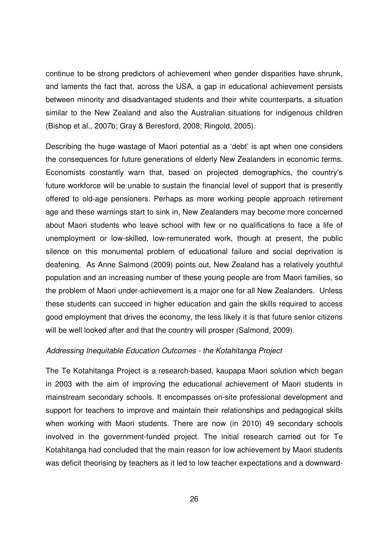continue to be strong predictors of achievement when gender disparities have shrunk, and laments the fact that, across the USA, a gap in educational achievement persists between minority and disadvantaged students and their white counterparts, a situation similar to the New Zealand and also the Australian situations for indigenous children (Bishop et al., 2007b; Gray & Beresford, 2008; Ringold, 2005).

Describing the huge wastage of Maori potential as a 'debt' is apt when one considers the consequences for future generations of elderly New Zealanders in economic terms. Economists constantly warn that, based on projected demographics, the country's future workforce will be unable to sustain the financial level of support that is presently offered to old-age pensioners. Perhaps as more working people approach retirement age and these warnings start to sink in, New Zealanders may become more concerned about Maori students who leave school with few or no qualifications to face a life of unemployment or low-skilled, low-remunerated work, though at present, the public silence on this monumental problem of educational failure and social deprivation is deafening. As Anne Salmond (2009) points out, New Zealand has a relatively youthful population and an increasing number of these young people are from Maori families, so the problem of Maori under-achievement is a major one for all New Zealanders. Unless these students can succeed in higher education and gain the skills required to access good employment that drives the economy, the less likely it is that future senior citizens will be well looked after and that the country will prosper (Salmond, 2009).

#### Addressing Inequitable Education Outcomes - the Kotahitanga Project

The Te Kotahitanga Project is a research-based, kaupapa Maori solution which began in 2003 with the aim of improving the educational achievement of Maori students in mainstream secondary schools. It encompasses on-site professional development and support for teachers to improve and maintain their relationships and pedagogical skills when working with Maori students. There are now (in 2010) 49 secondary schools involved in the government-funded project. The initial research carried out for Te Kotahitanga had concluded that the main reason for low achievement by Maori students was deficit theorising by teachers as it led to low teacher expectations and a downward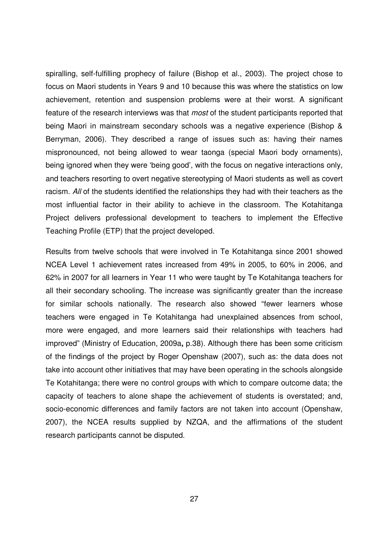spiralling, self-fulfilling prophecy of failure (Bishop et al., 2003). The project chose to focus on Maori students in Years 9 and 10 because this was where the statistics on low achievement, retention and suspension problems were at their worst. A significant feature of the research interviews was that most of the student participants reported that being Maori in mainstream secondary schools was a negative experience (Bishop & Berryman, 2006). They described a range of issues such as: having their names mispronounced, not being allowed to wear taonga (special Maori body ornaments), being ignored when they were 'being good', with the focus on negative interactions only, and teachers resorting to overt negative stereotyping of Maori students as well as covert racism. All of the students identified the relationships they had with their teachers as the most influential factor in their ability to achieve in the classroom. The Kotahitanga Project delivers professional development to teachers to implement the Effective Teaching Profile (ETP) that the project developed.

Results from twelve schools that were involved in Te Kotahitanga since 2001 showed NCEA Level 1 achievement rates increased from 49% in 2005, to 60% in 2006, and 62% in 2007 for all learners in Year 11 who were taught by Te Kotahitanga teachers for all their secondary schooling. The increase was significantly greater than the increase for similar schools nationally. The research also showed "fewer learners whose teachers were engaged in Te Kotahitanga had unexplained absences from school, more were engaged, and more learners said their relationships with teachers had improved" (Ministry of Education, 2009a**,** p.38). Although there has been some criticism of the findings of the project by Roger Openshaw (2007), such as: the data does not take into account other initiatives that may have been operating in the schools alongside Te Kotahitanga; there were no control groups with which to compare outcome data; the capacity of teachers to alone shape the achievement of students is overstated; and, socio-economic differences and family factors are not taken into account (Openshaw, 2007), the NCEA results supplied by NZQA, and the affirmations of the student research participants cannot be disputed.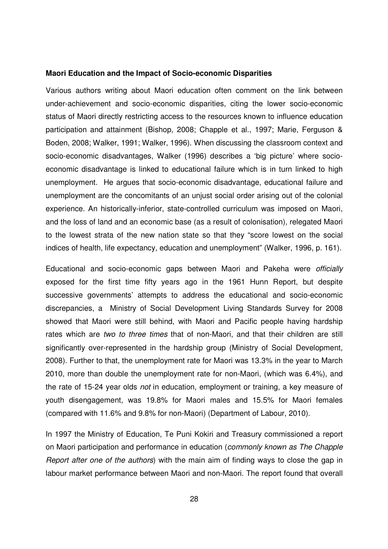#### **Maori Education and the Impact of Socio-economic Disparities**

Various authors writing about Maori education often comment on the link between under-achievement and socio-economic disparities, citing the lower socio-economic status of Maori directly restricting access to the resources known to influence education participation and attainment (Bishop, 2008; Chapple et al., 1997; Marie, Ferguson & Boden, 2008; Walker, 1991; Walker, 1996). When discussing the classroom context and socio-economic disadvantages, Walker (1996) describes a 'big picture' where socioeconomic disadvantage is linked to educational failure which is in turn linked to high unemployment. He argues that socio-economic disadvantage, educational failure and unemployment are the concomitants of an unjust social order arising out of the colonial experience. An historically-inferior, state-controlled curriculum was imposed on Maori, and the loss of land and an economic base (as a result of colonisation), relegated Maori to the lowest strata of the new nation state so that they "score lowest on the social indices of health, life expectancy, education and unemployment" (Walker, 1996, p. 161).

Educational and socio-economic gaps between Maori and Pakeha were officially exposed for the first time fifty years ago in the 1961 Hunn Report, but despite successive governments' attempts to address the educational and socio-economic discrepancies, a Ministry of Social Development Living Standards Survey for 2008 showed that Maori were still behind, with Maori and Pacific people having hardship rates which are two to three times that of non-Maori, and that their children are still significantly over-represented in the hardship group (Ministry of Social Development, 2008). Further to that, the unemployment rate for Maori was 13.3% in the year to March 2010, more than double the unemployment rate for non-Maori, (which was 6.4%), and the rate of 15-24 year olds not in education, employment or training, a key measure of youth disengagement, was 19.8% for Maori males and 15.5% for Maori females (compared with 11.6% and 9.8% for non-Maori) (Department of Labour, 2010).

In 1997 the Ministry of Education, Te Puni Kokiri and Treasury commissioned a report on Maori participation and performance in education (commonly known as The Chapple Report after one of the authors) with the main aim of finding ways to close the gap in labour market performance between Maori and non-Maori. The report found that overall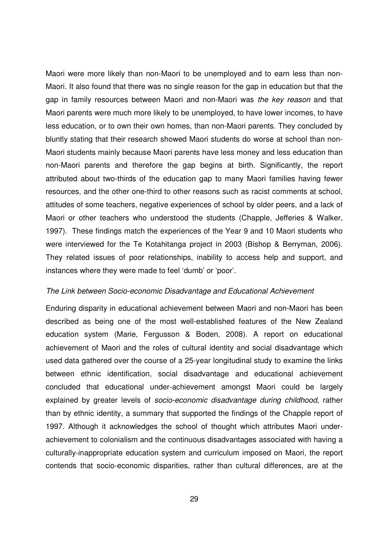Maori were more likely than non-Maori to be unemployed and to earn less than non-Maori. It also found that there was no single reason for the gap in education but that the gap in family resources between Maori and non-Maori was the key reason and that Maori parents were much more likely to be unemployed, to have lower incomes, to have less education, or to own their own homes, than non-Maori parents. They concluded by bluntly stating that their research showed Maori students do worse at school than non-Maori students mainly because Maori parents have less money and less education than non-Maori parents and therefore the gap begins at birth. Significantly, the report attributed about two-thirds of the education gap to many Maori families having fewer resources, and the other one-third to other reasons such as racist comments at school, attitudes of some teachers, negative experiences of school by older peers, and a lack of Maori or other teachers who understood the students (Chapple, Jefferies & Walker, 1997). These findings match the experiences of the Year 9 and 10 Maori students who were interviewed for the Te Kotahitanga project in 2003 (Bishop & Berryman, 2006). They related issues of poor relationships, inability to access help and support, and instances where they were made to feel 'dumb' or 'poor'.

#### The Link between Socio-economic Disadvantage and Educational Achievement

Enduring disparity in educational achievement between Maori and non-Maori has been described as being one of the most well-established features of the New Zealand education system (Marie, Fergusson & Boden, 2008). A report on educational achievement of Maori and the roles of cultural identity and social disadvantage which used data gathered over the course of a 25-year longitudinal study to examine the links between ethnic identification, social disadvantage and educational achievement concluded that educational under-achievement amongst Maori could be largely explained by greater levels of socio-economic disadvantage during childhood, rather than by ethnic identity, a summary that supported the findings of the Chapple report of 1997. Although it acknowledges the school of thought which attributes Maori underachievement to colonialism and the continuous disadvantages associated with having a culturally-inappropriate education system and curriculum imposed on Maori, the report contends that socio-economic disparities, rather than cultural differences, are at the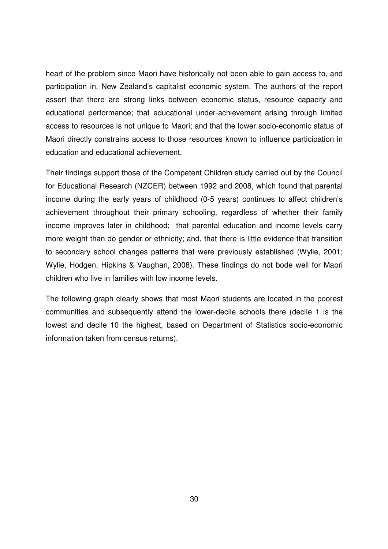heart of the problem since Maori have historically not been able to gain access to, and participation in, New Zealand's capitalist economic system. The authors of the report assert that there are strong links between economic status, resource capacity and educational performance; that educational under-achievement arising through limited access to resources is not unique to Maori; and that the lower socio-economic status of Maori directly constrains access to those resources known to influence participation in education and educational achievement.

Their findings support those of the Competent Children study carried out by the Council for Educational Research (NZCER) between 1992 and 2008, which found that parental income during the early years of childhood (0-5 years) continues to affect children's achievement throughout their primary schooling, regardless of whether their family income improves later in childhood; that parental education and income levels carry more weight than do gender or ethnicity; and, that there is little evidence that transition to secondary school changes patterns that were previously established (Wylie, 2001; Wylie, Hodgen, Hipkins & Vaughan, 2008). These findings do not bode well for Maori children who live in families with low income levels.

The following graph clearly shows that most Maori students are located in the poorest communities and subsequently attend the lower-decile schools there (decile 1 is the lowest and decile 10 the highest, based on Department of Statistics socio-economic information taken from census returns).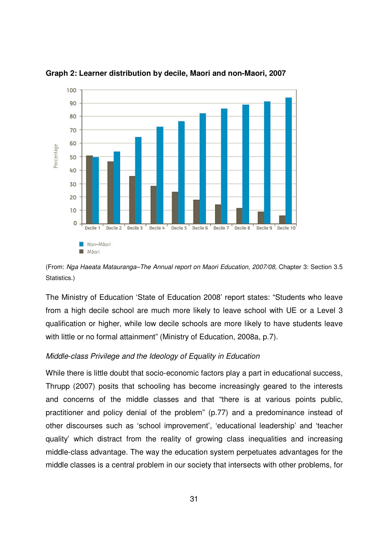

**Graph 2: Learner distribution by decile, Maori and non-Maori, 2007** 

(From: Nga Haeata Matauranga–The Annual report on Maori Education, 2007/08, Chapter 3: Section 3.5 Statistics.)

The Ministry of Education 'State of Education 2008' report states: "Students who leave from a high decile school are much more likely to leave school with UE or a Level 3 qualification or higher, while low decile schools are more likely to have students leave with little or no formal attainment" (Ministry of Education, 2008a, p.7).

### Middle-class Privilege and the Ideology of Equality in Education

While there is little doubt that socio-economic factors play a part in educational success, Thrupp (2007) posits that schooling has become increasingly geared to the interests and concerns of the middle classes and that "there is at various points public, practitioner and policy denial of the problem" (p.77) and a predominance instead of other discourses such as 'school improvement', 'educational leadership' and 'teacher quality' which distract from the reality of growing class inequalities and increasing middle-class advantage. The way the education system perpetuates advantages for the middle classes is a central problem in our society that intersects with other problems, for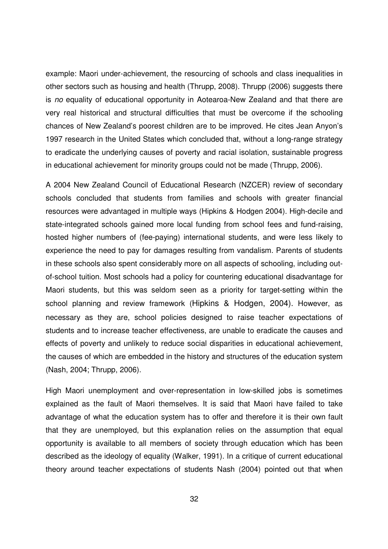example: Maori under-achievement, the resourcing of schools and class inequalities in other sectors such as housing and health (Thrupp, 2008). Thrupp (2006) suggests there is no equality of educational opportunity in Aotearoa-New Zealand and that there are very real historical and structural difficulties that must be overcome if the schooling chances of New Zealand's poorest children are to be improved. He cites Jean Anyon's 1997 research in the United States which concluded that, without a long-range strategy to eradicate the underlying causes of poverty and racial isolation, sustainable progress in educational achievement for minority groups could not be made (Thrupp, 2006).

A 2004 New Zealand Council of Educational Research (NZCER) review of secondary schools concluded that students from families and schools with greater financial resources were advantaged in multiple ways (Hipkins & Hodgen 2004). High-decile and state-integrated schools gained more local funding from school fees and fund-raising, hosted higher numbers of (fee-paying) international students, and were less likely to experience the need to pay for damages resulting from vandalism. Parents of students in these schools also spent considerably more on all aspects of schooling, including outof-school tuition. Most schools had a policy for countering educational disadvantage for Maori students, but this was seldom seen as a priority for target-setting within the school planning and review framework (Hipkins & Hodgen, 2004). However, as necessary as they are, school policies designed to raise teacher expectations of students and to increase teacher effectiveness, are unable to eradicate the causes and effects of poverty and unlikely to reduce social disparities in educational achievement, the causes of which are embedded in the history and structures of the education system (Nash, 2004; Thrupp, 2006).

High Maori unemployment and over-representation in low-skilled jobs is sometimes explained as the fault of Maori themselves. It is said that Maori have failed to take advantage of what the education system has to offer and therefore it is their own fault that they are unemployed, but this explanation relies on the assumption that equal opportunity is available to all members of society through education which has been described as the ideology of equality (Walker, 1991). In a critique of current educational theory around teacher expectations of students Nash (2004) pointed out that when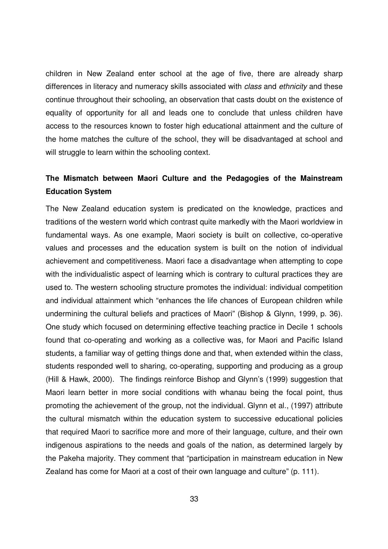children in New Zealand enter school at the age of five, there are already sharp differences in literacy and numeracy skills associated with *class* and *ethnicity* and these continue throughout their schooling, an observation that casts doubt on the existence of equality of opportunity for all and leads one to conclude that unless children have access to the resources known to foster high educational attainment and the culture of the home matches the culture of the school, they will be disadvantaged at school and will struggle to learn within the schooling context.

# **The Mismatch between Maori Culture and the Pedagogies of the Mainstream Education System**

The New Zealand education system is predicated on the knowledge, practices and traditions of the western world which contrast quite markedly with the Maori worldview in fundamental ways. As one example, Maori society is built on collective, co-operative values and processes and the education system is built on the notion of individual achievement and competitiveness. Maori face a disadvantage when attempting to cope with the individualistic aspect of learning which is contrary to cultural practices they are used to. The western schooling structure promotes the individual: individual competition and individual attainment which "enhances the life chances of European children while undermining the cultural beliefs and practices of Maori" (Bishop & Glynn, 1999, p. 36). One study which focused on determining effective teaching practice in Decile 1 schools found that co-operating and working as a collective was, for Maori and Pacific Island students, a familiar way of getting things done and that, when extended within the class, students responded well to sharing, co-operating, supporting and producing as a group (Hill & Hawk, 2000). The findings reinforce Bishop and Glynn's (1999) suggestion that Maori learn better in more social conditions with whanau being the focal point, thus promoting the achievement of the group, not the individual. Glynn et al., (1997) attribute the cultural mismatch within the education system to successive educational policies that required Maori to sacrifice more and more of their language, culture, and their own indigenous aspirations to the needs and goals of the nation, as determined largely by the Pakeha majority. They comment that "participation in mainstream education in New Zealand has come for Maori at a cost of their own language and culture" (p. 111).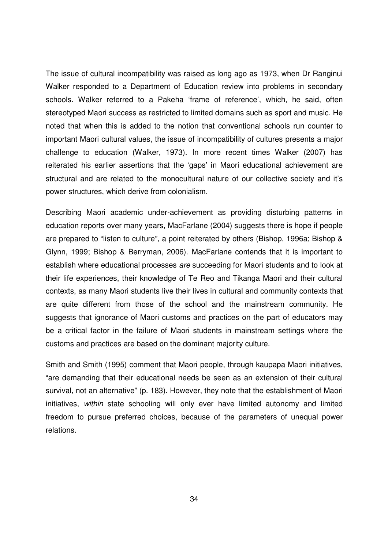The issue of cultural incompatibility was raised as long ago as 1973, when Dr Ranginui Walker responded to a Department of Education review into problems in secondary schools. Walker referred to a Pakeha 'frame of reference', which, he said, often stereotyped Maori success as restricted to limited domains such as sport and music. He noted that when this is added to the notion that conventional schools run counter to important Maori cultural values, the issue of incompatibility of cultures presents a major challenge to education (Walker, 1973). In more recent times Walker (2007) has reiterated his earlier assertions that the 'gaps' in Maori educational achievement are structural and are related to the monocultural nature of our collective society and it's power structures, which derive from colonialism.

Describing Maori academic under-achievement as providing disturbing patterns in education reports over many years, MacFarlane (2004) suggests there is hope if people are prepared to "listen to culture", a point reiterated by others (Bishop, 1996a; Bishop & Glynn, 1999; Bishop & Berryman, 2006). MacFarlane contends that it is important to establish where educational processes are succeeding for Maori students and to look at their life experiences, their knowledge of Te Reo and Tikanga Maori and their cultural contexts, as many Maori students live their lives in cultural and community contexts that are quite different from those of the school and the mainstream community. He suggests that ignorance of Maori customs and practices on the part of educators may be a critical factor in the failure of Maori students in mainstream settings where the customs and practices are based on the dominant majority culture.

Smith and Smith (1995) comment that Maori people, through kaupapa Maori initiatives, "are demanding that their educational needs be seen as an extension of their cultural survival, not an alternative" (p. 183). However, they note that the establishment of Maori initiatives, within state schooling will only ever have limited autonomy and limited freedom to pursue preferred choices, because of the parameters of unequal power relations.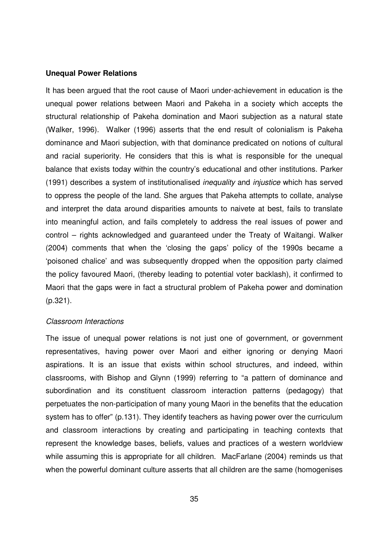#### **Unequal Power Relations**

It has been argued that the root cause of Maori under-achievement in education is the unequal power relations between Maori and Pakeha in a society which accepts the structural relationship of Pakeha domination and Maori subjection as a natural state (Walker, 1996). Walker (1996) asserts that the end result of colonialism is Pakeha dominance and Maori subjection, with that dominance predicated on notions of cultural and racial superiority. He considers that this is what is responsible for the unequal balance that exists today within the country's educational and other institutions. Parker (1991) describes a system of institutionalised inequality and injustice which has served to oppress the people of the land. She argues that Pakeha attempts to collate, analyse and interpret the data around disparities amounts to naivete at best, fails to translate into meaningful action, and fails completely to address the real issues of power and control – rights acknowledged and guaranteed under the Treaty of Waitangi. Walker (2004) comments that when the 'closing the gaps' policy of the 1990s became a 'poisoned chalice' and was subsequently dropped when the opposition party claimed the policy favoured Maori, (thereby leading to potential voter backlash), it confirmed to Maori that the gaps were in fact a structural problem of Pakeha power and domination (p.321).

#### Classroom Interactions

The issue of unequal power relations is not just one of government, or government representatives, having power over Maori and either ignoring or denying Maori aspirations. It is an issue that exists within school structures, and indeed, within classrooms, with Bishop and Glynn (1999) referring to "a pattern of dominance and subordination and its constituent classroom interaction patterns (pedagogy) that perpetuates the non-participation of many young Maori in the benefits that the education system has to offer" (p.131). They identify teachers as having power over the curriculum and classroom interactions by creating and participating in teaching contexts that represent the knowledge bases, beliefs, values and practices of a western worldview while assuming this is appropriate for all children. MacFarlane (2004) reminds us that when the powerful dominant culture asserts that all children are the same (homogenises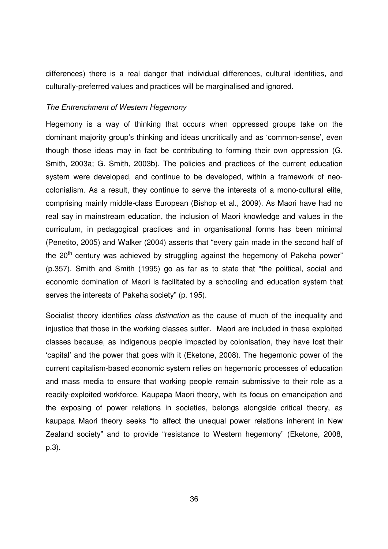differences) there is a real danger that individual differences, cultural identities, and culturally-preferred values and practices will be marginalised and ignored.

### The Entrenchment of Western Hegemony

Hegemony is a way of thinking that occurs when oppressed groups take on the dominant majority group's thinking and ideas uncritically and as 'common-sense', even though those ideas may in fact be contributing to forming their own oppression (G. Smith, 2003a; G. Smith, 2003b). The policies and practices of the current education system were developed, and continue to be developed, within a framework of neocolonialism. As a result, they continue to serve the interests of a mono-cultural elite, comprising mainly middle-class European (Bishop et al., 2009). As Maori have had no real say in mainstream education, the inclusion of Maori knowledge and values in the curriculum, in pedagogical practices and in organisational forms has been minimal (Penetito, 2005) and Walker (2004) asserts that "every gain made in the second half of the  $20<sup>th</sup>$  century was achieved by struggling against the hegemony of Pakeha power" (p.357). Smith and Smith (1995) go as far as to state that "the political, social and economic domination of Maori is facilitated by a schooling and education system that serves the interests of Pakeha society" (p. 195).

Socialist theory identifies *class distinction* as the cause of much of the inequality and injustice that those in the working classes suffer. Maori are included in these exploited classes because, as indigenous people impacted by colonisation, they have lost their 'capital' and the power that goes with it (Eketone, 2008). The hegemonic power of the current capitalism-based economic system relies on hegemonic processes of education and mass media to ensure that working people remain submissive to their role as a readily-exploited workforce. Kaupapa Maori theory, with its focus on emancipation and the exposing of power relations in societies, belongs alongside critical theory, as kaupapa Maori theory seeks "to affect the unequal power relations inherent in New Zealand society" and to provide "resistance to Western hegemony" (Eketone, 2008, p.3).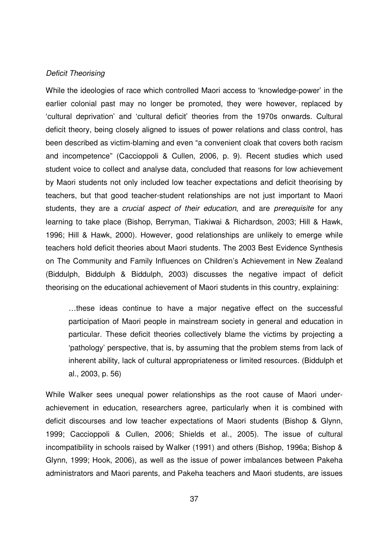#### Deficit Theorising

While the ideologies of race which controlled Maori access to 'knowledge-power' in the earlier colonial past may no longer be promoted, they were however, replaced by 'cultural deprivation' and 'cultural deficit' theories from the 1970s onwards. Cultural deficit theory, being closely aligned to issues of power relations and class control, has been described as victim-blaming and even "a convenient cloak that covers both racism and incompetence" (Caccioppoli & Cullen, 2006, p. 9). Recent studies which used student voice to collect and analyse data, concluded that reasons for low achievement by Maori students not only included low teacher expectations and deficit theorising by teachers, but that good teacher-student relationships are not just important to Maori students, they are a crucial aspect of their education, and are prerequisite for any learning to take place (Bishop, Berryman, Tiakiwai & Richardson, 2003; Hill & Hawk, 1996; Hill & Hawk, 2000). However, good relationships are unlikely to emerge while teachers hold deficit theories about Maori students. The 2003 Best Evidence Synthesis on The Community and Family Influences on Children's Achievement in New Zealand (Biddulph, Biddulph & Biddulph, 2003) discusses the negative impact of deficit theorising on the educational achievement of Maori students in this country, explaining:

…these ideas continue to have a major negative effect on the successful participation of Maori people in mainstream society in general and education in particular. These deficit theories collectively blame the victims by projecting a 'pathology' perspective, that is, by assuming that the problem stems from lack of inherent ability, lack of cultural appropriateness or limited resources. (Biddulph et al., 2003, p. 56)

While Walker sees unequal power relationships as the root cause of Maori underachievement in education, researchers agree, particularly when it is combined with deficit discourses and low teacher expectations of Maori students (Bishop & Glynn, 1999; Caccioppoli & Cullen, 2006; Shields et al., 2005). The issue of cultural incompatibility in schools raised by Walker (1991) and others (Bishop, 1996a; Bishop & Glynn, 1999; Hook, 2006), as well as the issue of power imbalances between Pakeha administrators and Maori parents, and Pakeha teachers and Maori students, are issues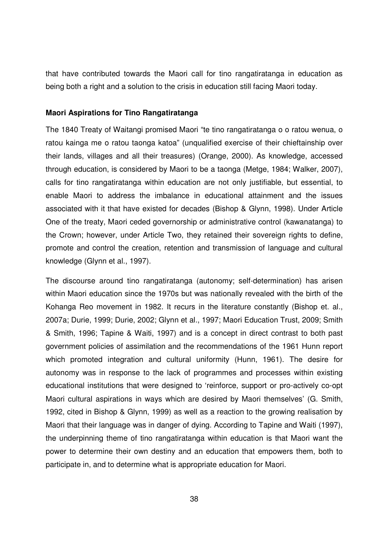that have contributed towards the Maori call for tino rangatiratanga in education as being both a right and a solution to the crisis in education still facing Maori today.

#### **Maori Aspirations for Tino Rangatiratanga**

The 1840 Treaty of Waitangi promised Maori "te tino rangatiratanga o o ratou wenua, o ratou kainga me o ratou taonga katoa" (unqualified exercise of their chieftainship over their lands, villages and all their treasures) (Orange, 2000). As knowledge, accessed through education, is considered by Maori to be a taonga (Metge, 1984; Walker, 2007), calls for tino rangatiratanga within education are not only justifiable, but essential, to enable Maori to address the imbalance in educational attainment and the issues associated with it that have existed for decades (Bishop & Glynn, 1998). Under Article One of the treaty, Maori ceded governorship or administrative control (kawanatanga) to the Crown; however, under Article Two, they retained their sovereign rights to define, promote and control the creation, retention and transmission of language and cultural knowledge (Glynn et al., 1997).

The discourse around tino rangatiratanga (autonomy; self-determination) has arisen within Maori education since the 1970s but was nationally revealed with the birth of the Kohanga Reo movement in 1982. It recurs in the literature constantly (Bishop et. al., 2007a; Durie, 1999; Durie, 2002; Glynn et al., 1997; Maori Education Trust, 2009; Smith & Smith, 1996; Tapine & Waiti, 1997) and is a concept in direct contrast to both past government policies of assimilation and the recommendations of the 1961 Hunn report which promoted integration and cultural uniformity (Hunn, 1961). The desire for autonomy was in response to the lack of programmes and processes within existing educational institutions that were designed to 'reinforce, support or pro-actively co-opt Maori cultural aspirations in ways which are desired by Maori themselves' (G. Smith, 1992, cited in Bishop & Glynn, 1999) as well as a reaction to the growing realisation by Maori that their language was in danger of dying. According to Tapine and Waiti (1997), the underpinning theme of tino rangatiratanga within education is that Maori want the power to determine their own destiny and an education that empowers them, both to participate in, and to determine what is appropriate education for Maori.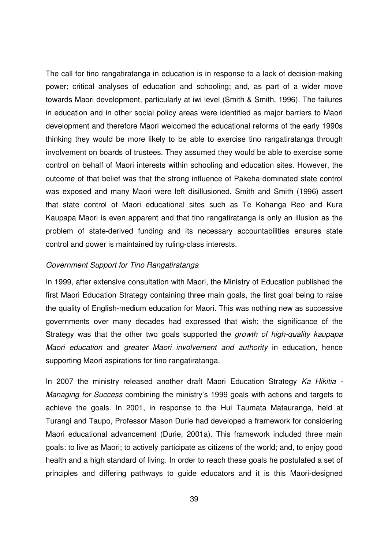The call for tino rangatiratanga in education is in response to a lack of decision-making power; critical analyses of education and schooling; and, as part of a wider move towards Maori development, particularly at iwi level (Smith & Smith, 1996). The failures in education and in other social policy areas were identified as major barriers to Maori development and therefore Maori welcomed the educational reforms of the early 1990s thinking they would be more likely to be able to exercise tino rangatiratanga through involvement on boards of trustees. They assumed they would be able to exercise some control on behalf of Maori interests within schooling and education sites. However, the outcome of that belief was that the strong influence of Pakeha-dominated state control was exposed and many Maori were left disillusioned. Smith and Smith (1996) assert that state control of Maori educational sites such as Te Kohanga Reo and Kura Kaupapa Maori is even apparent and that tino rangatiratanga is only an illusion as the problem of state-derived funding and its necessary accountabilities ensures state control and power is maintained by ruling-class interests.

### Government Support for Tino Rangatiratanga

In 1999, after extensive consultation with Maori, the Ministry of Education published the first Maori Education Strategy containing three main goals, the first goal being to raise the quality of English-medium education for Maori. This was nothing new as successive governments over many decades had expressed that wish; the significance of the Strategy was that the other two goals supported the growth of high-quality kaupapa Maori education and greater Maori involvement and authority in education, hence supporting Maori aspirations for tino rangatiratanga.

In 2007 the ministry released another draft Maori Education Strategy Ka Hikitia -Managing for Success combining the ministry's 1999 goals with actions and targets to achieve the goals. In 2001, in response to the Hui Taumata Matauranga, held at Turangi and Taupo, Professor Mason Durie had developed a framework for considering Maori educational advancement (Durie, 2001a). This framework included three main goals: to live as Maori; to actively participate as citizens of the world; and, to enjoy good health and a high standard of living. In order to reach these goals he postulated a set of principles and differing pathways to guide educators and it is this Maori-designed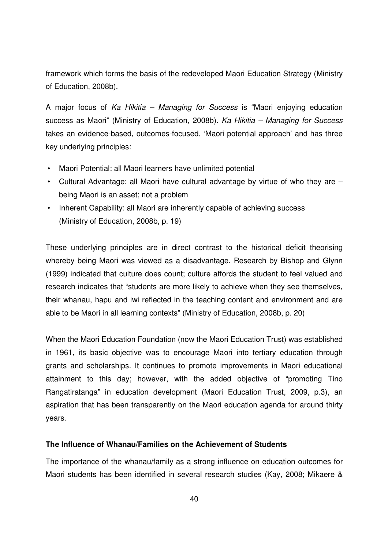framework which forms the basis of the redeveloped Maori Education Strategy (Ministry of Education, 2008b).

A major focus of Ka Hikitia – Managing for Success is "Maori enjoying education success as Maori" (Ministry of Education, 2008b). Ka Hikitia – Managing for Success takes an evidence-based, outcomes-focused, 'Maori potential approach' and has three key underlying principles:

- Maori Potential: all Maori learners have unlimited potential
- Cultural Advantage: all Maori have cultural advantage by virtue of who they are being Maori is an asset; not a problem
- Inherent Capability: all Maori are inherently capable of achieving success (Ministry of Education, 2008b, p. 19)

These underlying principles are in direct contrast to the historical deficit theorising whereby being Maori was viewed as a disadvantage. Research by Bishop and Glynn (1999) indicated that culture does count; culture affords the student to feel valued and research indicates that "students are more likely to achieve when they see themselves, their whanau, hapu and iwi reflected in the teaching content and environment and are able to be Maori in all learning contexts" (Ministry of Education, 2008b, p. 20)

When the Maori Education Foundation (now the Maori Education Trust) was established in 1961, its basic objective was to encourage Maori into tertiary education through grants and scholarships. It continues to promote improvements in Maori educational attainment to this day; however, with the added objective of "promoting Tino Rangatiratanga" in education development (Maori Education Trust, 2009, p.3), an aspiration that has been transparently on the Maori education agenda for around thirty years.

# **The Influence of Whanau/Families on the Achievement of Students**

The importance of the whanau/family as a strong influence on education outcomes for Maori students has been identified in several research studies (Kay, 2008; Mikaere &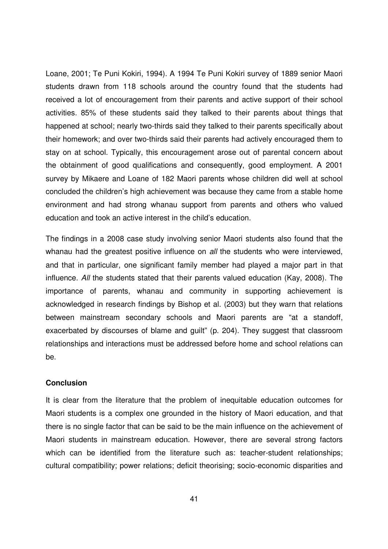Loane, 2001; Te Puni Kokiri, 1994). A 1994 Te Puni Kokiri survey of 1889 senior Maori students drawn from 118 schools around the country found that the students had received a lot of encouragement from their parents and active support of their school activities. 85% of these students said they talked to their parents about things that happened at school; nearly two-thirds said they talked to their parents specifically about their homework; and over two-thirds said their parents had actively encouraged them to stay on at school. Typically, this encouragement arose out of parental concern about the obtainment of good qualifications and consequently, good employment. A 2001 survey by Mikaere and Loane of 182 Maori parents whose children did well at school concluded the children's high achievement was because they came from a stable home environment and had strong whanau support from parents and others who valued education and took an active interest in the child's education.

The findings in a 2008 case study involving senior Maori students also found that the whanau had the greatest positive influence on all the students who were interviewed, and that in particular, one significant family member had played a major part in that influence. All the students stated that their parents valued education (Kay, 2008). The importance of parents, whanau and community in supporting achievement is acknowledged in research findings by Bishop et al. (2003) but they warn that relations between mainstream secondary schools and Maori parents are "at a standoff, exacerbated by discourses of blame and guilt" (p. 204). They suggest that classroom relationships and interactions must be addressed before home and school relations can be.

### **Conclusion**

It is clear from the literature that the problem of inequitable education outcomes for Maori students is a complex one grounded in the history of Maori education, and that there is no single factor that can be said to be the main influence on the achievement of Maori students in mainstream education. However, there are several strong factors which can be identified from the literature such as: teacher-student relationships; cultural compatibility; power relations; deficit theorising; socio-economic disparities and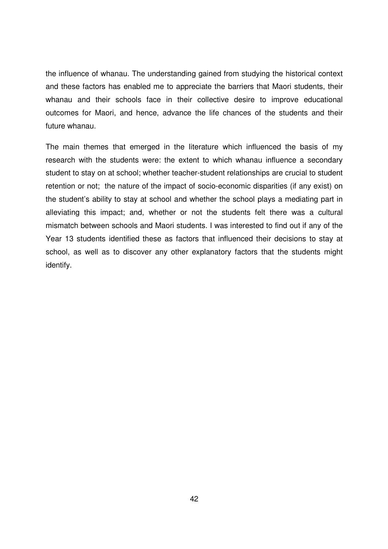the influence of whanau. The understanding gained from studying the historical context and these factors has enabled me to appreciate the barriers that Maori students, their whanau and their schools face in their collective desire to improve educational outcomes for Maori, and hence, advance the life chances of the students and their future whanau.

The main themes that emerged in the literature which influenced the basis of my research with the students were: the extent to which whanau influence a secondary student to stay on at school; whether teacher-student relationships are crucial to student retention or not; the nature of the impact of socio-economic disparities (if any exist) on the student's ability to stay at school and whether the school plays a mediating part in alleviating this impact; and, whether or not the students felt there was a cultural mismatch between schools and Maori students. I was interested to find out if any of the Year 13 students identified these as factors that influenced their decisions to stay at school, as well as to discover any other explanatory factors that the students might identify.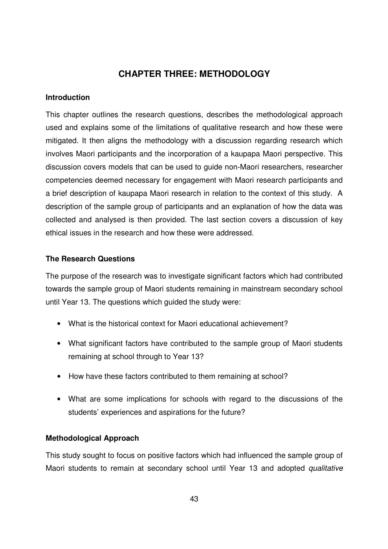# **CHAPTER THREE: METHODOLOGY**

### **Introduction**

This chapter outlines the research questions, describes the methodological approach used and explains some of the limitations of qualitative research and how these were mitigated. It then aligns the methodology with a discussion regarding research which involves Maori participants and the incorporation of a kaupapa Maori perspective. This discussion covers models that can be used to guide non-Maori researchers, researcher competencies deemed necessary for engagement with Maori research participants and a brief description of kaupapa Maori research in relation to the context of this study. A description of the sample group of participants and an explanation of how the data was collected and analysed is then provided. The last section covers a discussion of key ethical issues in the research and how these were addressed.

# **The Research Questions**

The purpose of the research was to investigate significant factors which had contributed towards the sample group of Maori students remaining in mainstream secondary school until Year 13. The questions which guided the study were:

- What is the historical context for Maori educational achievement?
- What significant factors have contributed to the sample group of Maori students remaining at school through to Year 13?
- How have these factors contributed to them remaining at school?
- What are some implications for schools with regard to the discussions of the students' experiences and aspirations for the future?

# **Methodological Approach**

This study sought to focus on positive factors which had influenced the sample group of Maori students to remain at secondary school until Year 13 and adopted qualitative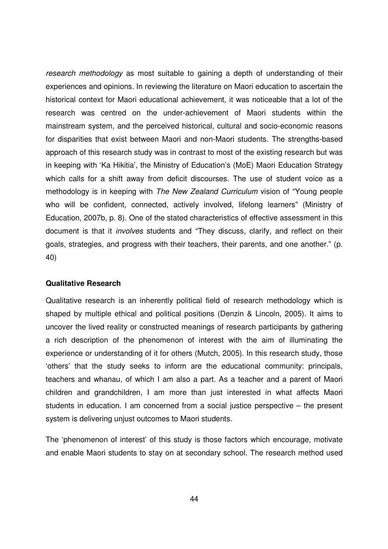research methodology as most suitable to gaining a depth of understanding of their experiences and opinions. In reviewing the literature on Maori education to ascertain the historical context for Maori educational achievement, it was noticeable that a lot of the research was centred on the under-achievement of Maori students within the mainstream system, and the perceived historical, cultural and socio-economic reasons for disparities that exist between Maori and non-Maori students. The strengths-based approach of this research study was in contrast to most of the existing research but was in keeping with 'Ka Hikitia', the Ministry of Education's (MoE) Maori Education Strategy which calls for a shift away from deficit discourses. The use of student voice as a methodology is in keeping with The New Zealand Curriculum vision of "Young people who will be confident, connected, actively involved, lifelong learners" (Ministry of Education, 2007b, p. 8). One of the stated characteristics of effective assessment in this document is that it involves students and "They discuss, clarify, and reflect on their goals, strategies, and progress with their teachers, their parents, and one another." (p. 40)

### **Qualitative Research**

Qualitative research is an inherently political field of research methodology which is shaped by multiple ethical and political positions (Denzin & Lincoln, 2005). It aims to uncover the lived reality or constructed meanings of research participants by gathering a rich description of the phenomenon of interest with the aim of illuminating the experience or understanding of it for others (Mutch, 2005). In this research study, those 'others' that the study seeks to inform are the educational community: principals, teachers and whanau, of which I am also a part. As a teacher and a parent of Maori children and grandchildren, I am more than just interested in what affects Maori students in education. I am concerned from a social justice perspective – the present system is delivering unjust outcomes to Maori students.

The 'phenomenon of interest' of this study is those factors which encourage, motivate and enable Maori students to stay on at secondary school. The research method used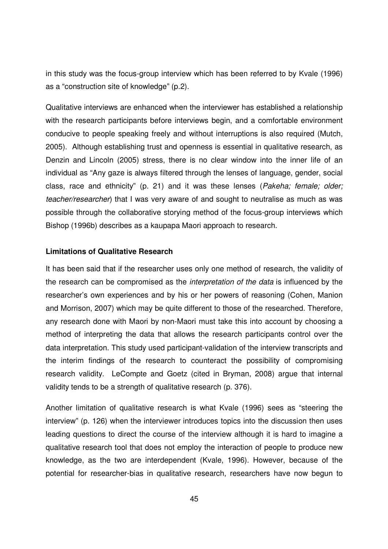in this study was the focus-group interview which has been referred to by Kvale (1996) as a "construction site of knowledge" (p.2).

Qualitative interviews are enhanced when the interviewer has established a relationship with the research participants before interviews begin, and a comfortable environment conducive to people speaking freely and without interruptions is also required (Mutch, 2005). Although establishing trust and openness is essential in qualitative research, as Denzin and Lincoln (2005) stress, there is no clear window into the inner life of an individual as "Any gaze is always filtered through the lenses of language, gender, social class, race and ethnicity" (p. 21) and it was these lenses (Pakeha; female; older; teacher/researcher) that I was very aware of and sought to neutralise as much as was possible through the collaborative storying method of the focus-group interviews which Bishop (1996b) describes as a kaupapa Maori approach to research.

### **Limitations of Qualitative Research**

It has been said that if the researcher uses only one method of research, the validity of the research can be compromised as the *interpretation of the data* is influenced by the researcher's own experiences and by his or her powers of reasoning (Cohen, Manion and Morrison, 2007) which may be quite different to those of the researched. Therefore, any research done with Maori by non-Maori must take this into account by choosing a method of interpreting the data that allows the research participants control over the data interpretation. This study used participant-validation of the interview transcripts and the interim findings of the research to counteract the possibility of compromising research validity. LeCompte and Goetz (cited in Bryman, 2008) argue that internal validity tends to be a strength of qualitative research (p. 376).

Another limitation of qualitative research is what Kvale (1996) sees as "steering the interview" (p. 126) when the interviewer introduces topics into the discussion then uses leading questions to direct the course of the interview although it is hard to imagine a qualitative research tool that does not employ the interaction of people to produce new knowledge, as the two are interdependent (Kvale, 1996). However, because of the potential for researcher-bias in qualitative research, researchers have now begun to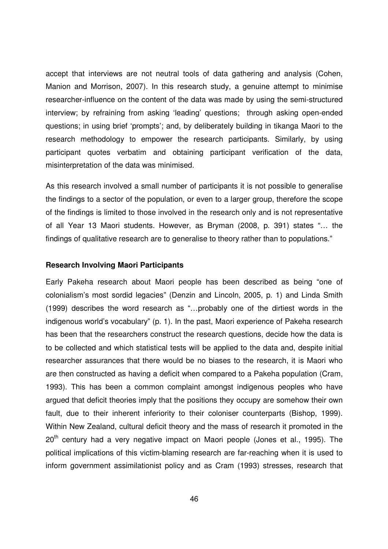accept that interviews are not neutral tools of data gathering and analysis (Cohen, Manion and Morrison, 2007). In this research study, a genuine attempt to minimise researcher-influence on the content of the data was made by using the semi-structured interview; by refraining from asking 'leading' questions; through asking open-ended questions; in using brief 'prompts'; and, by deliberately building in tikanga Maori to the research methodology to empower the research participants. Similarly, by using participant quotes verbatim and obtaining participant verification of the data, misinterpretation of the data was minimised.

As this research involved a small number of participants it is not possible to generalise the findings to a sector of the population, or even to a larger group, therefore the scope of the findings is limited to those involved in the research only and is not representative of all Year 13 Maori students. However, as Bryman (2008, p. 391) states "… the findings of qualitative research are to generalise to theory rather than to populations."

#### **Research Involving Maori Participants**

Early Pakeha research about Maori people has been described as being "one of colonialism's most sordid legacies" (Denzin and Lincoln, 2005, p. 1) and Linda Smith (1999) describes the word research as "…probably one of the dirtiest words in the indigenous world's vocabulary" (p. 1). In the past, Maori experience of Pakeha research has been that the researchers construct the research questions, decide how the data is to be collected and which statistical tests will be applied to the data and, despite initial researcher assurances that there would be no biases to the research, it is Maori who are then constructed as having a deficit when compared to a Pakeha population (Cram, 1993). This has been a common complaint amongst indigenous peoples who have argued that deficit theories imply that the positions they occupy are somehow their own fault, due to their inherent inferiority to their coloniser counterparts (Bishop, 1999). Within New Zealand, cultural deficit theory and the mass of research it promoted in the  $20<sup>th</sup>$  century had a very negative impact on Maori people (Jones et al., 1995). The political implications of this victim-blaming research are far-reaching when it is used to inform government assimilationist policy and as Cram (1993) stresses, research that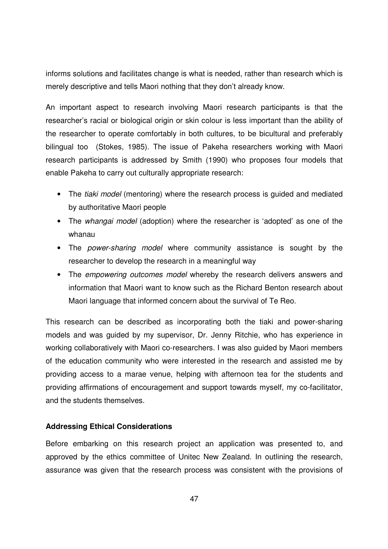informs solutions and facilitates change is what is needed, rather than research which is merely descriptive and tells Maori nothing that they don't already know.

An important aspect to research involving Maori research participants is that the researcher's racial or biological origin or skin colour is less important than the ability of the researcher to operate comfortably in both cultures, to be bicultural and preferably bilingual too (Stokes, 1985). The issue of Pakeha researchers working with Maori research participants is addressed by Smith (1990) who proposes four models that enable Pakeha to carry out culturally appropriate research:

- The tiaki model (mentoring) where the research process is guided and mediated by authoritative Maori people
- The whangai model (adoption) where the researcher is 'adopted' as one of the whanau
- The *power-sharing model* where community assistance is sought by the researcher to develop the research in a meaningful way
- The empowering outcomes model whereby the research delivers answers and information that Maori want to know such as the Richard Benton research about Maori language that informed concern about the survival of Te Reo.

This research can be described as incorporating both the tiaki and power-sharing models and was guided by my supervisor, Dr. Jenny Ritchie, who has experience in working collaboratively with Maori co-researchers. I was also guided by Maori members of the education community who were interested in the research and assisted me by providing access to a marae venue, helping with afternoon tea for the students and providing affirmations of encouragement and support towards myself, my co-facilitator, and the students themselves.

# **Addressing Ethical Considerations**

Before embarking on this research project an application was presented to, and approved by the ethics committee of Unitec New Zealand. In outlining the research, assurance was given that the research process was consistent with the provisions of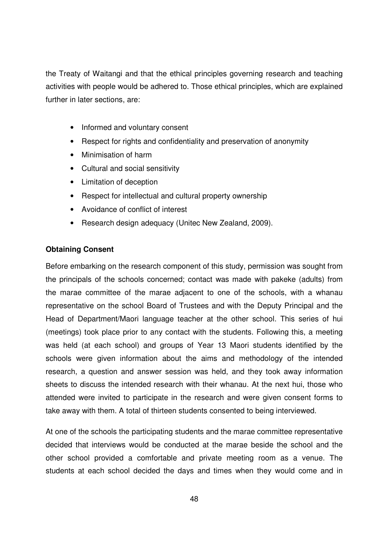the Treaty of Waitangi and that the ethical principles governing research and teaching activities with people would be adhered to. Those ethical principles, which are explained further in later sections, are:

- Informed and voluntary consent
- Respect for rights and confidentiality and preservation of anonymity
- Minimisation of harm
- Cultural and social sensitivity
- Limitation of deception
- Respect for intellectual and cultural property ownership
- Avoidance of conflict of interest
- Research design adequacy (Unitec New Zealand, 2009).

# **Obtaining Consent**

Before embarking on the research component of this study, permission was sought from the principals of the schools concerned; contact was made with pakeke (adults) from the marae committee of the marae adjacent to one of the schools, with a whanau representative on the school Board of Trustees and with the Deputy Principal and the Head of Department/Maori language teacher at the other school. This series of hui (meetings) took place prior to any contact with the students. Following this, a meeting was held (at each school) and groups of Year 13 Maori students identified by the schools were given information about the aims and methodology of the intended research, a question and answer session was held, and they took away information sheets to discuss the intended research with their whanau. At the next hui, those who attended were invited to participate in the research and were given consent forms to take away with them. A total of thirteen students consented to being interviewed.

At one of the schools the participating students and the marae committee representative decided that interviews would be conducted at the marae beside the school and the other school provided a comfortable and private meeting room as a venue. The students at each school decided the days and times when they would come and in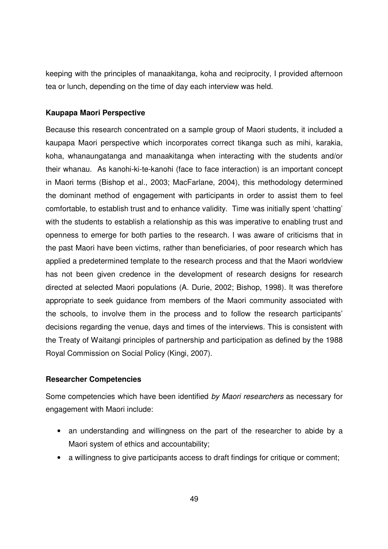keeping with the principles of manaakitanga, koha and reciprocity, I provided afternoon tea or lunch, depending on the time of day each interview was held.

### **Kaupapa Maori Perspective**

Because this research concentrated on a sample group of Maori students, it included a kaupapa Maori perspective which incorporates correct tikanga such as mihi, karakia, koha, whanaungatanga and manaakitanga when interacting with the students and/or their whanau. As kanohi-ki-te-kanohi (face to face interaction) is an important concept in Maori terms (Bishop et al., 2003; MacFarlane, 2004), this methodology determined the dominant method of engagement with participants in order to assist them to feel comfortable, to establish trust and to enhance validity. Time was initially spent 'chatting' with the students to establish a relationship as this was imperative to enabling trust and openness to emerge for both parties to the research. I was aware of criticisms that in the past Maori have been victims, rather than beneficiaries, of poor research which has applied a predetermined template to the research process and that the Maori worldview has not been given credence in the development of research designs for research directed at selected Maori populations (A. Durie, 2002; Bishop, 1998). It was therefore appropriate to seek guidance from members of the Maori community associated with the schools, to involve them in the process and to follow the research participants' decisions regarding the venue, days and times of the interviews. This is consistent with the Treaty of Waitangi principles of partnership and participation as defined by the 1988 Royal Commission on Social Policy (Kingi, 2007).

# **Researcher Competencies**

Some competencies which have been identified by Maori researchers as necessary for engagement with Maori include:

- an understanding and willingness on the part of the researcher to abide by a Maori system of ethics and accountability;
- a willingness to give participants access to draft findings for critique or comment;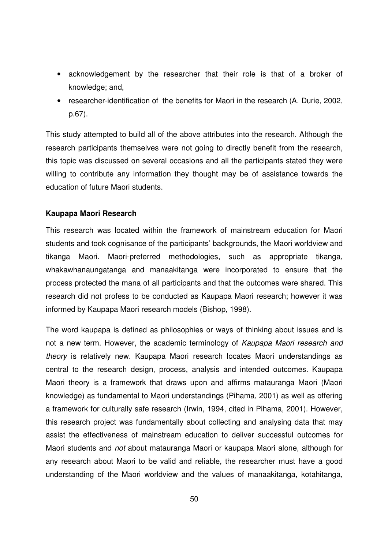- acknowledgement by the researcher that their role is that of a broker of knowledge; and,
- researcher-identification of the benefits for Maori in the research (A. Durie, 2002, p.67).

This study attempted to build all of the above attributes into the research. Although the research participants themselves were not going to directly benefit from the research, this topic was discussed on several occasions and all the participants stated they were willing to contribute any information they thought may be of assistance towards the education of future Maori students.

# **Kaupapa Maori Research**

This research was located within the framework of mainstream education for Maori students and took cognisance of the participants' backgrounds, the Maori worldview and tikanga Maori. Maori-preferred methodologies, such as appropriate tikanga, whakawhanaungatanga and manaakitanga were incorporated to ensure that the process protected the mana of all participants and that the outcomes were shared. This research did not profess to be conducted as Kaupapa Maori research; however it was informed by Kaupapa Maori research models (Bishop, 1998).

The word kaupapa is defined as philosophies or ways of thinking about issues and is not a new term. However, the academic terminology of Kaupapa Maori research and theory is relatively new. Kaupapa Maori research locates Maori understandings as central to the research design, process, analysis and intended outcomes. Kaupapa Maori theory is a framework that draws upon and affirms matauranga Maori (Maori knowledge) as fundamental to Maori understandings (Pihama, 2001) as well as offering a framework for culturally safe research (Irwin, 1994, cited in Pihama, 2001). However, this research project was fundamentally about collecting and analysing data that may assist the effectiveness of mainstream education to deliver successful outcomes for Maori students and not about matauranga Maori or kaupapa Maori alone, although for any research about Maori to be valid and reliable, the researcher must have a good understanding of the Maori worldview and the values of manaakitanga, kotahitanga,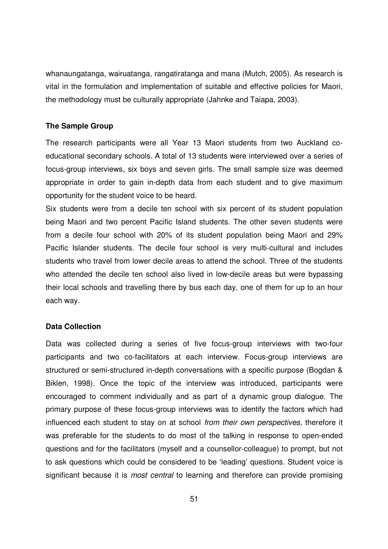whanaungatanga, wairuatanga, rangatiratanga and mana (Mutch, 2005). As research is vital in the formulation and implementation of suitable and effective policies for Maori, the methodology must be culturally appropriate (Jahnke and Taiapa, 2003).

### **The Sample Group**

The research participants were all Year 13 Maori students from two Auckland coeducational secondary schools. A total of 13 students were interviewed over a series of focus-group interviews, six boys and seven girls. The small sample size was deemed appropriate in order to gain in-depth data from each student and to give maximum opportunity for the student voice to be heard.

Six students were from a decile ten school with six percent of its student population being Maori and two percent Pacific Island students. The other seven students were from a decile four school with 20% of its student population being Maori and 29% Pacific Islander students. The decile four school is very multi-cultural and includes students who travel from lower decile areas to attend the school. Three of the students who attended the decile ten school also lived in low-decile areas but were bypassing their local schools and travelling there by bus each day, one of them for up to an hour each way.

### **Data Collection**

Data was collected during a series of five focus-group interviews with two-four participants and two co-facilitators at each interview. Focus-group interviews are structured or semi-structured in-depth conversations with a specific purpose (Bogdan & Biklen, 1998). Once the topic of the interview was introduced, participants were encouraged to comment individually and as part of a dynamic group dialogue. The primary purpose of these focus-group interviews was to identify the factors which had influenced each student to stay on at school from their own perspectives, therefore it was preferable for the students to do most of the talking in response to open-ended questions and for the facilitators (myself and a counsellor-colleague) to prompt, but not to ask questions which could be considered to be 'leading' questions. Student voice is significant because it is *most central* to learning and therefore can provide promising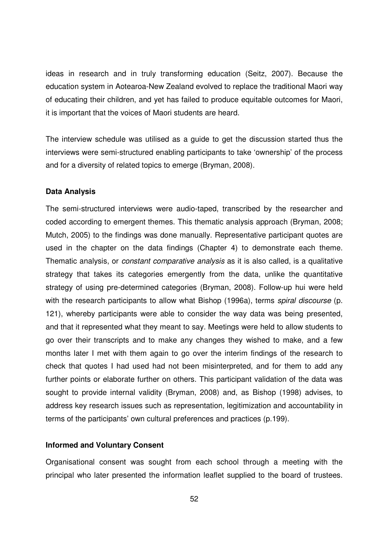ideas in research and in truly transforming education (Seitz, 2007). Because the education system in Aotearoa-New Zealand evolved to replace the traditional Maori way of educating their children, and yet has failed to produce equitable outcomes for Maori, it is important that the voices of Maori students are heard.

The interview schedule was utilised as a guide to get the discussion started thus the interviews were semi-structured enabling participants to take 'ownership' of the process and for a diversity of related topics to emerge (Bryman, 2008).

### **Data Analysis**

The semi-structured interviews were audio-taped, transcribed by the researcher and coded according to emergent themes. This thematic analysis approach (Bryman, 2008; Mutch, 2005) to the findings was done manually. Representative participant quotes are used in the chapter on the data findings (Chapter 4) to demonstrate each theme. Thematic analysis, or constant comparative analysis as it is also called, is a qualitative strategy that takes its categories emergently from the data, unlike the quantitative strategy of using pre-determined categories (Bryman, 2008). Follow-up hui were held with the research participants to allow what Bishop (1996a), terms *spiral discourse* (p. 121), whereby participants were able to consider the way data was being presented, and that it represented what they meant to say. Meetings were held to allow students to go over their transcripts and to make any changes they wished to make, and a few months later I met with them again to go over the interim findings of the research to check that quotes I had used had not been misinterpreted, and for them to add any further points or elaborate further on others. This participant validation of the data was sought to provide internal validity (Bryman, 2008) and, as Bishop (1998) advises, to address key research issues such as representation, legitimization and accountability in terms of the participants' own cultural preferences and practices (p.199).

### **Informed and Voluntary Consent**

Organisational consent was sought from each school through a meeting with the principal who later presented the information leaflet supplied to the board of trustees.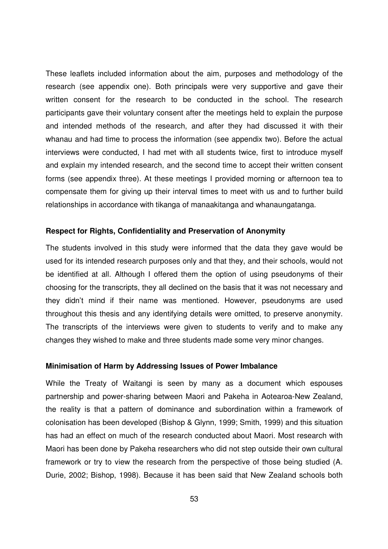These leaflets included information about the aim, purposes and methodology of the research (see appendix one). Both principals were very supportive and gave their written consent for the research to be conducted in the school. The research participants gave their voluntary consent after the meetings held to explain the purpose and intended methods of the research, and after they had discussed it with their whanau and had time to process the information (see appendix two). Before the actual interviews were conducted, I had met with all students twice, first to introduce myself and explain my intended research, and the second time to accept their written consent forms (see appendix three). At these meetings I provided morning or afternoon tea to compensate them for giving up their interval times to meet with us and to further build relationships in accordance with tikanga of manaakitanga and whanaungatanga.

### **Respect for Rights, Confidentiality and Preservation of Anonymity**

The students involved in this study were informed that the data they gave would be used for its intended research purposes only and that they, and their schools, would not be identified at all. Although I offered them the option of using pseudonyms of their choosing for the transcripts, they all declined on the basis that it was not necessary and they didn't mind if their name was mentioned. However, pseudonyms are used throughout this thesis and any identifying details were omitted, to preserve anonymity. The transcripts of the interviews were given to students to verify and to make any changes they wished to make and three students made some very minor changes.

#### **Minimisation of Harm by Addressing Issues of Power Imbalance**

While the Treaty of Waitangi is seen by many as a document which espouses partnership and power-sharing between Maori and Pakeha in Aotearoa-New Zealand, the reality is that a pattern of dominance and subordination within a framework of colonisation has been developed (Bishop & Glynn, 1999; Smith, 1999) and this situation has had an effect on much of the research conducted about Maori. Most research with Maori has been done by Pakeha researchers who did not step outside their own cultural framework or try to view the research from the perspective of those being studied (A. Durie, 2002; Bishop, 1998). Because it has been said that New Zealand schools both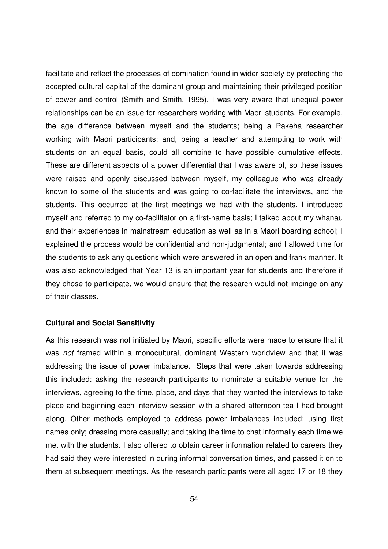facilitate and reflect the processes of domination found in wider society by protecting the accepted cultural capital of the dominant group and maintaining their privileged position of power and control (Smith and Smith, 1995), I was very aware that unequal power relationships can be an issue for researchers working with Maori students. For example, the age difference between myself and the students; being a Pakeha researcher working with Maori participants; and, being a teacher and attempting to work with students on an equal basis, could all combine to have possible cumulative effects. These are different aspects of a power differential that I was aware of, so these issues were raised and openly discussed between myself, my colleague who was already known to some of the students and was going to co-facilitate the interviews, and the students. This occurred at the first meetings we had with the students. I introduced myself and referred to my co-facilitator on a first-name basis; I talked about my whanau and their experiences in mainstream education as well as in a Maori boarding school; I explained the process would be confidential and non-judgmental; and I allowed time for the students to ask any questions which were answered in an open and frank manner. It was also acknowledged that Year 13 is an important year for students and therefore if they chose to participate, we would ensure that the research would not impinge on any of their classes.

#### **Cultural and Social Sensitivity**

As this research was not initiated by Maori, specific efforts were made to ensure that it was not framed within a monocultural, dominant Western worldview and that it was addressing the issue of power imbalance. Steps that were taken towards addressing this included: asking the research participants to nominate a suitable venue for the interviews, agreeing to the time, place, and days that they wanted the interviews to take place and beginning each interview session with a shared afternoon tea I had brought along. Other methods employed to address power imbalances included: using first names only; dressing more casually; and taking the time to chat informally each time we met with the students. I also offered to obtain career information related to careers they had said they were interested in during informal conversation times, and passed it on to them at subsequent meetings. As the research participants were all aged 17 or 18 they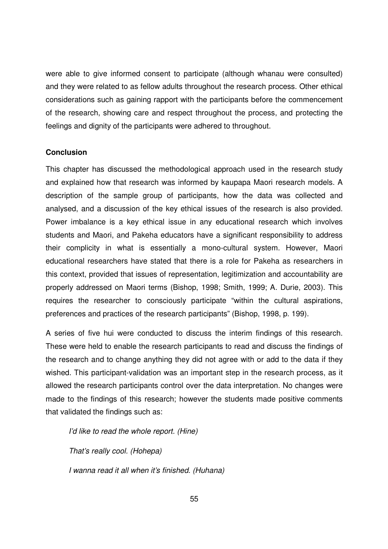were able to give informed consent to participate (although whanau were consulted) and they were related to as fellow adults throughout the research process. Other ethical considerations such as gaining rapport with the participants before the commencement of the research, showing care and respect throughout the process, and protecting the feelings and dignity of the participants were adhered to throughout.

### **Conclusion**

This chapter has discussed the methodological approach used in the research study and explained how that research was informed by kaupapa Maori research models. A description of the sample group of participants, how the data was collected and analysed, and a discussion of the key ethical issues of the research is also provided. Power imbalance is a key ethical issue in any educational research which involves students and Maori, and Pakeha educators have a significant responsibility to address their complicity in what is essentially a mono-cultural system. However, Maori educational researchers have stated that there is a role for Pakeha as researchers in this context, provided that issues of representation, legitimization and accountability are properly addressed on Maori terms (Bishop, 1998; Smith, 1999; A. Durie, 2003). This requires the researcher to consciously participate "within the cultural aspirations, preferences and practices of the research participants" (Bishop, 1998, p. 199).

A series of five hui were conducted to discuss the interim findings of this research. These were held to enable the research participants to read and discuss the findings of the research and to change anything they did not agree with or add to the data if they wished. This participant-validation was an important step in the research process, as it allowed the research participants control over the data interpretation. No changes were made to the findings of this research; however the students made positive comments that validated the findings such as:

I'd like to read the whole report. (Hine)

That's really cool. (Hohepa)

I wanna read it all when it's finished. (Huhana)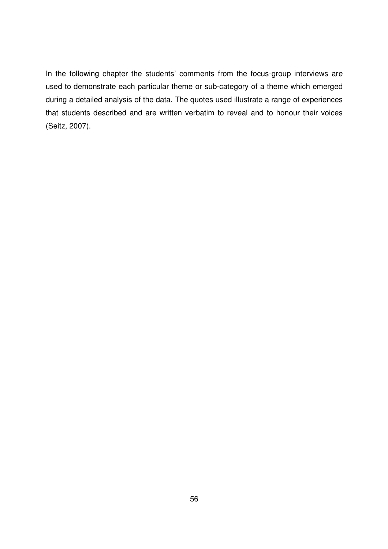In the following chapter the students' comments from the focus-group interviews are used to demonstrate each particular theme or sub-category of a theme which emerged during a detailed analysis of the data. The quotes used illustrate a range of experiences that students described and are written verbatim to reveal and to honour their voices (Seitz, 2007).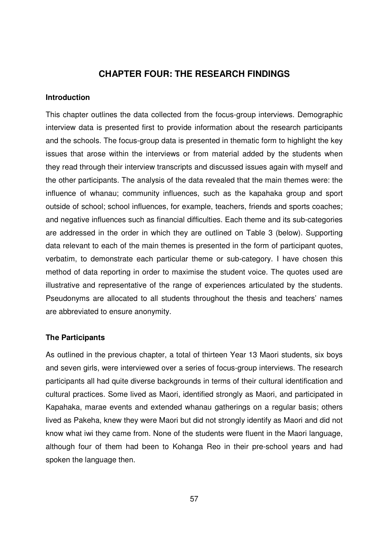# **CHAPTER FOUR: THE RESEARCH FINDINGS**

### **Introduction**

This chapter outlines the data collected from the focus-group interviews. Demographic interview data is presented first to provide information about the research participants and the schools. The focus-group data is presented in thematic form to highlight the key issues that arose within the interviews or from material added by the students when they read through their interview transcripts and discussed issues again with myself and the other participants. The analysis of the data revealed that the main themes were: the influence of whanau; community influences, such as the kapahaka group and sport outside of school; school influences, for example, teachers, friends and sports coaches; and negative influences such as financial difficulties. Each theme and its sub-categories are addressed in the order in which they are outlined on Table 3 (below). Supporting data relevant to each of the main themes is presented in the form of participant quotes, verbatim, to demonstrate each particular theme or sub-category. I have chosen this method of data reporting in order to maximise the student voice. The quotes used are illustrative and representative of the range of experiences articulated by the students. Pseudonyms are allocated to all students throughout the thesis and teachers' names are abbreviated to ensure anonymity.

### **The Participants**

As outlined in the previous chapter, a total of thirteen Year 13 Maori students, six boys and seven girls, were interviewed over a series of focus-group interviews. The research participants all had quite diverse backgrounds in terms of their cultural identification and cultural practices. Some lived as Maori, identified strongly as Maori, and participated in Kapahaka, marae events and extended whanau gatherings on a regular basis; others lived as Pakeha, knew they were Maori but did not strongly identify as Maori and did not know what iwi they came from. None of the students were fluent in the Maori language, although four of them had been to Kohanga Reo in their pre-school years and had spoken the language then.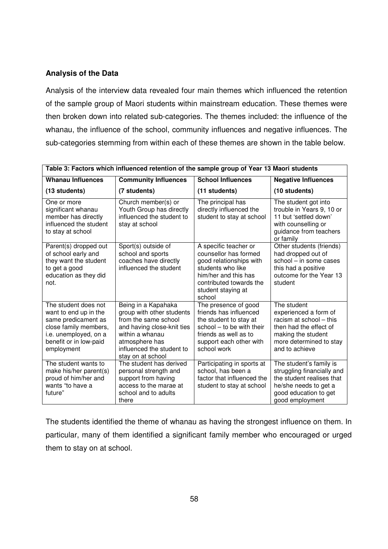# **Analysis of the Data**

Analysis of the interview data revealed four main themes which influenced the retention of the sample group of Maori students within mainstream education. These themes were then broken down into related sub-categories. The themes included: the influence of the whanau, the influence of the school, community influences and negative influences. The sub-categories stemming from within each of these themes are shown in the table below.

| Table 3: Factors which influenced retention of the sample group of Year 13 Maori students                                                                      |                                                                                                                                                                                               |                                                                                                                                                                                   |                                                                                                                                                              |
|----------------------------------------------------------------------------------------------------------------------------------------------------------------|-----------------------------------------------------------------------------------------------------------------------------------------------------------------------------------------------|-----------------------------------------------------------------------------------------------------------------------------------------------------------------------------------|--------------------------------------------------------------------------------------------------------------------------------------------------------------|
| <b>Whanau Influences</b>                                                                                                                                       | <b>Community Influences</b>                                                                                                                                                                   | <b>School Influences</b>                                                                                                                                                          | <b>Negative Influences</b>                                                                                                                                   |
| (13 students)                                                                                                                                                  | (7 students)                                                                                                                                                                                  | (11 students)                                                                                                                                                                     | (10 students)                                                                                                                                                |
| One or more<br>significant whanau<br>member has directly<br>influenced the student<br>to stay at school                                                        | Church member(s) or<br>Youth Group has directly<br>influenced the student to<br>stay at school                                                                                                | The principal has<br>directly influenced the<br>student to stay at school                                                                                                         | The student got into<br>trouble in Years 9, 10 or<br>11 but 'settled down'<br>with counselling or<br>guidance from teachers<br>or family                     |
| Parent(s) dropped out<br>of school early and<br>they want the student<br>to get a good<br>education as they did<br>not.                                        | Sport(s) outside of<br>school and sports<br>coaches have directly<br>influenced the student                                                                                                   | A specific teacher or<br>counsellor has formed<br>good relationships with<br>students who like<br>him/her and this has<br>contributed towards the<br>student staying at<br>school | Other students (friends)<br>had dropped out of<br>school - in some cases<br>this had a positive<br>outcome for the Year 13<br>student                        |
| The student does not<br>want to end up in the<br>same predicament as<br>close family members,<br>i.e. unemployed, on a<br>benefit or in low-paid<br>employment | Being in a Kapahaka<br>group with other students<br>from the same school<br>and having close-knit ties<br>within a whanau<br>atmosphere has<br>influenced the student to<br>stay on at school | The presence of good<br>friends has influenced<br>the student to stay at<br>school - to be with their<br>friends as well as to<br>support each other with<br>school work          | The student<br>experienced a form of<br>racism at school - this<br>then had the effect of<br>making the student<br>more determined to stay<br>and to achieve |
| The student wants to<br>make his/her parent(s)<br>proud of him/her and<br>wants "to have a<br>future"                                                          | The student has derived<br>personal strength and<br>support from having<br>access to the marae at<br>school and to adults<br>there                                                            | Participating in sports at<br>school, has been a<br>factor that influenced the<br>student to stay at school                                                                       | The student's family is<br>struggling financially and<br>the student realises that<br>he/she needs to get a<br>good education to get<br>good employment      |

The students identified the theme of whanau as having the strongest influence on them. In particular, many of them identified a significant family member who encouraged or urged them to stay on at school.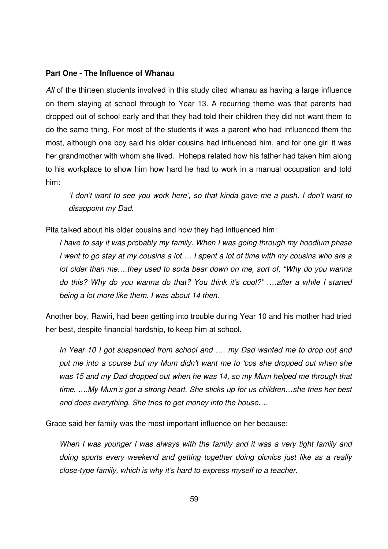#### **Part One - The Influence of Whanau**

All of the thirteen students involved in this study cited whanau as having a large influence on them staying at school through to Year 13. A recurring theme was that parents had dropped out of school early and that they had told their children they did not want them to do the same thing. For most of the students it was a parent who had influenced them the most, although one boy said his older cousins had influenced him, and for one girl it was her grandmother with whom she lived. Hohepa related how his father had taken him along to his workplace to show him how hard he had to work in a manual occupation and told him:

'I don't want to see you work here', so that kinda gave me a push. I don't want to disappoint my Dad.

Pita talked about his older cousins and how they had influenced him:

I have to say it was probably my family. When I was going through my hoodlum phase I went to go stay at my cousins a lot…. I spent a lot of time with my cousins who are a lot older than me….they used to sorta bear down on me, sort of, "Why do you wanna do this? Why do you wanna do that? You think it's cool?" ….after a while I started being a lot more like them. I was about 14 then.

Another boy, Rawiri, had been getting into trouble during Year 10 and his mother had tried her best, despite financial hardship, to keep him at school.

In Year 10 I got suspended from school and …. my Dad wanted me to drop out and put me into a course but my Mum didn't want me to 'cos she dropped out when she was 15 and my Dad dropped out when he was 14, so my Mum helped me through that time. ….My Mum's got a strong heart. She sticks up for us children…she tries her best and does everything. She tries to get money into the house….

Grace said her family was the most important influence on her because:

When I was younger I was always with the family and it was a very tight family and doing sports every weekend and getting together doing picnics just like as a really close-type family, which is why it's hard to express myself to a teacher.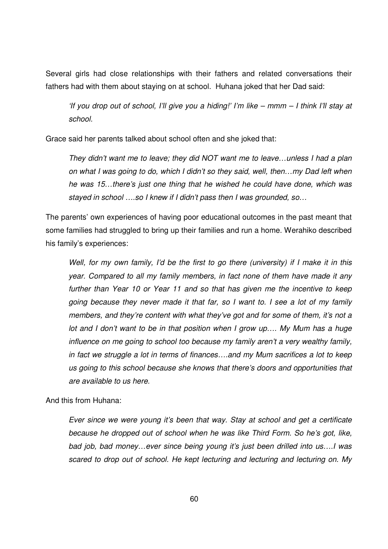Several girls had close relationships with their fathers and related conversations their fathers had with them about staying on at school. Huhana joked that her Dad said:

'If you drop out of school, I'll give you a hiding!' I'm like – mmm – I think I'll stay at school.

Grace said her parents talked about school often and she joked that:

They didn't want me to leave; they did NOT want me to leave…unless I had a plan on what I was going to do, which I didn't so they said, well, then…my Dad left when he was 15…there's just one thing that he wished he could have done, which was stayed in school ….so I knew if I didn't pass then I was grounded, so…

The parents' own experiences of having poor educational outcomes in the past meant that some families had struggled to bring up their families and run a home. Werahiko described his family's experiences:

Well, for my own family, I'd be the first to go there (university) if I make it in this year. Compared to all my family members, in fact none of them have made it any further than Year 10 or Year 11 and so that has given me the incentive to keep going because they never made it that far, so I want to. I see a lot of my family members, and they're content with what they've got and for some of them, it's not a lot and I don't want to be in that position when I grow up…. My Mum has a huge influence on me going to school too because my family aren't a very wealthy family, in fact we struggle a lot in terms of finances….and my Mum sacrifices a lot to keep us going to this school because she knows that there's doors and opportunities that are available to us here.

And this from Huhana:

Ever since we were young it's been that way. Stay at school and get a certificate because he dropped out of school when he was like Third Form. So he's got, like, bad job, bad money…ever since being young it's just been drilled into us….I was scared to drop out of school. He kept lecturing and lecturing and lecturing on. My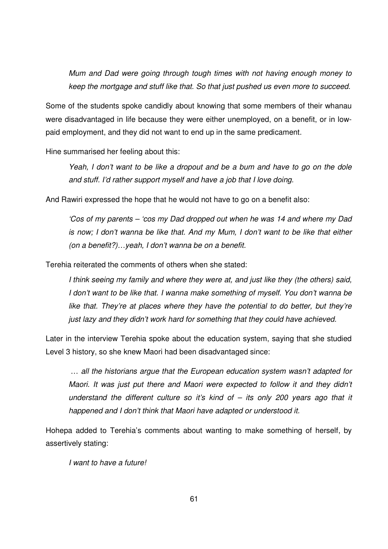Mum and Dad were going through tough times with not having enough money to keep the mortgage and stuff like that. So that just pushed us even more to succeed.

Some of the students spoke candidly about knowing that some members of their whanau were disadvantaged in life because they were either unemployed, on a benefit, or in lowpaid employment, and they did not want to end up in the same predicament.

Hine summarised her feeling about this:

Yeah, I don't want to be like a dropout and be a bum and have to go on the dole and stuff. I'd rather support myself and have a job that I love doing.

And Rawiri expressed the hope that he would not have to go on a benefit also:

'Cos of my parents – 'cos my Dad dropped out when he was 14 and where my Dad is now; I don't wanna be like that. And my Mum, I don't want to be like that either (on a benefit?)…yeah, I don't wanna be on a benefit.

Terehia reiterated the comments of others when she stated:

I think seeing my family and where they were at, and just like they (the others) said, I don't want to be like that. I wanna make something of myself. You don't wanna be like that. They're at places where they have the potential to do better, but they're just lazy and they didn't work hard for something that they could have achieved.

Later in the interview Terehia spoke about the education system, saying that she studied Level 3 history, so she knew Maori had been disadvantaged since:

 … all the historians argue that the European education system wasn't adapted for Maori. It was just put there and Maori were expected to follow it and they didn't understand the different culture so it's kind of  $-$  its only 200 years ago that it happened and I don't think that Maori have adapted or understood it.

Hohepa added to Terehia's comments about wanting to make something of herself, by assertively stating:

I want to have a future!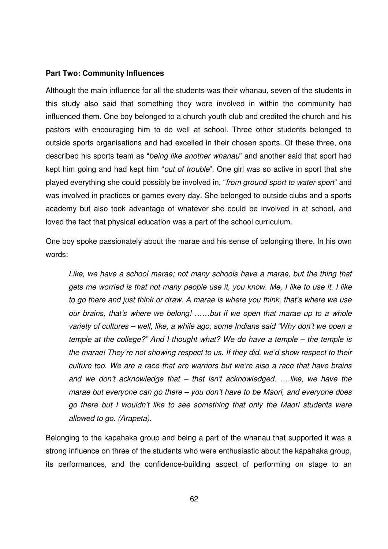#### **Part Two: Community Influences**

Although the main influence for all the students was their whanau, seven of the students in this study also said that something they were involved in within the community had influenced them. One boy belonged to a church youth club and credited the church and his pastors with encouraging him to do well at school. Three other students belonged to outside sports organisations and had excelled in their chosen sports. Of these three, one described his sports team as "being like another whanau" and another said that sport had kept him going and had kept him "out of trouble". One girl was so active in sport that she played everything she could possibly be involved in, "from ground sport to water sport" and was involved in practices or games every day. She belonged to outside clubs and a sports academy but also took advantage of whatever she could be involved in at school, and loved the fact that physical education was a part of the school curriculum.

One boy spoke passionately about the marae and his sense of belonging there. In his own words:

Like, we have a school marae; not many schools have a marae, but the thing that gets me worried is that not many people use it, you know. Me, I like to use it. I like to go there and just think or draw. A marae is where you think, that's where we use our brains, that's where we belong! ……but if we open that marae up to a whole variety of cultures – well, like, a while ago, some Indians said "Why don't we open a temple at the college?" And I thought what? We do have a temple – the temple is the marae! They're not showing respect to us. If they did, we'd show respect to their culture too. We are a race that are warriors but we're also a race that have brains and we don't acknowledge that – that isn't acknowledged. ….like, we have the marae but everyone can go there – you don't have to be Maori, and everyone does go there but I wouldn't like to see something that only the Maori students were allowed to go. (Arapeta).

Belonging to the kapahaka group and being a part of the whanau that supported it was a strong influence on three of the students who were enthusiastic about the kapahaka group, its performances, and the confidence-building aspect of performing on stage to an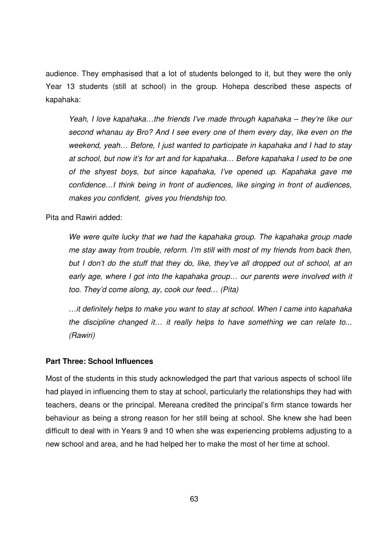audience. They emphasised that a lot of students belonged to it, but they were the only Year 13 students (still at school) in the group. Hohepa described these aspects of kapahaka:

Yeah, I love kapahaka…the friends I've made through kapahaka – they're like our second whanau ay Bro? And I see every one of them every day, like even on the weekend, yeah… Before, I just wanted to participate in kapahaka and I had to stay at school, but now it's for art and for kapahaka… Before kapahaka I used to be one of the shyest boys, but since kapahaka, I've opened up. Kapahaka gave me confidence…I think being in front of audiences, like singing in front of audiences, makes you confident, gives you friendship too.

Pita and Rawiri added:

We were quite lucky that we had the kapahaka group. The kapahaka group made me stay away from trouble, reform. I'm still with most of my friends from back then, but I don't do the stuff that they do, like, they've all dropped out of school, at an early age, where I got into the kapahaka group… our parents were involved with it too. They'd come along, ay, cook our feed… (Pita)

…it definitely helps to make you want to stay at school. When I came into kapahaka the discipline changed it… it really helps to have something we can relate to... (Rawiri)

### **Part Three: School Influences**

Most of the students in this study acknowledged the part that various aspects of school life had played in influencing them to stay at school, particularly the relationships they had with teachers, deans or the principal. Mereana credited the principal's firm stance towards her behaviour as being a strong reason for her still being at school. She knew she had been difficult to deal with in Years 9 and 10 when she was experiencing problems adjusting to a new school and area, and he had helped her to make the most of her time at school.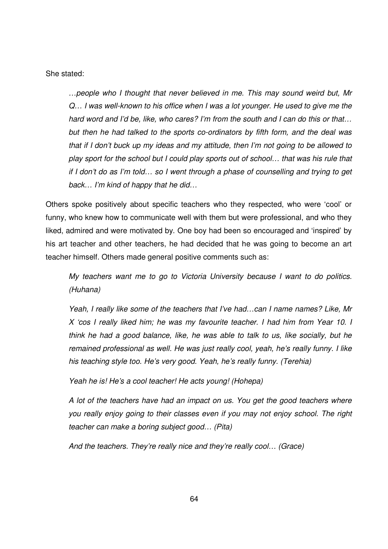She stated:

…people who I thought that never believed in me. This may sound weird but, Mr Q… I was well-known to his office when I was a lot younger. He used to give me the hard word and I'd be, like, who cares? I'm from the south and I can do this or that… but then he had talked to the sports co-ordinators by fifth form, and the deal was that if I don't buck up my ideas and my attitude, then I'm not going to be allowed to play sport for the school but I could play sports out of school… that was his rule that if I don't do as I'm told… so I went through a phase of counselling and trying to get back… I'm kind of happy that he did…

Others spoke positively about specific teachers who they respected, who were 'cool' or funny, who knew how to communicate well with them but were professional, and who they liked, admired and were motivated by. One boy had been so encouraged and 'inspired' by his art teacher and other teachers, he had decided that he was going to become an art teacher himself. Others made general positive comments such as:

My teachers want me to go to Victoria University because I want to do politics. (Huhana)

Yeah, I really like some of the teachers that I've had…can I name names? Like, Mr X 'cos I really liked him; he was my favourite teacher. I had him from Year 10. I think he had a good balance, like, he was able to talk to us, like socially, but he remained professional as well. He was just really cool, yeah, he's really funny. I like his teaching style too. He's very good. Yeah, he's really funny. (Terehia)

Yeah he is! He's a cool teacher! He acts young! (Hohepa)

A lot of the teachers have had an impact on us. You get the good teachers where you really enjoy going to their classes even if you may not enjoy school. The right teacher can make a boring subject good… (Pita)

And the teachers. They're really nice and they're really cool… (Grace)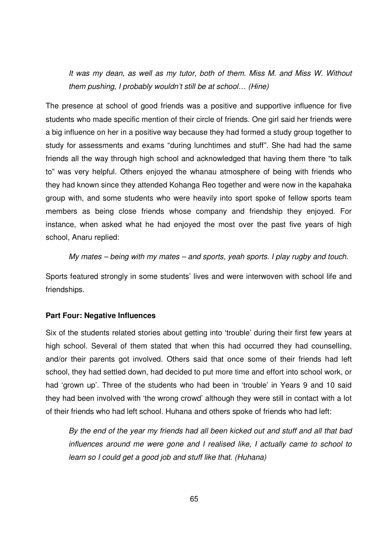It was my dean, as well as my tutor, both of them. Miss M. and Miss W. Without them pushing, I probably wouldn't still be at school… (Hine)

The presence at school of good friends was a positive and supportive influence for five students who made specific mention of their circle of friends. One girl said her friends were a big influence on her in a positive way because they had formed a study group together to study for assessments and exams "during lunchtimes and stuff". She had had the same friends all the way through high school and acknowledged that having them there "to talk to" was very helpful. Others enjoyed the whanau atmosphere of being with friends who they had known since they attended Kohanga Reo together and were now in the kapahaka group with, and some students who were heavily into sport spoke of fellow sports team members as being close friends whose company and friendship they enjoyed. For instance, when asked what he had enjoyed the most over the past five years of high school, Anaru replied:

My mates – being with my mates – and sports, yeah sports. I play rugby and touch.

Sports featured strongly in some students' lives and were interwoven with school life and friendships.

### **Part Four: Negative Influences**

Six of the students related stories about getting into 'trouble' during their first few years at high school. Several of them stated that when this had occurred they had counselling, and/or their parents got involved. Others said that once some of their friends had left school, they had settled down, had decided to put more time and effort into school work, or had 'grown up'. Three of the students who had been in 'trouble' in Years 9 and 10 said they had been involved with 'the wrong crowd' although they were still in contact with a lot of their friends who had left school. Huhana and others spoke of friends who had left:

By the end of the year my friends had all been kicked out and stuff and all that bad influences around me were gone and I realised like, I actually came to school to learn so I could get a good job and stuff like that. (Huhana)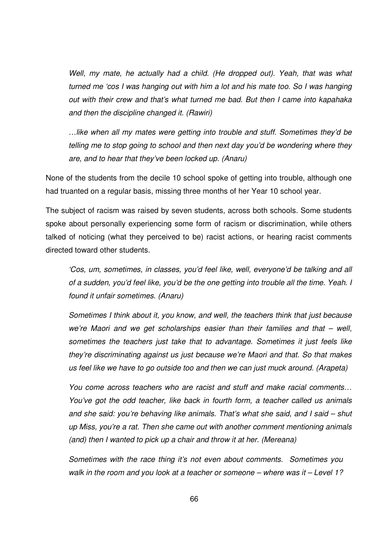Well, my mate, he actually had a child. (He dropped out). Yeah, that was what turned me 'cos I was hanging out with him a lot and his mate too. So I was hanging out with their crew and that's what turned me bad. But then I came into kapahaka and then the discipline changed it. (Rawiri)

…like when all my mates were getting into trouble and stuff. Sometimes they'd be telling me to stop going to school and then next day you'd be wondering where they are, and to hear that they've been locked up. (Anaru)

None of the students from the decile 10 school spoke of getting into trouble, although one had truanted on a regular basis, missing three months of her Year 10 school year.

The subject of racism was raised by seven students, across both schools. Some students spoke about personally experiencing some form of racism or discrimination, while others talked of noticing (what they perceived to be) racist actions, or hearing racist comments directed toward other students.

'Cos, um, sometimes, in classes, you'd feel like, well, everyone'd be talking and all of a sudden, you'd feel like, you'd be the one getting into trouble all the time. Yeah. I found it unfair sometimes. (Anaru)

Sometimes I think about it, you know, and well, the teachers think that just because we're Maori and we get scholarships easier than their families and that – well, sometimes the teachers just take that to advantage. Sometimes it just feels like they're discriminating against us just because we're Maori and that. So that makes us feel like we have to go outside too and then we can just muck around. (Arapeta)

You come across teachers who are racist and stuff and make racial comments… You've got the odd teacher, like back in fourth form, a teacher called us animals and she said: you're behaving like animals. That's what she said, and I said – shut up Miss, you're a rat. Then she came out with another comment mentioning animals (and) then I wanted to pick up a chair and throw it at her. (Mereana)

Sometimes with the race thing it's not even about comments. Sometimes you walk in the room and you look at a teacher or someone – where was it – Level 1?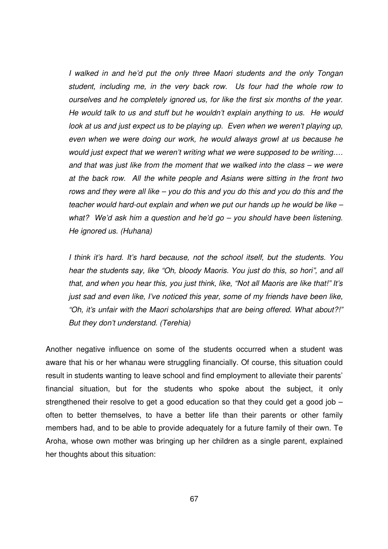I walked in and he'd put the only three Maori students and the only Tongan student, including me, in the very back row. Us four had the whole row to ourselves and he completely ignored us, for like the first six months of the year. He would talk to us and stuff but he wouldn't explain anything to us. He would look at us and just expect us to be playing up. Even when we weren't playing up, even when we were doing our work, he would always growl at us because he would just expect that we weren't writing what we were supposed to be writing…. and that was just like from the moment that we walked into the class – we were at the back row. All the white people and Asians were sitting in the front two rows and they were all like – you do this and you do this and you do this and the teacher would hard-out explain and when we put our hands up he would be like – what? We'd ask him a question and he'd go – you should have been listening. He ignored us. (Huhana)

I think it's hard. It's hard because, not the school itself, but the students. You hear the students say, like "Oh, bloody Maoris. You just do this, so hori", and all that, and when you hear this, you just think, like, "Not all Maoris are like that!" It's just sad and even like, I've noticed this year, some of my friends have been like, "Oh, it's unfair with the Maori scholarships that are being offered. What about?!" But they don't understand. (Terehia)

Another negative influence on some of the students occurred when a student was aware that his or her whanau were struggling financially. Of course, this situation could result in students wanting to leave school and find employment to alleviate their parents' financial situation, but for the students who spoke about the subject, it only strengthened their resolve to get a good education so that they could get a good job – often to better themselves, to have a better life than their parents or other family members had, and to be able to provide adequately for a future family of their own. Te Aroha, whose own mother was bringing up her children as a single parent, explained her thoughts about this situation: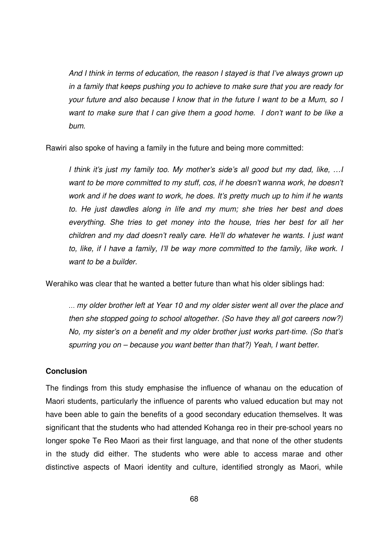And I think in terms of education, the reason I stayed is that I've always grown up in a family that keeps pushing you to achieve to make sure that you are ready for your future and also because I know that in the future I want to be a Mum, so I want to make sure that I can give them a good home. I don't want to be like a bum.

Rawiri also spoke of having a family in the future and being more committed:

I think it's just my family too. My mother's side's all good but my dad, like, …I want to be more committed to my stuff, cos, if he doesn't wanna work, he doesn't work and if he does want to work, he does. It's pretty much up to him if he wants to. He just dawdles along in life and my mum; she tries her best and does everything. She tries to get money into the house, tries her best for all her children and my dad doesn't really care. He'll do whatever he wants. I just want to, like, if I have a family, I'll be way more committed to the family, like work. I want to be a builder.

Werahiko was clear that he wanted a better future than what his older siblings had:

… my older brother left at Year 10 and my older sister went all over the place and then she stopped going to school altogether. (So have they all got careers now?) No, my sister's on a benefit and my older brother just works part-time. (So that's spurring you on – because you want better than that?) Yeah, I want better.

## **Conclusion**

The findings from this study emphasise the influence of whanau on the education of Maori students, particularly the influence of parents who valued education but may not have been able to gain the benefits of a good secondary education themselves. It was significant that the students who had attended Kohanga reo in their pre-school years no longer spoke Te Reo Maori as their first language, and that none of the other students in the study did either. The students who were able to access marae and other distinctive aspects of Maori identity and culture, identified strongly as Maori, while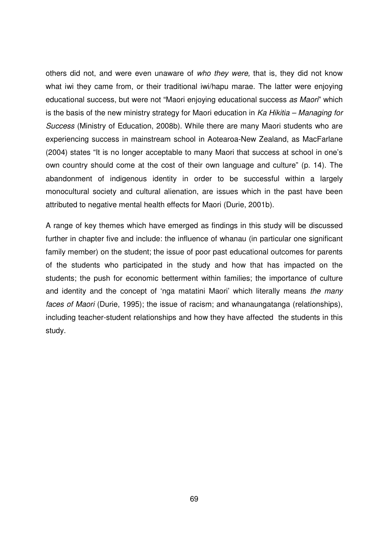others did not, and were even unaware of who they were, that is, they did not know what iwi they came from, or their traditional iwi/hapu marae. The latter were enjoying educational success, but were not "Maori enjoying educational success as Maori" which is the basis of the new ministry strategy for Maori education in  $Ka$  Hikitia – Managing for Success (Ministry of Education, 2008b). While there are many Maori students who are experiencing success in mainstream school in Aotearoa-New Zealand, as MacFarlane (2004) states "It is no longer acceptable to many Maori that success at school in one's own country should come at the cost of their own language and culture" (p. 14). The abandonment of indigenous identity in order to be successful within a largely monocultural society and cultural alienation, are issues which in the past have been attributed to negative mental health effects for Maori (Durie, 2001b).

A range of key themes which have emerged as findings in this study will be discussed further in chapter five and include: the influence of whanau (in particular one significant family member) on the student; the issue of poor past educational outcomes for parents of the students who participated in the study and how that has impacted on the students; the push for economic betterment within families; the importance of culture and identity and the concept of 'nga matatini Maori' which literally means the many faces of Maori (Durie, 1995); the issue of racism; and whanaungatanga (relationships), including teacher-student relationships and how they have affected the students in this study.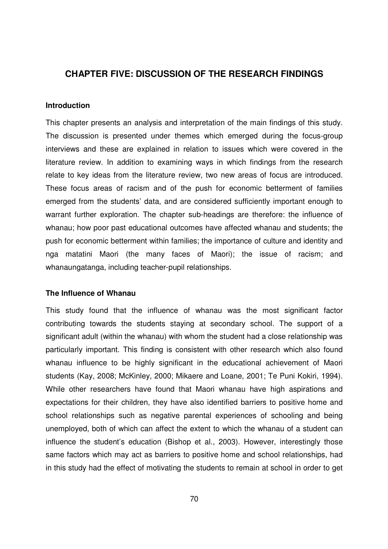# **CHAPTER FIVE: DISCUSSION OF THE RESEARCH FINDINGS**

## **Introduction**

This chapter presents an analysis and interpretation of the main findings of this study. The discussion is presented under themes which emerged during the focus-group interviews and these are explained in relation to issues which were covered in the literature review. In addition to examining ways in which findings from the research relate to key ideas from the literature review, two new areas of focus are introduced. These focus areas of racism and of the push for economic betterment of families emerged from the students' data, and are considered sufficiently important enough to warrant further exploration. The chapter sub-headings are therefore: the influence of whanau; how poor past educational outcomes have affected whanau and students; the push for economic betterment within families; the importance of culture and identity and nga matatini Maori (the many faces of Maori); the issue of racism; and whanaungatanga, including teacher-pupil relationships.

## **The Influence of Whanau**

This study found that the influence of whanau was the most significant factor contributing towards the students staying at secondary school. The support of a significant adult (within the whanau) with whom the student had a close relationship was particularly important. This finding is consistent with other research which also found whanau influence to be highly significant in the educational achievement of Maori students (Kay, 2008; McKinley, 2000; Mikaere and Loane, 2001; Te Puni Kokiri, 1994). While other researchers have found that Maori whanau have high aspirations and expectations for their children, they have also identified barriers to positive home and school relationships such as negative parental experiences of schooling and being unemployed, both of which can affect the extent to which the whanau of a student can influence the student's education (Bishop et al., 2003). However, interestingly those same factors which may act as barriers to positive home and school relationships, had in this study had the effect of motivating the students to remain at school in order to get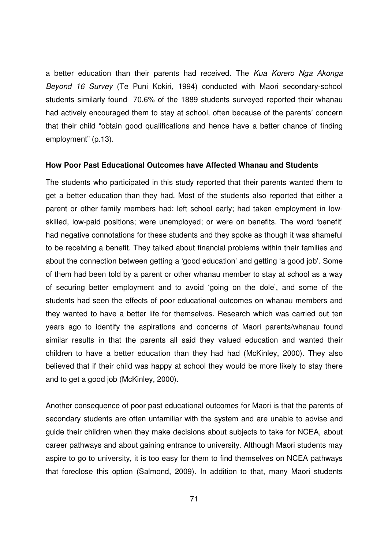a better education than their parents had received. The Kua Korero Nga Akonga Beyond 16 Survey (Te Puni Kokiri, 1994) conducted with Maori secondary-school students similarly found 70.6% of the 1889 students surveyed reported their whanau had actively encouraged them to stay at school, often because of the parents' concern that their child "obtain good qualifications and hence have a better chance of finding employment" (p.13).

#### **How Poor Past Educational Outcomes have Affected Whanau and Students**

The students who participated in this study reported that their parents wanted them to get a better education than they had. Most of the students also reported that either a parent or other family members had: left school early; had taken employment in lowskilled, low-paid positions; were unemployed; or were on benefits. The word 'benefit' had negative connotations for these students and they spoke as though it was shameful to be receiving a benefit. They talked about financial problems within their families and about the connection between getting a 'good education' and getting 'a good job'. Some of them had been told by a parent or other whanau member to stay at school as a way of securing better employment and to avoid 'going on the dole', and some of the students had seen the effects of poor educational outcomes on whanau members and they wanted to have a better life for themselves. Research which was carried out ten years ago to identify the aspirations and concerns of Maori parents/whanau found similar results in that the parents all said they valued education and wanted their children to have a better education than they had had (McKinley, 2000). They also believed that if their child was happy at school they would be more likely to stay there and to get a good job (McKinley, 2000).

Another consequence of poor past educational outcomes for Maori is that the parents of secondary students are often unfamiliar with the system and are unable to advise and guide their children when they make decisions about subjects to take for NCEA, about career pathways and about gaining entrance to university. Although Maori students may aspire to go to university, it is too easy for them to find themselves on NCEA pathways that foreclose this option (Salmond, 2009). In addition to that, many Maori students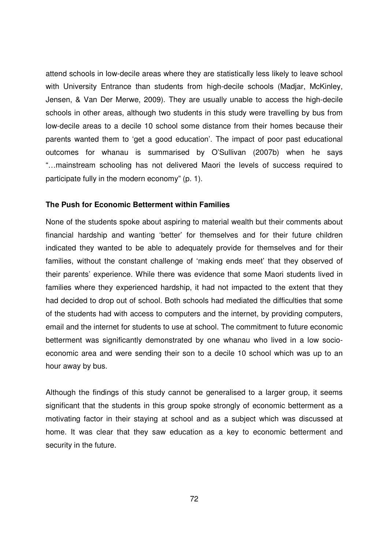attend schools in low-decile areas where they are statistically less likely to leave school with University Entrance than students from high-decile schools (Madjar, McKinley, Jensen, & Van Der Merwe, 2009). They are usually unable to access the high-decile schools in other areas, although two students in this study were travelling by bus from low-decile areas to a decile 10 school some distance from their homes because their parents wanted them to 'get a good education'. The impact of poor past educational outcomes for whanau is summarised by O'Sullivan (2007b) when he says "…mainstream schooling has not delivered Maori the levels of success required to participate fully in the modern economy" (p. 1).

#### **The Push for Economic Betterment within Families**

None of the students spoke about aspiring to material wealth but their comments about financial hardship and wanting 'better' for themselves and for their future children indicated they wanted to be able to adequately provide for themselves and for their families, without the constant challenge of 'making ends meet' that they observed of their parents' experience. While there was evidence that some Maori students lived in families where they experienced hardship, it had not impacted to the extent that they had decided to drop out of school. Both schools had mediated the difficulties that some of the students had with access to computers and the internet, by providing computers, email and the internet for students to use at school. The commitment to future economic betterment was significantly demonstrated by one whanau who lived in a low socioeconomic area and were sending their son to a decile 10 school which was up to an hour away by bus.

Although the findings of this study cannot be generalised to a larger group, it seems significant that the students in this group spoke strongly of economic betterment as a motivating factor in their staying at school and as a subject which was discussed at home. It was clear that they saw education as a key to economic betterment and security in the future.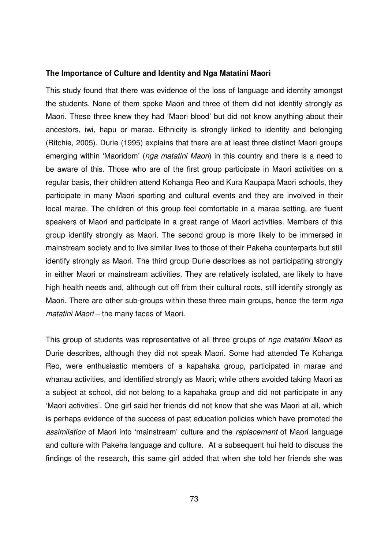#### **The Importance of Culture and Identity and Nga Matatini Maori**

This study found that there was evidence of the loss of language and identity amongst the students. None of them spoke Maori and three of them did not identify strongly as Maori. These three knew they had 'Maori blood' but did not know anything about their ancestors, iwi, hapu or marae. Ethnicity is strongly linked to identity and belonging (Ritchie, 2005). Durie (1995) explains that there are at least three distinct Maori groups emerging within 'Maoridom' (nga matatini Maori) in this country and there is a need to be aware of this. Those who are of the first group participate in Maori activities on a regular basis, their children attend Kohanga Reo and Kura Kaupapa Maori schools, they participate in many Maori sporting and cultural events and they are involved in their local marae. The children of this group feel comfortable in a marae setting, are fluent speakers of Maori and participate in a great range of Maori activities. Members of this group identify strongly as Maori. The second group is more likely to be immersed in mainstream society and to live similar lives to those of their Pakeha counterparts but still identify strongly as Maori. The third group Durie describes as not participating strongly in either Maori or mainstream activities. They are relatively isolated, are likely to have high health needs and, although cut off from their cultural roots, still identify strongly as Maori. There are other sub-groups within these three main groups, hence the term nga matatini Maori – the many faces of Maori.

This group of students was representative of all three groups of nga matatini Maori as Durie describes, although they did not speak Maori. Some had attended Te Kohanga Reo, were enthusiastic members of a kapahaka group, participated in marae and whanau activities, and identified strongly as Maori; while others avoided taking Maori as a subject at school, did not belong to a kapahaka group and did not participate in any 'Maori activities'. One girl said her friends did not know that she was Maori at all, which is perhaps evidence of the success of past education policies which have promoted the assimilation of Maori into 'mainstream' culture and the replacement of Maori language and culture with Pakeha language and culture. At a subsequent hui held to discuss the findings of the research, this same girl added that when she told her friends she was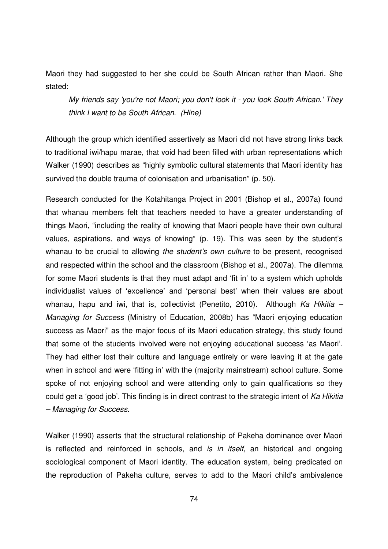Maori they had suggested to her she could be South African rather than Maori. She stated:

My friends say 'you're not Maori; you don't look it - you look South African.' They think I want to be South African. (Hine)

Although the group which identified assertively as Maori did not have strong links back to traditional iwi/hapu marae, that void had been filled with urban representations which Walker (1990) describes as "highly symbolic cultural statements that Maori identity has survived the double trauma of colonisation and urbanisation" (p. 50).

Research conducted for the Kotahitanga Project in 2001 (Bishop et al., 2007a) found that whanau members felt that teachers needed to have a greater understanding of things Maori, "including the reality of knowing that Maori people have their own cultural values, aspirations, and ways of knowing" (p. 19). This was seen by the student's whanau to be crucial to allowing the student's own culture to be present, recognised and respected within the school and the classroom (Bishop et al., 2007a). The dilemma for some Maori students is that they must adapt and 'fit in' to a system which upholds individualist values of 'excellence' and 'personal best' when their values are about whanau, hapu and iwi, that is, collectivist (Penetito, 2010). Although Ka Hikitia – Managing for Success (Ministry of Education, 2008b) has "Maori enjoying education success as Maori" as the major focus of its Maori education strategy, this study found that some of the students involved were not enjoying educational success 'as Maori'. They had either lost their culture and language entirely or were leaving it at the gate when in school and were 'fitting in' with the (majority mainstream) school culture. Some spoke of not enjoying school and were attending only to gain qualifications so they could get a 'good job'. This finding is in direct contrast to the strategic intent of Ka Hikitia – Managing for Success.

Walker (1990) asserts that the structural relationship of Pakeha dominance over Maori is reflected and reinforced in schools, and is in itself, an historical and ongoing sociological component of Maori identity. The education system, being predicated on the reproduction of Pakeha culture, serves to add to the Maori child's ambivalence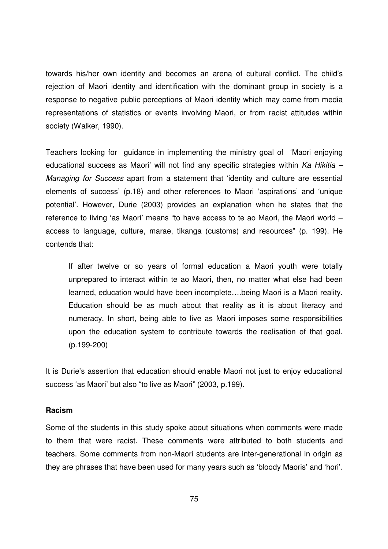towards his/her own identity and becomes an arena of cultural conflict. The child's rejection of Maori identity and identification with the dominant group in society is a response to negative public perceptions of Maori identity which may come from media representations of statistics or events involving Maori, or from racist attitudes within society (Walker, 1990).

Teachers looking for guidance in implementing the ministry goal of 'Maori enjoying educational success as Maori' will not find any specific strategies within  $Ka$  Hikitia – Managing for Success apart from a statement that 'identity and culture are essential elements of success' (p.18) and other references to Maori 'aspirations' and 'unique potential'. However, Durie (2003) provides an explanation when he states that the reference to living 'as Maori' means "to have access to te ao Maori, the Maori world – access to language, culture, marae, tikanga (customs) and resources" (p. 199). He contends that:

If after twelve or so years of formal education a Maori youth were totally unprepared to interact within te ao Maori, then, no matter what else had been learned, education would have been incomplete….being Maori is a Maori reality. Education should be as much about that reality as it is about literacy and numeracy. In short, being able to live as Maori imposes some responsibilities upon the education system to contribute towards the realisation of that goal. (p.199-200)

It is Durie's assertion that education should enable Maori not just to enjoy educational success 'as Maori' but also "to live as Maori" (2003, p.199).

### **Racism**

Some of the students in this study spoke about situations when comments were made to them that were racist. These comments were attributed to both students and teachers. Some comments from non-Maori students are inter-generational in origin as they are phrases that have been used for many years such as 'bloody Maoris' and 'hori'.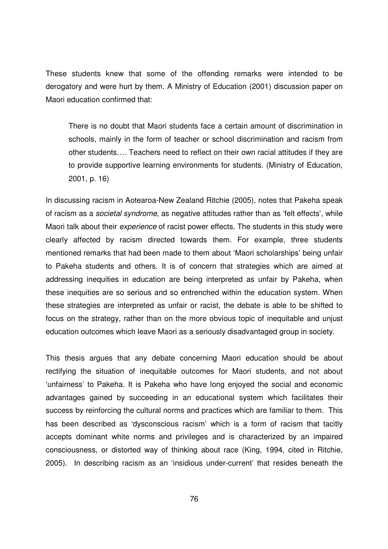These students knew that some of the offending remarks were intended to be derogatory and were hurt by them. A Ministry of Education (2001) discussion paper on Maori education confirmed that:

There is no doubt that Maori students face a certain amount of discrimination in schools, mainly in the form of teacher or school discrimination and racism from other students…. Teachers need to reflect on their own racial attitudes if they are to provide supportive learning environments for students. (Ministry of Education, 2001, p. 16)

In discussing racism in Aotearoa-New Zealand Ritchie (2005), notes that Pakeha speak of racism as a societal syndrome, as negative attitudes rather than as 'felt effects', while Maori talk about their *experience* of racist power effects. The students in this study were clearly affected by racism directed towards them. For example, three students mentioned remarks that had been made to them about 'Maori scholarships' being unfair to Pakeha students and others. It is of concern that strategies which are aimed at addressing inequities in education are being interpreted as unfair by Pakeha, when these inequities are so serious and so entrenched within the education system. When these strategies are interpreted as unfair or racist, the debate is able to be shifted to focus on the strategy, rather than on the more obvious topic of inequitable and unjust education outcomes which leave Maori as a seriously disadvantaged group in society.

This thesis argues that any debate concerning Maori education should be about rectifying the situation of inequitable outcomes for Maori students, and not about 'unfairness' to Pakeha. It is Pakeha who have long enjoyed the social and economic advantages gained by succeeding in an educational system which facilitates their success by reinforcing the cultural norms and practices which are familiar to them. This has been described as 'dysconscious racism' which is a form of racism that tacitly accepts dominant white norms and privileges and is characterized by an impaired consciousness, or distorted way of thinking about race (King, 1994, cited in Ritchie, 2005). In describing racism as an 'insidious under-current' that resides beneath the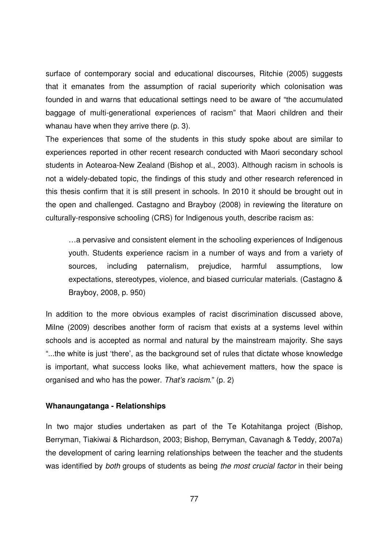surface of contemporary social and educational discourses, Ritchie (2005) suggests that it emanates from the assumption of racial superiority which colonisation was founded in and warns that educational settings need to be aware of "the accumulated baggage of multi-generational experiences of racism" that Maori children and their whanau have when they arrive there (p. 3).

The experiences that some of the students in this study spoke about are similar to experiences reported in other recent research conducted with Maori secondary school students in Aotearoa-New Zealand (Bishop et al., 2003). Although racism in schools is not a widely-debated topic, the findings of this study and other research referenced in this thesis confirm that it is still present in schools. In 2010 it should be brought out in the open and challenged. Castagno and Brayboy (2008) in reviewing the literature on culturally-responsive schooling (CRS) for Indigenous youth, describe racism as:

…a pervasive and consistent element in the schooling experiences of Indigenous youth. Students experience racism in a number of ways and from a variety of sources, including paternalism, prejudice, harmful assumptions, low expectations, stereotypes, violence, and biased curricular materials. (Castagno & Brayboy, 2008, p. 950)

In addition to the more obvious examples of racist discrimination discussed above, Milne (2009) describes another form of racism that exists at a systems level within schools and is accepted as normal and natural by the mainstream majority. She says "...the white is just 'there', as the background set of rules that dictate whose knowledge is important, what success looks like, what achievement matters, how the space is organised and who has the power. That's racism." (p. 2)

## **Whanaungatanga - Relationships**

In two major studies undertaken as part of the Te Kotahitanga project (Bishop, Berryman, Tiakiwai & Richardson, 2003; Bishop, Berryman, Cavanagh & Teddy, 2007a) the development of caring learning relationships between the teacher and the students was identified by both groups of students as being the most crucial factor in their being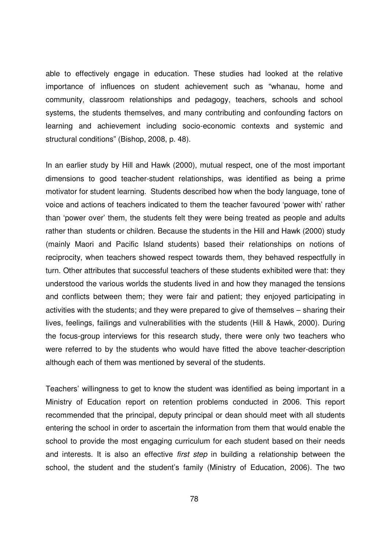able to effectively engage in education. These studies had looked at the relative importance of influences on student achievement such as "whanau, home and community, classroom relationships and pedagogy, teachers, schools and school systems, the students themselves, and many contributing and confounding factors on learning and achievement including socio-economic contexts and systemic and structural conditions" (Bishop, 2008, p. 48).

In an earlier study by Hill and Hawk (2000), mutual respect, one of the most important dimensions to good teacher-student relationships, was identified as being a prime motivator for student learning. Students described how when the body language, tone of voice and actions of teachers indicated to them the teacher favoured 'power with' rather than 'power over' them, the students felt they were being treated as people and adults rather than students or children. Because the students in the Hill and Hawk (2000) study (mainly Maori and Pacific Island students) based their relationships on notions of reciprocity, when teachers showed respect towards them, they behaved respectfully in turn. Other attributes that successful teachers of these students exhibited were that: they understood the various worlds the students lived in and how they managed the tensions and conflicts between them; they were fair and patient; they enjoyed participating in activities with the students; and they were prepared to give of themselves – sharing their lives, feelings, failings and vulnerabilities with the students (Hill & Hawk, 2000). During the focus-group interviews for this research study, there were only two teachers who were referred to by the students who would have fitted the above teacher-description although each of them was mentioned by several of the students.

Teachers' willingness to get to know the student was identified as being important in a Ministry of Education report on retention problems conducted in 2006. This report recommended that the principal, deputy principal or dean should meet with all students entering the school in order to ascertain the information from them that would enable the school to provide the most engaging curriculum for each student based on their needs and interests. It is also an effective *first step* in building a relationship between the school, the student and the student's family (Ministry of Education, 2006). The two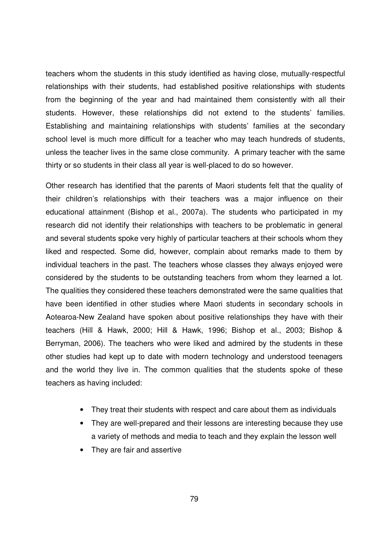teachers whom the students in this study identified as having close, mutually-respectful relationships with their students, had established positive relationships with students from the beginning of the year and had maintained them consistently with all their students. However, these relationships did not extend to the students' families. Establishing and maintaining relationships with students' families at the secondary school level is much more difficult for a teacher who may teach hundreds of students, unless the teacher lives in the same close community. A primary teacher with the same thirty or so students in their class all year is well-placed to do so however.

Other research has identified that the parents of Maori students felt that the quality of their children's relationships with their teachers was a major influence on their educational attainment (Bishop et al., 2007a). The students who participated in my research did not identify their relationships with teachers to be problematic in general and several students spoke very highly of particular teachers at their schools whom they liked and respected. Some did, however, complain about remarks made to them by individual teachers in the past. The teachers whose classes they always enjoyed were considered by the students to be outstanding teachers from whom they learned a lot. The qualities they considered these teachers demonstrated were the same qualities that have been identified in other studies where Maori students in secondary schools in Aotearoa-New Zealand have spoken about positive relationships they have with their teachers (Hill & Hawk, 2000; Hill & Hawk, 1996; Bishop et al., 2003; Bishop & Berryman, 2006). The teachers who were liked and admired by the students in these other studies had kept up to date with modern technology and understood teenagers and the world they live in. The common qualities that the students spoke of these teachers as having included:

- They treat their students with respect and care about them as individuals
- They are well-prepared and their lessons are interesting because they use a variety of methods and media to teach and they explain the lesson well
- They are fair and assertive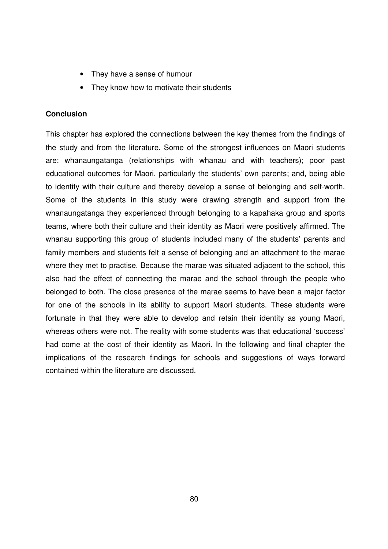- They have a sense of humour
- They know how to motivate their students

## **Conclusion**

This chapter has explored the connections between the key themes from the findings of the study and from the literature. Some of the strongest influences on Maori students are: whanaungatanga (relationships with whanau and with teachers); poor past educational outcomes for Maori, particularly the students' own parents; and, being able to identify with their culture and thereby develop a sense of belonging and self-worth. Some of the students in this study were drawing strength and support from the whanaungatanga they experienced through belonging to a kapahaka group and sports teams, where both their culture and their identity as Maori were positively affirmed. The whanau supporting this group of students included many of the students' parents and family members and students felt a sense of belonging and an attachment to the marae where they met to practise. Because the marae was situated adjacent to the school, this also had the effect of connecting the marae and the school through the people who belonged to both. The close presence of the marae seems to have been a major factor for one of the schools in its ability to support Maori students. These students were fortunate in that they were able to develop and retain their identity as young Maori, whereas others were not. The reality with some students was that educational 'success' had come at the cost of their identity as Maori. In the following and final chapter the implications of the research findings for schools and suggestions of ways forward contained within the literature are discussed.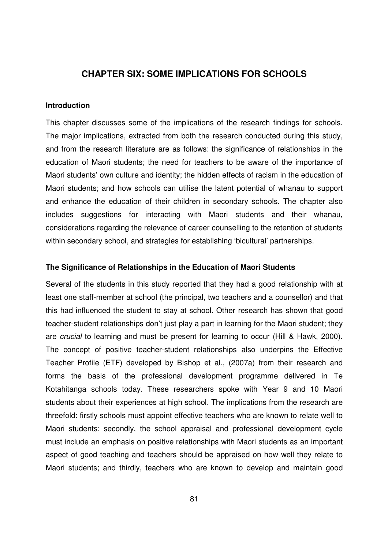# **CHAPTER SIX: SOME IMPLICATIONS FOR SCHOOLS**

## **Introduction**

This chapter discusses some of the implications of the research findings for schools. The major implications, extracted from both the research conducted during this study, and from the research literature are as follows: the significance of relationships in the education of Maori students; the need for teachers to be aware of the importance of Maori students' own culture and identity; the hidden effects of racism in the education of Maori students; and how schools can utilise the latent potential of whanau to support and enhance the education of their children in secondary schools. The chapter also includes suggestions for interacting with Maori students and their whanau, considerations regarding the relevance of career counselling to the retention of students within secondary school, and strategies for establishing 'bicultural' partnerships.

#### **The Significance of Relationships in the Education of Maori Students**

Several of the students in this study reported that they had a good relationship with at least one staff-member at school (the principal, two teachers and a counsellor) and that this had influenced the student to stay at school. Other research has shown that good teacher-student relationships don't just play a part in learning for the Maori student; they are crucial to learning and must be present for learning to occur (Hill & Hawk, 2000). The concept of positive teacher-student relationships also underpins the Effective Teacher Profile (ETF) developed by Bishop et al., (2007a) from their research and forms the basis of the professional development programme delivered in Te Kotahitanga schools today. These researchers spoke with Year 9 and 10 Maori students about their experiences at high school. The implications from the research are threefold: firstly schools must appoint effective teachers who are known to relate well to Maori students; secondly, the school appraisal and professional development cycle must include an emphasis on positive relationships with Maori students as an important aspect of good teaching and teachers should be appraised on how well they relate to Maori students; and thirdly, teachers who are known to develop and maintain good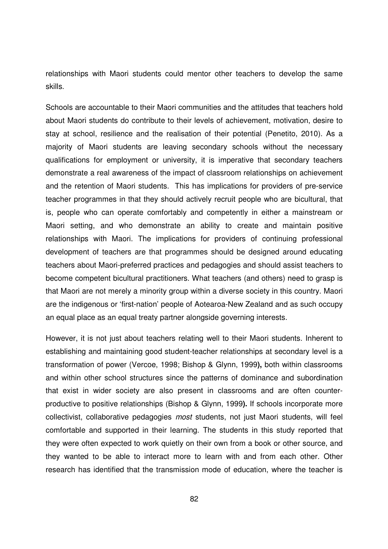relationships with Maori students could mentor other teachers to develop the same skills.

Schools are accountable to their Maori communities and the attitudes that teachers hold about Maori students do contribute to their levels of achievement, motivation, desire to stay at school, resilience and the realisation of their potential (Penetito, 2010). As a majority of Maori students are leaving secondary schools without the necessary qualifications for employment or university, it is imperative that secondary teachers demonstrate a real awareness of the impact of classroom relationships on achievement and the retention of Maori students. This has implications for providers of pre-service teacher programmes in that they should actively recruit people who are bicultural, that is, people who can operate comfortably and competently in either a mainstream or Maori setting, and who demonstrate an ability to create and maintain positive relationships with Maori. The implications for providers of continuing professional development of teachers are that programmes should be designed around educating teachers about Maori-preferred practices and pedagogies and should assist teachers to become competent bicultural practitioners. What teachers (and others) need to grasp is that Maori are not merely a minority group within a diverse society in this country. Maori are the indigenous or 'first-nation' people of Aotearoa-New Zealand and as such occupy an equal place as an equal treaty partner alongside governing interests.

However, it is not just about teachers relating well to their Maori students. Inherent to establishing and maintaining good student-teacher relationships at secondary level is a transformation of power (Vercoe, 1998; Bishop & Glynn, 1999**),** both within classrooms and within other school structures since the patterns of dominance and subordination that exist in wider society are also present in classrooms and are often counterproductive to positive relationships (Bishop & Glynn, 1999**).** If schools incorporate more collectivist, collaborative pedagogies most students, not just Maori students, will feel comfortable and supported in their learning. The students in this study reported that they were often expected to work quietly on their own from a book or other source, and they wanted to be able to interact more to learn with and from each other. Other research has identified that the transmission mode of education, where the teacher is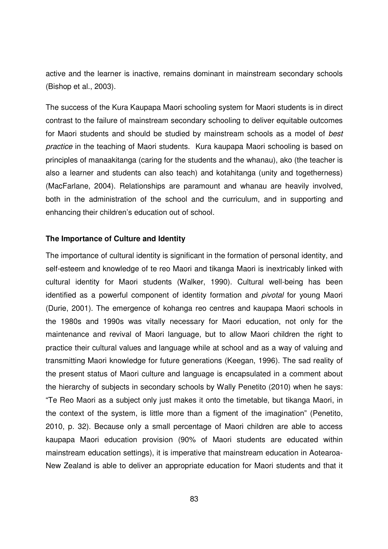active and the learner is inactive, remains dominant in mainstream secondary schools (Bishop et al., 2003).

The success of the Kura Kaupapa Maori schooling system for Maori students is in direct contrast to the failure of mainstream secondary schooling to deliver equitable outcomes for Maori students and should be studied by mainstream schools as a model of best practice in the teaching of Maori students. Kura kaupapa Maori schooling is based on principles of manaakitanga (caring for the students and the whanau), ako (the teacher is also a learner and students can also teach) and kotahitanga (unity and togetherness) (MacFarlane, 2004). Relationships are paramount and whanau are heavily involved, both in the administration of the school and the curriculum, and in supporting and enhancing their children's education out of school.

## **The Importance of Culture and Identity**

The importance of cultural identity is significant in the formation of personal identity, and self-esteem and knowledge of te reo Maori and tikanga Maori is inextricably linked with cultural identity for Maori students (Walker, 1990). Cultural well-being has been identified as a powerful component of identity formation and pivotal for young Maori (Durie, 2001). The emergence of kohanga reo centres and kaupapa Maori schools in the 1980s and 1990s was vitally necessary for Maori education, not only for the maintenance and revival of Maori language, but to allow Maori children the right to practice their cultural values and language while at school and as a way of valuing and transmitting Maori knowledge for future generations (Keegan, 1996). The sad reality of the present status of Maori culture and language is encapsulated in a comment about the hierarchy of subjects in secondary schools by Wally Penetito (2010) when he says: "Te Reo Maori as a subject only just makes it onto the timetable, but tikanga Maori, in the context of the system, is little more than a figment of the imagination" (Penetito, 2010, p. 32). Because only a small percentage of Maori children are able to access kaupapa Maori education provision (90% of Maori students are educated within mainstream education settings), it is imperative that mainstream education in Aotearoa-New Zealand is able to deliver an appropriate education for Maori students and that it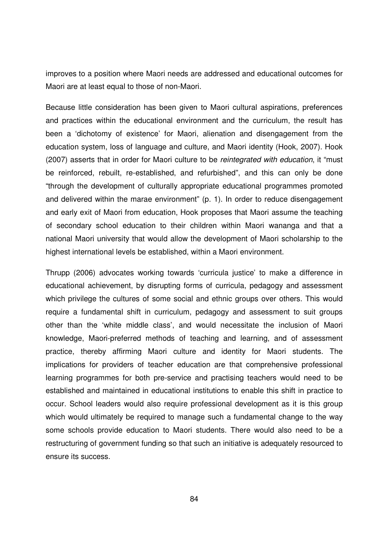improves to a position where Maori needs are addressed and educational outcomes for Maori are at least equal to those of non-Maori.

Because little consideration has been given to Maori cultural aspirations, preferences and practices within the educational environment and the curriculum, the result has been a 'dichotomy of existence' for Maori, alienation and disengagement from the education system, loss of language and culture, and Maori identity (Hook, 2007). Hook (2007) asserts that in order for Maori culture to be reintegrated with education, it "must be reinforced, rebuilt, re-established, and refurbished", and this can only be done "through the development of culturally appropriate educational programmes promoted and delivered within the marae environment" (p. 1). In order to reduce disengagement and early exit of Maori from education, Hook proposes that Maori assume the teaching of secondary school education to their children within Maori wananga and that a national Maori university that would allow the development of Maori scholarship to the highest international levels be established, within a Maori environment.

Thrupp (2006) advocates working towards 'curricula justice' to make a difference in educational achievement, by disrupting forms of curricula, pedagogy and assessment which privilege the cultures of some social and ethnic groups over others. This would require a fundamental shift in curriculum, pedagogy and assessment to suit groups other than the 'white middle class', and would necessitate the inclusion of Maori knowledge, Maori-preferred methods of teaching and learning, and of assessment practice, thereby affirming Maori culture and identity for Maori students. The implications for providers of teacher education are that comprehensive professional learning programmes for both pre-service and practising teachers would need to be established and maintained in educational institutions to enable this shift in practice to occur. School leaders would also require professional development as it is this group which would ultimately be required to manage such a fundamental change to the way some schools provide education to Maori students. There would also need to be a restructuring of government funding so that such an initiative is adequately resourced to ensure its success.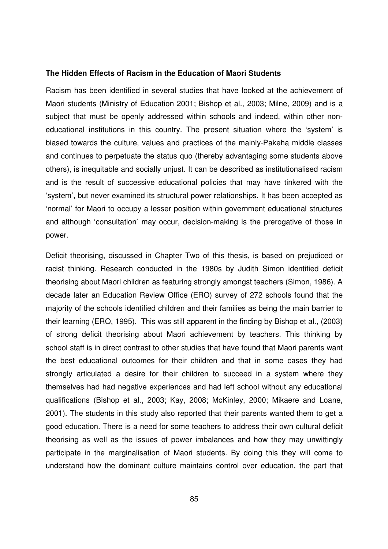#### **The Hidden Effects of Racism in the Education of Maori Students**

Racism has been identified in several studies that have looked at the achievement of Maori students (Ministry of Education 2001; Bishop et al., 2003; Milne, 2009) and is a subject that must be openly addressed within schools and indeed, within other noneducational institutions in this country. The present situation where the 'system' is biased towards the culture, values and practices of the mainly-Pakeha middle classes and continues to perpetuate the status quo (thereby advantaging some students above others), is inequitable and socially unjust. It can be described as institutionalised racism and is the result of successive educational policies that may have tinkered with the 'system', but never examined its structural power relationships. It has been accepted as 'normal' for Maori to occupy a lesser position within government educational structures and although 'consultation' may occur, decision-making is the prerogative of those in power.

Deficit theorising, discussed in Chapter Two of this thesis, is based on prejudiced or racist thinking. Research conducted in the 1980s by Judith Simon identified deficit theorising about Maori children as featuring strongly amongst teachers (Simon, 1986). A decade later an Education Review Office (ERO) survey of 272 schools found that the majority of the schools identified children and their families as being the main barrier to their learning (ERO, 1995). This was still apparent in the finding by Bishop et al., (2003) of strong deficit theorising about Maori achievement by teachers. This thinking by school staff is in direct contrast to other studies that have found that Maori parents want the best educational outcomes for their children and that in some cases they had strongly articulated a desire for their children to succeed in a system where they themselves had had negative experiences and had left school without any educational qualifications (Bishop et al., 2003; Kay, 2008; McKinley, 2000; Mikaere and Loane, 2001). The students in this study also reported that their parents wanted them to get a good education. There is a need for some teachers to address their own cultural deficit theorising as well as the issues of power imbalances and how they may unwittingly participate in the marginalisation of Maori students. By doing this they will come to understand how the dominant culture maintains control over education, the part that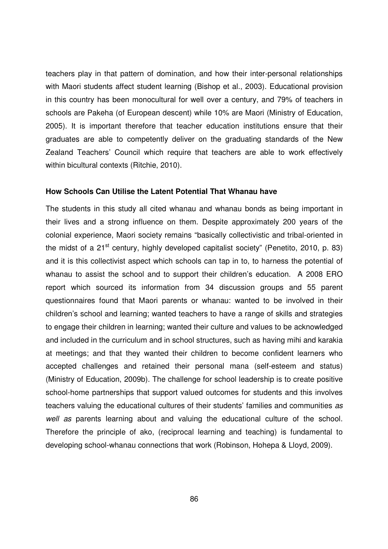teachers play in that pattern of domination, and how their inter-personal relationships with Maori students affect student learning (Bishop et al., 2003). Educational provision in this country has been monocultural for well over a century, and 79% of teachers in schools are Pakeha (of European descent) while 10% are Maori (Ministry of Education, 2005). It is important therefore that teacher education institutions ensure that their graduates are able to competently deliver on the graduating standards of the New Zealand Teachers' Council which require that teachers are able to work effectively within bicultural contexts (Ritchie, 2010).

### **How Schools Can Utilise the Latent Potential That Whanau have**

The students in this study all cited whanau and whanau bonds as being important in their lives and a strong influence on them. Despite approximately 200 years of the colonial experience, Maori society remains "basically collectivistic and tribal-oriented in the midst of a  $21<sup>st</sup>$  century, highly developed capitalist society" (Penetito, 2010, p. 83) and it is this collectivist aspect which schools can tap in to, to harness the potential of whanau to assist the school and to support their children's education. A 2008 ERO report which sourced its information from 34 discussion groups and 55 parent questionnaires found that Maori parents or whanau: wanted to be involved in their children's school and learning; wanted teachers to have a range of skills and strategies to engage their children in learning; wanted their culture and values to be acknowledged and included in the curriculum and in school structures, such as having mihi and karakia at meetings; and that they wanted their children to become confident learners who accepted challenges and retained their personal mana (self-esteem and status) (Ministry of Education, 2009b). The challenge for school leadership is to create positive school-home partnerships that support valued outcomes for students and this involves teachers valuing the educational cultures of their students' families and communities as well as parents learning about and valuing the educational culture of the school. Therefore the principle of ako, (reciprocal learning and teaching) is fundamental to developing school-whanau connections that work (Robinson, Hohepa & Lloyd, 2009).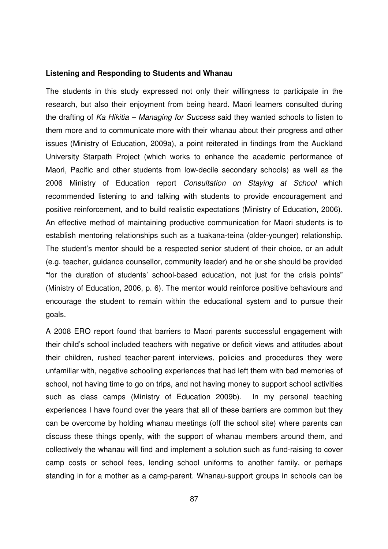#### **Listening and Responding to Students and Whanau**

The students in this study expressed not only their willingness to participate in the research, but also their enjoyment from being heard. Maori learners consulted during the drafting of Ka Hikitia – Managing for Success said they wanted schools to listen to them more and to communicate more with their whanau about their progress and other issues (Ministry of Education, 2009a), a point reiterated in findings from the Auckland University Starpath Project (which works to enhance the academic performance of Maori, Pacific and other students from low-decile secondary schools) as well as the 2006 Ministry of Education report Consultation on Staying at School which recommended listening to and talking with students to provide encouragement and positive reinforcement, and to build realistic expectations (Ministry of Education, 2006). An effective method of maintaining productive communication for Maori students is to establish mentoring relationships such as a tuakana-teina (older-younger) relationship. The student's mentor should be a respected senior student of their choice, or an adult (e.g. teacher, guidance counsellor, community leader) and he or she should be provided "for the duration of students' school-based education, not just for the crisis points" (Ministry of Education, 2006, p. 6). The mentor would reinforce positive behaviours and encourage the student to remain within the educational system and to pursue their goals.

A 2008 ERO report found that barriers to Maori parents successful engagement with their child's school included teachers with negative or deficit views and attitudes about their children, rushed teacher-parent interviews, policies and procedures they were unfamiliar with, negative schooling experiences that had left them with bad memories of school, not having time to go on trips, and not having money to support school activities such as class camps (Ministry of Education 2009b). In my personal teaching experiences I have found over the years that all of these barriers are common but they can be overcome by holding whanau meetings (off the school site) where parents can discuss these things openly, with the support of whanau members around them, and collectively the whanau will find and implement a solution such as fund-raising to cover camp costs or school fees, lending school uniforms to another family, or perhaps standing in for a mother as a camp-parent. Whanau-support groups in schools can be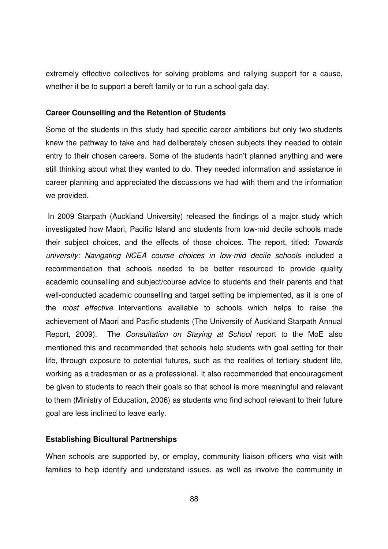extremely effective collectives for solving problems and rallying support for a cause, whether it be to support a bereft family or to run a school gala day.

#### **Career Counselling and the Retention of Students**

Some of the students in this study had specific career ambitions but only two students knew the pathway to take and had deliberately chosen subjects they needed to obtain entry to their chosen careers. Some of the students hadn't planned anything and were still thinking about what they wanted to do. They needed information and assistance in career planning and appreciated the discussions we had with them and the information we provided.

 In 2009 Starpath (Auckland University) released the findings of a major study which investigated how Maori, Pacific Island and students from low-mid decile schools made their subject choices, and the effects of those choices. The report, titled: Towards university: Navigating NCEA course choices in low-mid decile schools included a recommendation that schools needed to be better resourced to provide quality academic counselling and subject/course advice to students and their parents and that well-conducted academic counselling and target setting be implemented, as it is one of the most effective interventions available to schools which helps to raise the achievement of Maori and Pacific students (The University of Auckland Starpath Annual Report, 2009). The Consultation on Staying at School report to the MoE also mentioned this and recommended that schools help students with goal setting for their life, through exposure to potential futures, such as the realities of tertiary student life, working as a tradesman or as a professional. It also recommended that encouragement be given to students to reach their goals so that school is more meaningful and relevant to them (Ministry of Education, 2006) as students who find school relevant to their future goal are less inclined to leave early.

## **Establishing Bicultural Partnerships**

When schools are supported by, or employ, community liaison officers who visit with families to help identify and understand issues, as well as involve the community in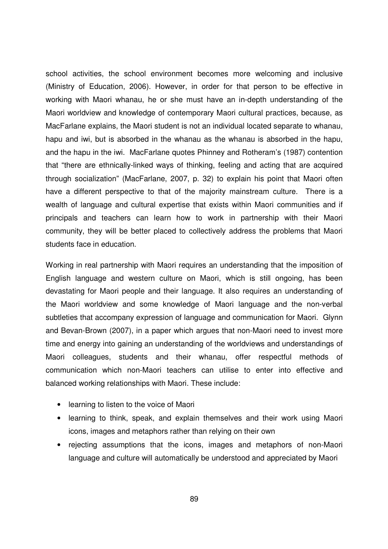school activities, the school environment becomes more welcoming and inclusive (Ministry of Education, 2006). However, in order for that person to be effective in working with Maori whanau, he or she must have an in-depth understanding of the Maori worldview and knowledge of contemporary Maori cultural practices, because, as MacFarlane explains, the Maori student is not an individual located separate to whanau, hapu and iwi, but is absorbed in the whanau as the whanau is absorbed in the hapu, and the hapu in the iwi. MacFarlane quotes Phinney and Rotheram's (1987) contention that "there are ethnically-linked ways of thinking, feeling and acting that are acquired through socialization" (MacFarlane, 2007, p. 32) to explain his point that Maori often have a different perspective to that of the majority mainstream culture. There is a wealth of language and cultural expertise that exists within Maori communities and if principals and teachers can learn how to work in partnership with their Maori community, they will be better placed to collectively address the problems that Maori students face in education.

Working in real partnership with Maori requires an understanding that the imposition of English language and western culture on Maori, which is still ongoing, has been devastating for Maori people and their language. It also requires an understanding of the Maori worldview and some knowledge of Maori language and the non-verbal subtleties that accompany expression of language and communication for Maori. Glynn and Bevan-Brown (2007), in a paper which argues that non-Maori need to invest more time and energy into gaining an understanding of the worldviews and understandings of Maori colleagues, students and their whanau, offer respectful methods of communication which non-Maori teachers can utilise to enter into effective and balanced working relationships with Maori. These include:

- learning to listen to the voice of Maori
- learning to think, speak, and explain themselves and their work using Maori icons, images and metaphors rather than relying on their own
- rejecting assumptions that the icons, images and metaphors of non-Maori language and culture will automatically be understood and appreciated by Maori

89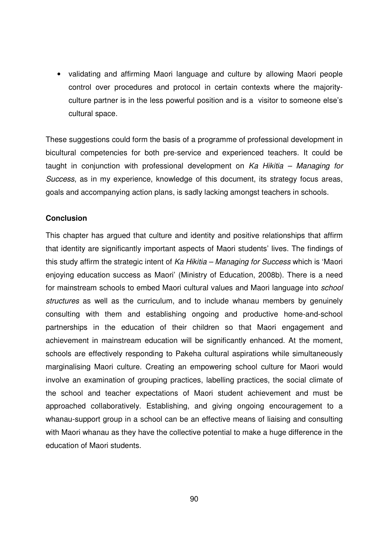• validating and affirming Maori language and culture by allowing Maori people control over procedures and protocol in certain contexts where the majorityculture partner is in the less powerful position and is a visitor to someone else's cultural space.

These suggestions could form the basis of a programme of professional development in bicultural competencies for both pre-service and experienced teachers. It could be taught in conjunction with professional development on  $Ka$  Hikitia – Managing for Success, as in my experience, knowledge of this document, its strategy focus areas, goals and accompanying action plans, is sadly lacking amongst teachers in schools.

## **Conclusion**

This chapter has argued that culture and identity and positive relationships that affirm that identity are significantly important aspects of Maori students' lives. The findings of this study affirm the strategic intent of Ka Hikitia – Managing for Success which is 'Maori enjoying education success as Maori' (Ministry of Education, 2008b). There is a need for mainstream schools to embed Maori cultural values and Maori language into school structures as well as the curriculum, and to include whanau members by genuinely consulting with them and establishing ongoing and productive home-and-school partnerships in the education of their children so that Maori engagement and achievement in mainstream education will be significantly enhanced. At the moment, schools are effectively responding to Pakeha cultural aspirations while simultaneously marginalising Maori culture. Creating an empowering school culture for Maori would involve an examination of grouping practices, labelling practices, the social climate of the school and teacher expectations of Maori student achievement and must be approached collaboratively. Establishing, and giving ongoing encouragement to a whanau-support group in a school can be an effective means of liaising and consulting with Maori whanau as they have the collective potential to make a huge difference in the education of Maori students.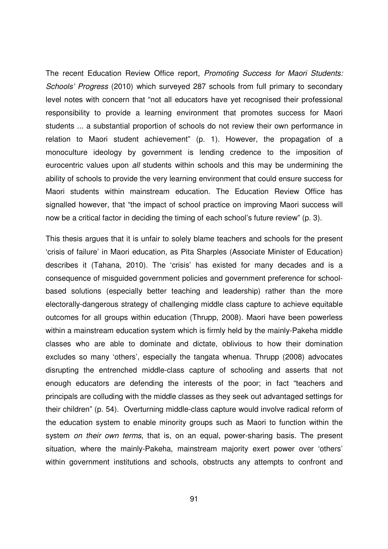The recent Education Review Office report, Promoting Success for Maori Students: Schools' Progress (2010) which surveyed 287 schools from full primary to secondary level notes with concern that "not all educators have yet recognised their professional responsibility to provide a learning environment that promotes success for Maori students ... a substantial proportion of schools do not review their own performance in relation to Maori student achievement" (p. 1). However, the propagation of a monoculture ideology by government is lending credence to the imposition of eurocentric values upon all students within schools and this may be undermining the ability of schools to provide the very learning environment that could ensure success for Maori students within mainstream education. The Education Review Office has signalled however, that "the impact of school practice on improving Maori success will now be a critical factor in deciding the timing of each school's future review" (p. 3).

This thesis argues that it is unfair to solely blame teachers and schools for the present 'crisis of failure' in Maori education, as Pita Sharples (Associate Minister of Education) describes it (Tahana, 2010). The 'crisis' has existed for many decades and is a consequence of misguided government policies and government preference for schoolbased solutions (especially better teaching and leadership) rather than the more electorally-dangerous strategy of challenging middle class capture to achieve equitable outcomes for all groups within education (Thrupp, 2008). Maori have been powerless within a mainstream education system which is firmly held by the mainly-Pakeha middle classes who are able to dominate and dictate, oblivious to how their domination excludes so many 'others', especially the tangata whenua. Thrupp (2008) advocates disrupting the entrenched middle-class capture of schooling and asserts that not enough educators are defending the interests of the poor; in fact "teachers and principals are colluding with the middle classes as they seek out advantaged settings for their children" (p. 54). Overturning middle-class capture would involve radical reform of the education system to enable minority groups such as Maori to function within the system on their own terms, that is, on an equal, power-sharing basis. The present situation, where the mainly-Pakeha, mainstream majority exert power over 'others' within government institutions and schools, obstructs any attempts to confront and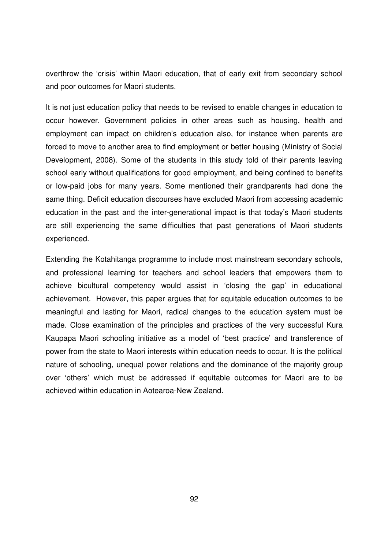overthrow the 'crisis' within Maori education, that of early exit from secondary school and poor outcomes for Maori students.

It is not just education policy that needs to be revised to enable changes in education to occur however. Government policies in other areas such as housing, health and employment can impact on children's education also, for instance when parents are forced to move to another area to find employment or better housing (Ministry of Social Development, 2008). Some of the students in this study told of their parents leaving school early without qualifications for good employment, and being confined to benefits or low-paid jobs for many years. Some mentioned their grandparents had done the same thing. Deficit education discourses have excluded Maori from accessing academic education in the past and the inter-generational impact is that today's Maori students are still experiencing the same difficulties that past generations of Maori students experienced.

Extending the Kotahitanga programme to include most mainstream secondary schools, and professional learning for teachers and school leaders that empowers them to achieve bicultural competency would assist in 'closing the gap' in educational achievement. However, this paper argues that for equitable education outcomes to be meaningful and lasting for Maori, radical changes to the education system must be made. Close examination of the principles and practices of the very successful Kura Kaupapa Maori schooling initiative as a model of 'best practice' and transference of power from the state to Maori interests within education needs to occur. It is the political nature of schooling, unequal power relations and the dominance of the majority group over 'others' which must be addressed if equitable outcomes for Maori are to be achieved within education in Aotearoa-New Zealand.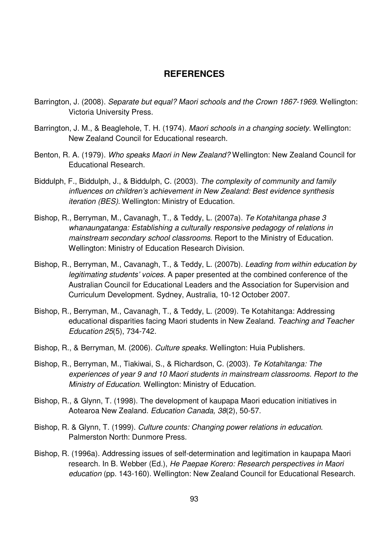# **REFERENCES**

- Barrington, J. (2008). Separate but equal? Maori schools and the Crown 1867-1969. Wellington: Victoria University Press.
- Barrington, J. M., & Beaglehole, T. H. (1974). Maori schools in a changing society. Wellington: New Zealand Council for Educational research.
- Benton, R. A. (1979). Who speaks Maori in New Zealand? Wellington: New Zealand Council for Educational Research.
- Biddulph, F., Biddulph, J., & Biddulph, C. (2003). The complexity of community and family influences on children's achievement in New Zealand: Best evidence synthesis iteration (BES). Wellington: Ministry of Education.
- Bishop, R., Berryman, M., Cavanagh, T., & Teddy, L. (2007a). Te Kotahitanga phase 3 whanaungatanga: Establishing a culturally responsive pedagogy of relations in mainstream secondary school classrooms. Report to the Ministry of Education. Wellington: Ministry of Education Research Division.
- Bishop, R., Berryman, M., Cavanagh, T., & Teddy, L. (2007b). Leading from within education by legitimating students' voices. A paper presented at the combined conference of the Australian Council for Educational Leaders and the Association for Supervision and Curriculum Development. Sydney, Australia, 10-12 October 2007.
- Bishop, R., Berryman, M., Cavanagh, T., & Teddy, L. (2009). Te Kotahitanga: Addressing educational disparities facing Maori students in New Zealand. Teaching and Teacher Education 25(5), 734-742.
- Bishop, R., & Berryman, M. (2006). Culture speaks. Wellington: Huia Publishers.
- Bishop, R., Berryman, M., Tiakiwai, S., & Richardson, C. (2003). Te Kotahitanga: The experiences of year 9 and 10 Maori students in mainstream classrooms. Report to the Ministry of Education. Wellington: Ministry of Education.
- Bishop, R., & Glynn, T. (1998). The development of kaupapa Maori education initiatives in Aotearoa New Zealand. Education Canada, 38(2), 50-57.
- Bishop, R. & Glynn, T. (1999). Culture counts: Changing power relations in education. Palmerston North: Dunmore Press.
- Bishop, R. (1996a). Addressing issues of self-determination and legitimation in kaupapa Maori research. In B. Webber (Ed.), He Paepae Korero: Research perspectives in Maori education (pp. 143-160). Wellington: New Zealand Council for Educational Research.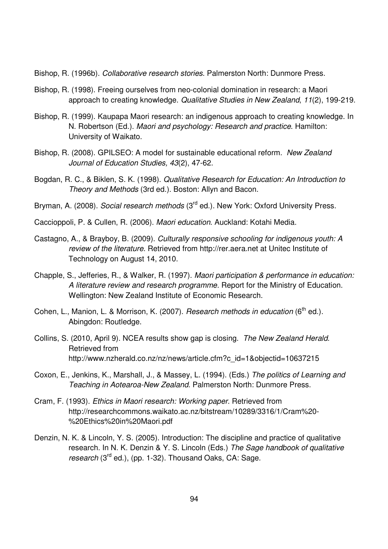Bishop, R. (1996b). Collaborative research stories. Palmerston North: Dunmore Press.

- Bishop, R. (1998). Freeing ourselves from neo-colonial domination in research: a Maori approach to creating knowledge. Qualitative Studies in New Zealand, 11(2), 199-219.
- Bishop, R. (1999). Kaupapa Maori research: an indigenous approach to creating knowledge. In N. Robertson (Ed.). Maori and psychology: Research and practice. Hamilton: University of Waikato.
- Bishop, R. (2008). GPILSEO: A model for sustainable educational reform. New Zealand Journal of Education Studies, 43(2), 47-62.
- Bogdan, R. C., & Biklen, S. K. (1998). Qualitative Research for Education: An Introduction to Theory and Methods (3rd ed.). Boston: Allyn and Bacon.
- Bryman, A. (2008). Social research methods (3<sup>rd</sup> ed.). New York: Oxford University Press.

Caccioppoli, P. & Cullen, R. (2006). Maori education. Auckland: Kotahi Media.

- Castagno, A., & Brayboy, B. (2009). Culturally responsive schooling for indigenous youth: A review of the literature. Retrieved from http://rer.aera.net at Unitec Institute of Technology on August 14, 2010.
- Chapple, S., Jefferies, R., & Walker, R. (1997). Maori participation & performance in education: A literature review and research programme. Report for the Ministry of Education. Wellington: New Zealand Institute of Economic Research.
- Cohen, L., Manion, L. & Morrison, K. (2007). Research methods in education (6<sup>th</sup> ed.). Abingdon: Routledge.
- Collins, S. (2010, April 9). NCEA results show gap is closing. The New Zealand Herald. Retrieved from http://www.nzherald.co.nz/nz/news/article.cfm?c\_id=1&objectid=10637215
- Coxon, E., Jenkins, K., Marshall, J., & Massey, L. (1994). (Eds.) The politics of Learning and Teaching in Aotearoa-New Zealand. Palmerston North: Dunmore Press.
- Cram, F. (1993). Ethics in Maori research: Working paper. Retrieved from http://researchcommons.waikato.ac.nz/bitstream/10289/3316/1/Cram%20- %20Ethics%20in%20Maori.pdf
- Denzin, N. K. & Lincoln, Y. S. (2005). Introduction: The discipline and practice of qualitative research. In N. K. Denzin & Y. S. Lincoln (Eds.) The Sage handbook of qualitative research (3<sup>rd</sup> ed.), (pp. 1-32). Thousand Oaks, CA: Sage.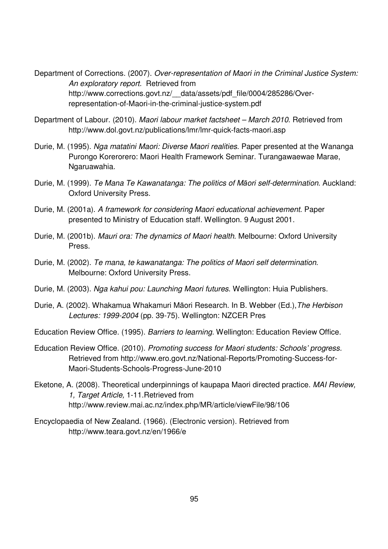Department of Corrections. (2007). Over-representation of Maori in the Criminal Justice System: An exploratory report. Retrieved from http://www.corrections.govt.nz/ data/assets/pdf file/0004/285286/Overrepresentation-of-Maori-in-the-criminal-justice-system.pdf

- Department of Labour. (2010). Maori labour market factsheet March 2010. Retrieved from http://www.dol.govt.nz/publications/lmr/lmr-quick-facts-maori.asp
- Durie, M. (1995). Nga matatini Maori: Diverse Maori realities. Paper presented at the Wananga Purongo Korerorero: Maori Health Framework Seminar. Turangawaewae Marae, Ngaruawahia.
- Durie, M. (1999). Te Mana Te Kawanatanga: The politics of Māori self-determination. Auckland: Oxford University Press.
- Durie, M. (2001a). A framework for considering Maori educational achievement. Paper presented to Ministry of Education staff. Wellington. 9 August 2001.
- Durie, M. (2001b). Mauri ora: The dynamics of Maori health. Melbourne: Oxford University Press.
- Durie, M. (2002). Te mana, te kawanatanga: The politics of Maori self determination. Melbourne: Oxford University Press.
- Durie, M. (2003). Nga kahui pou: Launching Maori futures. Wellington: Huia Publishers.
- Durie, A. (2002). Whakamua Whakamuri Māori Research. In B. Webber (Ed.),The Herbison Lectures: 1999-2004 (pp. 39-75). Wellington: NZCER Pres

Education Review Office. (1995). Barriers to learning. Wellington: Education Review Office.

- Education Review Office. (2010). Promoting success for Maori students: Schools' progress. Retrieved from http://www.ero.govt.nz/National-Reports/Promoting-Success-for-Maori-Students-Schools-Progress-June-2010
- Eketone, A. (2008). Theoretical underpinnings of kaupapa Maori directed practice. MAI Review, 1, Target Article, 1-11.Retrieved from http://www.review.mai.ac.nz/index.php/MR/article/viewFile/98/106
- Encyclopaedia of New Zealand. (1966). (Electronic version). Retrieved from http://www.teara.govt.nz/en/1966/e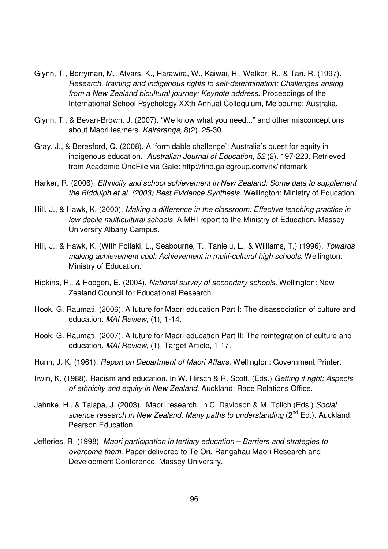- Glynn, T., Berryman, M., Atvars, K., Harawira, W., Kaiwai, H., Walker, R., & Tari, R. (1997). Research, training and indigenous rights to self-determination: Challenges arising from a New Zealand bicultural journey: Keynote address. Proceedings of the International School Psychology XXth Annual Colloquium, Melbourne: Australia.
- Glynn, T., & Bevan-Brown, J. (2007). "We know what you need..." and other misconceptions about Maori learners. Kairaranga, 8(2). 25-30.
- Gray, J., & Beresford, Q. (2008). A 'formidable challenge': Australia's quest for equity in indigenous education. Australian Journal of Education, 52 (2). 197-223. Retrieved from Academic OneFile via Gale: http://find.galegroup.com/itx/infomark
- Harker, R. (2006). Ethnicity and school achievement in New Zealand: Some data to supplement the Biddulph et al. (2003) Best Evidence Synthesis. Wellington: Ministry of Education.
- Hill, J., & Hawk, K. (2000). Making a difference in the classroom: Effective teaching practice in low decile multicultural schools. AIMHI report to the Ministry of Education. Massey University Albany Campus.
- Hill, J., & Hawk, K. (With Foliaki, L., Seabourne, T., Tanielu, L., & Williams, T.) (1996). Towards making achievement cool: Achievement in multi-cultural high schools. Wellington: Ministry of Education.
- Hipkins, R., & Hodgen, E. (2004). National survey of secondary schools. Wellington: New Zealand Council for Educational Research.
- Hook, G. Raumati. (2006). A future for Maori education Part I: The disassociation of culture and education. MAI Review, (1), 1-14.
- Hook, G. Raumati. (2007). A future for Maori education Part II: The reintegration of culture and education. MAI Review, (1), Target Article, 1-17.
- Hunn, J. K. (1961). Report on Department of Maori Affairs. Wellington: Government Printer.
- Irwin, K. (1988). Racism and education. In W. Hirsch & R. Scott. (Eds.) Getting it right: Aspects of ethnicity and equity in New Zealand. Auckland: Race Relations Office.
- Jahnke, H., & Taiapa, J. (2003). Maori research. In C. Davidson & M. Tolich (Eds.) Social science research in New Zealand: Many paths to understanding (2<sup>nd</sup> Ed.). Auckland: Pearson Education.
- Jefferies, R. (1998). Maori participation in tertiary education Barriers and strategies to overcome them. Paper delivered to Te Oru Rangahau Maori Research and Development Conference. Massey University.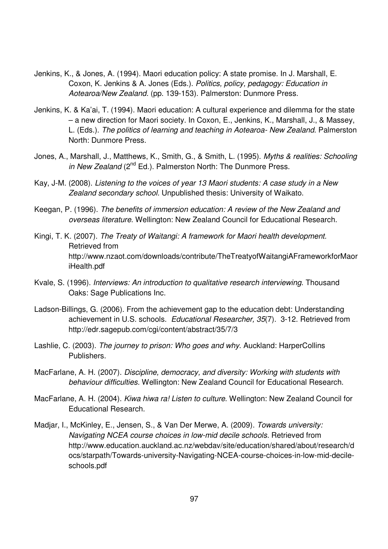- Jenkins, K., & Jones, A. (1994). Maori education policy: A state promise. In J. Marshall, E. Coxon, K. Jenkins & A. Jones (Eds.). Politics, policy, pedagogy: Education in Aotearoa/New Zealand. (pp. 139-153). Palmerston: Dunmore Press.
- Jenkins, K. & Ka'ai, T. (1994). Maori education: A cultural experience and dilemma for the state – a new direction for Maori society. In Coxon, E., Jenkins, K., Marshall, J., & Massey, L. (Eds.). The politics of learning and teaching in Aotearoa- New Zealand. Palmerston North: Dunmore Press.
- Jones, A., Marshall, J., Matthews, K., Smith, G., & Smith, L. (1995). Myths & realities: Schooling in New Zealand ( $2^{nd}$  Ed.). Palmerston North: The Dunmore Press.
- Kay, J-M. (2008). Listening to the voices of year 13 Maori students: A case study in a New Zealand secondary school. Unpublished thesis: University of Waikato.
- Keegan, P. (1996). The benefits of immersion education: A review of the New Zealand and overseas literature. Wellington: New Zealand Council for Educational Research.
- Kingi, T. K. (2007). The Treaty of Waitangi: A framework for Maori health development. Retrieved from http://www.nzaot.com/downloads/contribute/TheTreatyofWaitangiAFrameworkforMaor iHealth.pdf
- Kvale, S. (1996). Interviews: An introduction to qualitative research interviewing. Thousand Oaks: Sage Publications Inc.
- Ladson-Billings, G. (2006). From the achievement gap to the education debt: Understanding achievement in U.S. schools. Educational Researcher, 35(7). 3-12. Retrieved from http://edr.sagepub.com/cgi/content/abstract/35/7/3
- Lashlie, C. (2003). The journey to prison: Who goes and why. Auckland: HarperCollins Publishers.
- MacFarlane, A. H. (2007). Discipline, democracy, and diversity: Working with students with behaviour difficulties. Wellington: New Zealand Council for Educational Research.
- MacFarlane, A. H. (2004). Kiwa hiwa ra! Listen to culture. Wellington: New Zealand Council for Educational Research.
- Madjar, I., McKinley, E., Jensen, S., & Van Der Merwe, A. (2009). Towards university: Navigating NCEA course choices in low-mid decile schools. Retrieved from http://www.education.auckland.ac.nz/webdav/site/education/shared/about/research/d ocs/starpath/Towards-university-Navigating-NCEA-course-choices-in-low-mid-decileschools.pdf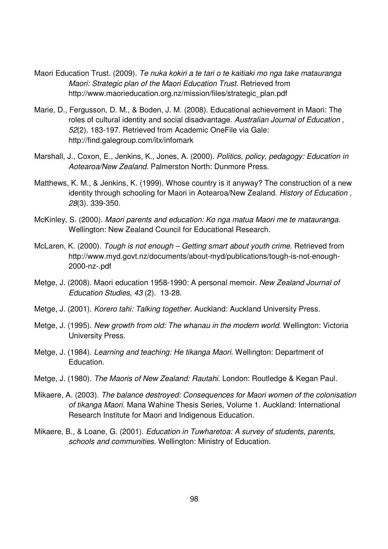- Maori Education Trust. (2009). Te nuka kokiri a te tari o te kaitiaki mo nga take matauranga Maori: Strategic plan of the Maori Education Trust. Retrieved from http://www.maorieducation.org.nz/mission/files/strategic\_plan.pdf
- Marie, D., Fergusson, D. M., & Boden, J. M. (2008). Educational achievement in Maori: The roles of cultural identity and social disadvantage. Australian Journal of Education , 52(2). 183-197. Retrieved from Academic OneFile via Gale: http://find.galegroup.com/itx/infomark
- Marshall, J., Coxon, E., Jenkins, K., Jones, A. (2000). Politics, policy, pedagogy: Education in Aotearoa/New Zealand. Palmerston North: Dunmore Press.
- Matthews, K. M., & Jenkins, K. (1999). Whose country is it anyway? The construction of a new identity through schooling for Maori in Aotearoa/New Zealand. History of Education, 28(3). 339-350.
- McKinley, S. (2000). Maori parents and education: Ko nga matua Maori me te matauranga. Wellington: New Zealand Council for Educational Research.
- McLaren, K. (2000). Tough is not enough Getting smart about youth crime. Retrieved from http://www.myd.govt.nz/documents/about-myd/publications/tough-is-not-enough-2000-nz-.pdf
- Metge, J. (2008). Maori education 1958-1990: A personal memoir. New Zealand Journal of Education Studies, 43 (2). 13-28.
- Metge, J. (2001). Korero tahi: Talking together. Auckland: Auckland University Press.
- Metge, J. (1995). New growth from old: The whanau in the modern world. Wellington: Victoria University Press.
- Metge, J. (1984). Learning and teaching: He tikanga Maori. Wellington: Department of Education.
- Metge, J. (1980). The Maoris of New Zealand: Rautahi. London: Routledge & Kegan Paul.
- Mikaere, A. (2003). The balance destroyed: Consequences for Maori women of the colonisation of tikanga Maori. Mana Wahine Thesis Series, Volume 1. Auckland: International Research Institute for Maori and Indigenous Education.
- Mikaere, B., & Loane, G. (2001). *Education in Tuwharetoa: A survey of students, parents,* schools and communities. Wellington: Ministry of Education.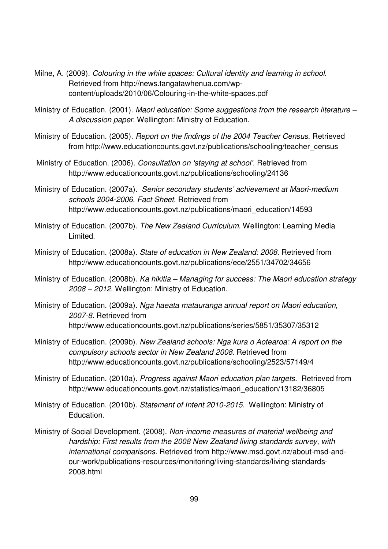- Milne, A. (2009). Colouring in the white spaces: Cultural identity and learning in school. Retrieved from http://news.tangatawhenua.com/wpcontent/uploads/2010/06/Colouring-in-the-white-spaces.pdf
- Ministry of Education. (2001). Maori education: Some suggestions from the research literature A discussion paper. Wellington: Ministry of Education.
- Ministry of Education. (2005). Report on the findings of the 2004 Teacher Census. Retrieved from http://www.educationcounts.govt.nz/publications/schooling/teacher\_census
- Ministry of Education. (2006). Consultation on 'staying at school'. Retrieved from http://www.educationcounts.govt.nz/publications/schooling/24136
- Ministry of Education. (2007a). Senior secondary students' achievement at Maori-medium schools 2004-2006. Fact Sheet. Retrieved from http://www.educationcounts.govt.nz/publications/maori\_education/14593
- Ministry of Education. (2007b). The New Zealand Curriculum. Wellington: Learning Media Limited.
- Ministry of Education. (2008a). State of education in New Zealand: 2008. Retrieved from http://www.educationcounts.govt.nz/publications/ece/2551/34702/34656
- Ministry of Education. (2008b). Ka hikitia Managing for success: The Maori education strategy 2008 – 2012. Wellington: Ministry of Education.
- Ministry of Education. (2009a). Nga haeata matauranga annual report on Maori education, 2007-8. Retrieved from http://www.educationcounts.govt.nz/publications/series/5851/35307/35312
- Ministry of Education. (2009b). New Zealand schools: Nga kura o Aotearoa: A report on the compulsory schools sector in New Zealand 2008. Retrieved from http://www.educationcounts.govt.nz/publications/schooling/2523/57149/4
- Ministry of Education. (2010a). Progress against Maori education plan targets. Retrieved from http://www.educationcounts.govt.nz/statistics/maori\_education/13182/36805
- Ministry of Education. (2010b). Statement of Intent 2010-2015. Wellington: Ministry of Education.
- Ministry of Social Development. (2008). Non-income measures of material wellbeing and hardship: First results from the 2008 New Zealand living standards survey, with international comparisons. Retrieved from http://www.msd.govt.nz/about-msd-andour-work/publications-resources/monitoring/living-standards/living-standards-2008.html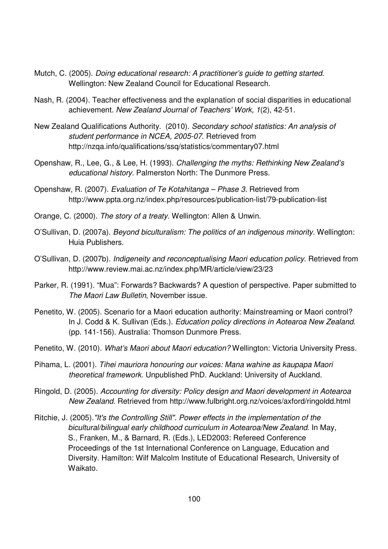- Mutch, C. (2005). Doing educational research: A practitioner's guide to getting started. Wellington: New Zealand Council for Educational Research.
- Nash, R. (2004). Teacher effectiveness and the explanation of social disparities in educational achievement. New Zealand Journal of Teachers' Work, 1(2), 42-51.
- New Zealand Qualifications Authority. (2010). Secondary school statistics: An analysis of student performance in NCEA, 2005-07. Retrieved from http://nzqa.info/qualifications/ssq/statistics/commentary07.html
- Openshaw, R., Lee, G., & Lee, H. (1993). Challenging the myths: Rethinking New Zealand's educational history. Palmerston North: The Dunmore Press.
- Openshaw, R. (2007). Evaluation of Te Kotahitanga Phase 3. Retrieved from http://www.ppta.org.nz/index.php/resources/publication-list/79-publication-list
- Orange, C. (2000). The story of a treaty. Wellington: Allen & Unwin.
- O'Sullivan, D. (2007a). Beyond biculturalism: The politics of an indigenous minority. Wellington: Huia Publishers.
- O'Sullivan, D. (2007b). Indigeneity and reconceptualising Maori education policy. Retrieved from http://www.review.mai.ac.nz/index.php/MR/article/view/23/23
- Parker, R. (1991). "Mua": Forwards? Backwards? A question of perspective. Paper submitted to The Maori Law Bulletin, November issue.
- Penetito, W. (2005). Scenario for a Maori education authority: Mainstreaming or Maori control? In J. Codd & K. Sullivan (Eds.). Education policy directions in Aotearoa New Zealand. (pp. 141-156). Australia: Thomson Dunmore Press.
- Penetito, W. (2010). What's Maori about Maori education? Wellington: Victoria University Press.
- Pihama, L. (2001). Tihei mauriora honouring our voices: Mana wahine as kaupapa Maori theoretical framework. Unpublished PhD. Auckland: University of Auckland.
- Ringold, D. (2005). Accounting for diversity: Policy design and Maori development in Aotearoa New Zealand. Retrieved from http://www.fulbright.org.nz/voices/axford/ringoldd.html
- Ritchie, J. (2005)."It's the Controlling Still". Power effects in the implementation of the bicultural/bilingual early childhood curriculum in Aotearoa/New Zealand. In May, S., Franken, M., & Barnard, R. (Eds.), LED2003: Refereed Conference Proceedings of the 1st International Conference on Language, Education and Diversity. Hamilton: Wilf Malcolm Institute of Educational Research, University of Waikato.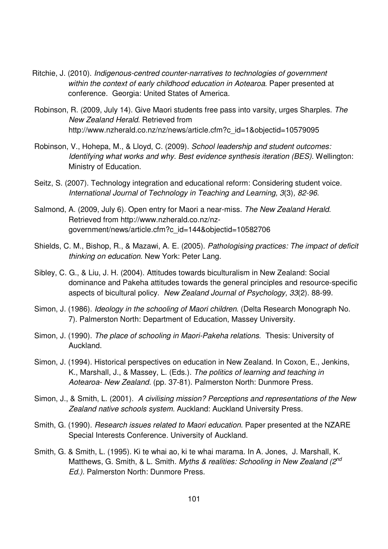- Ritchie, J. (2010). Indigenous-centred counter-narratives to technologies of government within the context of early childhood education in Aotearoa. Paper presented at conference. Georgia: United States of America.
- Robinson, R. (2009, July 14). Give Maori students free pass into varsity, urges Sharples. The New Zealand Herald. Retrieved from http://www.nzherald.co.nz/nz/news/article.cfm?c\_id=1&objectid=10579095
- Robinson, V., Hohepa, M., & Lloyd, C. (2009). School leadership and student outcomes: Identifying what works and why. Best evidence synthesis iteration (BES). Wellington: Ministry of Education.
- Seitz, S. (2007). Technology integration and educational reform: Considering student voice. International Journal of Technology in Teaching and Learning, 3(3), 82-96.
- Salmond, A. (2009, July 6). Open entry for Maori a near-miss. The New Zealand Herald. Retrieved from http://www.nzherald.co.nz/nzgovernment/news/article.cfm?c\_id=144&objectid=10582706
- Shields, C. M., Bishop, R., & Mazawi, A. E. (2005). Pathologising practices: The impact of deficit thinking on education. New York: Peter Lang.
- Sibley, C. G., & Liu, J. H. (2004). Attitudes towards biculturalism in New Zealand: Social dominance and Pakeha attitudes towards the general principles and resource-specific aspects of bicultural policy. New Zealand Journal of Psychology, 33(2). 88-99.
- Simon, J. (1986). Ideology in the schooling of Maori children. (Delta Research Monograph No. 7). Palmerston North: Department of Education, Massey University.
- Simon, J. (1990). The place of schooling in Maori-Pakeha relations. Thesis: University of Auckland.
- Simon, J. (1994). Historical perspectives on education in New Zealand. In Coxon, E., Jenkins, K., Marshall, J., & Massey, L. (Eds.). The politics of learning and teaching in Aotearoa- New Zealand. (pp. 37-81). Palmerston North: Dunmore Press.
- Simon, J., & Smith, L. (2001). A civilising mission? Perceptions and representations of the New Zealand native schools system. Auckland: Auckland University Press.
- Smith, G. (1990). Research issues related to Maori education. Paper presented at the NZARE Special Interests Conference. University of Auckland.
- Smith, G. & Smith, L. (1995). Ki te whai ao, ki te whai marama. In A. Jones, J. Marshall, K. Matthews, G. Smith, & L. Smith. Myths & realities: Schooling in New Zealand ( $2^{nd}$ ) Ed.). Palmerston North: Dunmore Press.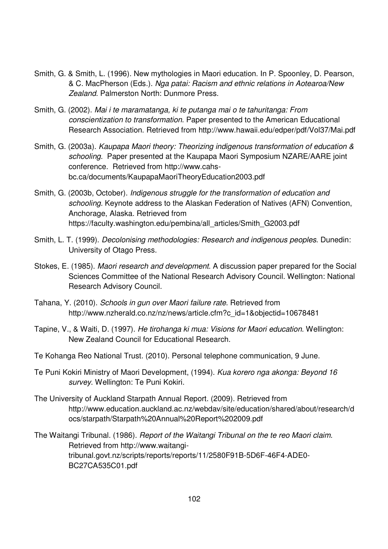- Smith, G. & Smith, L. (1996). New mythologies in Maori education. In P. Spoonley, D. Pearson, & C. MacPherson (Eds.). Nga patai: Racism and ethnic relations in Aotearoa/New Zealand. Palmerston North: Dunmore Press.
- Smith, G. (2002). Mai i te maramatanga, ki te putanga mai o te tahuritanga: From conscientization to transformation. Paper presented to the American Educational Research Association. Retrieved from http://www.hawaii.edu/edper/pdf/Vol37/Mai.pdf
- Smith, G. (2003a). Kaupapa Maori theory: Theorizing indigenous transformation of education & schooling. Paper presented at the Kaupapa Maori Symposium NZARE/AARE joint conference. Retrieved from http://www.cahsbc.ca/documents/KaupapaMaoriTheoryEducation2003.pdf
- Smith, G. (2003b, October). Indigenous struggle for the transformation of education and schooling. Keynote address to the Alaskan Federation of Natives (AFN) Convention, Anchorage, Alaska. Retrieved from https://faculty.washington.edu/pembina/all\_articles/Smith\_G2003.pdf
- Smith, L. T. (1999). Decolonising methodologies: Research and indigenous peoples. Dunedin: University of Otago Press.
- Stokes, E. (1985). Maori research and development. A discussion paper prepared for the Social Sciences Committee of the National Research Advisory Council. Wellington: National Research Advisory Council.
- Tahana, Y. (2010). Schools in gun over Maori failure rate. Retrieved from http://www.nzherald.co.nz/nz/news/article.cfm?c\_id=1&objectid=10678481
- Tapine, V., & Waiti, D. (1997). He tirohanga ki mua: Visions for Maori education. Wellington: New Zealand Council for Educational Research.
- Te Kohanga Reo National Trust. (2010). Personal telephone communication, 9 June.
- Te Puni Kokiri Ministry of Maori Development, (1994). Kua korero nga akonga: Beyond 16 survey. Wellington: Te Puni Kokiri.
- The University of Auckland Starpath Annual Report. (2009). Retrieved from http://www.education.auckland.ac.nz/webdav/site/education/shared/about/research/d ocs/starpath/Starpath%20Annual%20Report%202009.pdf
- The Waitangi Tribunal. (1986). Report of the Waitangi Tribunal on the te reo Maori claim. Retrieved from http://www.waitangitribunal.govt.nz/scripts/reports/reports/11/2580F91B-5D6F-46F4-ADE0- BC27CA535C01.pdf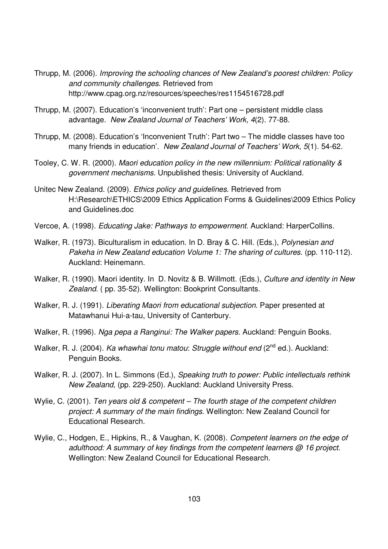- Thrupp, M. (2006). Improving the schooling chances of New Zealand's poorest children: Policy and community challenges. Retrieved from http://www.cpag.org.nz/resources/speeches/res1154516728.pdf
- Thrupp, M. (2007). Education's 'inconvenient truth': Part one persistent middle class advantage. New Zealand Journal of Teachers' Work, 4(2). 77-88.
- Thrupp, M. (2008). Education's 'Inconvenient Truth': Part two The middle classes have too many friends in education'. New Zealand Journal of Teachers' Work, 5(1). 54-62.
- Tooley, C. W. R. (2000). Maori education policy in the new millennium: Political rationality & government mechanisms. Unpublished thesis: University of Auckland.
- Unitec New Zealand. (2009). Ethics policy and guidelines. Retrieved from H:\Research\ETHICS\2009 Ethics Application Forms & Guidelines\2009 Ethics Policy and Guidelines.doc
- Vercoe, A. (1998). Educating Jake: Pathways to empowerment. Auckland: HarperCollins.
- Walker, R. (1973). Biculturalism in education. In D. Bray & C. Hill. (Eds.), Polynesian and Pakeha in New Zealand education Volume 1: The sharing of cultures. (pp. 110-112). Auckland: Heinemann.
- Walker, R. (1990). Maori identity. In D. Novitz & B. Willmott. (Eds.), Culture and identity in New Zealand. (pp. 35-52). Wellington: Bookprint Consultants.
- Walker, R. J. (1991). Liberating Maori from educational subjection. Paper presented at Matawhanui Hui-a-tau, University of Canterbury.
- Walker, R. (1996). Nga pepa a Ranginui: The Walker papers. Auckland: Penguin Books.
- Walker, R. J. (2004). Ka whawhai tonu matou: Struggle without end (2<sup>nd</sup> ed.). Auckland: Penguin Books.
- Walker, R. J. (2007). In L. Simmons (Ed.), Speaking truth to power: Public intellectuals rethink New Zealand, (pp. 229-250). Auckland: Auckland University Press.
- Wylie, C. (2001). Ten years old & competent The fourth stage of the competent children project: A summary of the main findings. Wellington: New Zealand Council for Educational Research.
- Wylie, C., Hodgen, E., Hipkins, R., & Vaughan, K. (2008). Competent learners on the edge of adulthood: A summary of key findings from the competent learners @ 16 project. Wellington: New Zealand Council for Educational Research.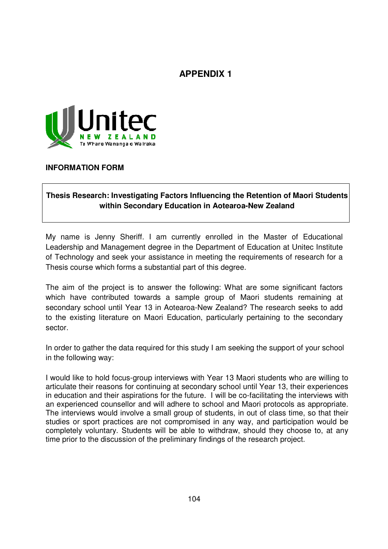# **APPENDIX 1**



**INFORMATION FORM** 

## **Thesis Research: Investigating Factors Influencing the Retention of Maori Students within Secondary Education in Aotearoa-New Zealand**

My name is Jenny Sheriff. I am currently enrolled in the Master of Educational Leadership and Management degree in the Department of Education at Unitec Institute of Technology and seek your assistance in meeting the requirements of research for a Thesis course which forms a substantial part of this degree.

The aim of the project is to answer the following: What are some significant factors which have contributed towards a sample group of Maori students remaining at secondary school until Year 13 in Aotearoa-New Zealand? The research seeks to add to the existing literature on Maori Education, particularly pertaining to the secondary sector.

In order to gather the data required for this study I am seeking the support of your school in the following way:

I would like to hold focus-group interviews with Year 13 Maori students who are willing to articulate their reasons for continuing at secondary school until Year 13, their experiences in education and their aspirations for the future. I will be co-facilitating the interviews with an experienced counsellor and will adhere to school and Maori protocols as appropriate. The interviews would involve a small group of students, in out of class time, so that their studies or sport practices are not compromised in any way, and participation would be completely voluntary. Students will be able to withdraw, should they choose to, at any time prior to the discussion of the preliminary findings of the research project.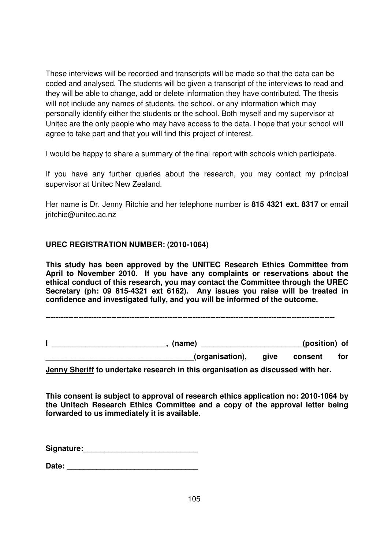These interviews will be recorded and transcripts will be made so that the data can be coded and analysed. The students will be given a transcript of the interviews to read and they will be able to change, add or delete information they have contributed. The thesis will not include any names of students, the school, or any information which may personally identify either the students or the school. Both myself and my supervisor at Unitec are the only people who may have access to the data. I hope that your school will agree to take part and that you will find this project of interest.

I would be happy to share a summary of the final report with schools which participate.

If you have any further queries about the research, you may contact my principal supervisor at Unitec New Zealand.

Her name is Dr. Jenny Ritchie and her telephone number is **815 4321 ext. 8317** or email jritchie@unitec.ac.nz

## **UREC REGISTRATION NUMBER: (2010-1064)**

**This study has been approved by the UNITEC Research Ethics Committee from April to November 2010. If you have any complaints or reservations about the ethical conduct of this research, you may contact the Committee through the UREC Secretary (ph: 09 815-4321 ext 6162). Any issues you raise will be treated in confidence and investigated fully, and you will be informed of the outcome.** 

**------------------------------------------------------------------------------------------------------------------** 

**I \_\_\_\_\_\_\_\_\_\_\_\_\_\_\_\_\_\_\_\_\_\_\_\_\_\_\_, (name) \_\_\_\_\_\_\_\_\_\_\_\_\_\_\_\_\_\_\_\_\_\_\_\_(position) of \_\_\_\_\_\_\_\_\_\_\_\_\_\_\_\_\_\_\_\_\_\_\_\_\_\_\_\_\_\_\_\_\_\_\_(organisation), give consent for** 

**Jenny Sheriff to undertake research in this organisation as discussed with her.** 

**This consent is subject to approval of research ethics application no: 2010-1064 by the Unitech Research Ethics Committee and a copy of the approval letter being forwarded to us immediately it is available.** 

**Signature:\_\_\_\_\_\_\_\_\_\_\_\_\_\_\_\_\_\_\_\_\_\_\_\_\_\_\_** 

**Date:**  $\blacksquare$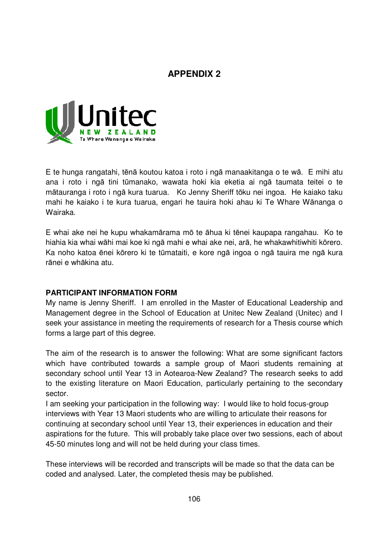## **APPENDIX 2**



E te hunga rangatahi, tēnā koutou katoa i roto i ngā manaakitanga o te wā. E mihi atu ana i roto i ngā tini tūmanako, wawata hoki kia eketia ai ngā taumata teitei o te mātauranga i roto i ngā kura tuarua. Ko Jenny Sheriff tōku nei ingoa. He kaiako taku mahi he kaiako i te kura tuarua, engari he tauira hoki ahau ki Te Whare Wānanga o Wairaka.

E whai ake nei he kupu whakamārama mō te āhua ki tēnei kaupapa rangahau. Ko te hiahia kia whai wāhi mai koe ki ngā mahi e whai ake nei, arā, he whakawhitiwhiti kōrero. Ka noho katoa ēnei kōrero ki te tūmataiti, e kore ngā ingoa o ngā tauira me ngā kura rānei e whākina atu.

#### **PARTICIPANT INFORMATION FORM**

My name is Jenny Sheriff. I am enrolled in the Master of Educational Leadership and Management degree in the School of Education at Unitec New Zealand (Unitec) and I seek your assistance in meeting the requirements of research for a Thesis course which forms a large part of this degree.

The aim of the research is to answer the following: What are some significant factors which have contributed towards a sample group of Maori students remaining at secondary school until Year 13 in Aotearoa-New Zealand? The research seeks to add to the existing literature on Maori Education, particularly pertaining to the secondary sector.

I am seeking your participation in the following way: I would like to hold focus-group interviews with Year 13 Maori students who are willing to articulate their reasons for continuing at secondary school until Year 13, their experiences in education and their aspirations for the future. This will probably take place over two sessions, each of about 45-50 minutes long and will not be held during your class times.

These interviews will be recorded and transcripts will be made so that the data can be coded and analysed. Later, the completed thesis may be published.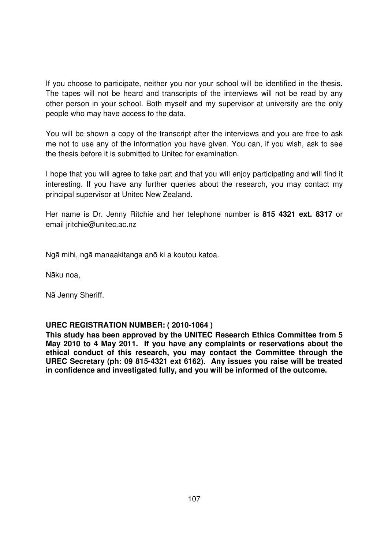If you choose to participate, neither you nor your school will be identified in the thesis. The tapes will not be heard and transcripts of the interviews will not be read by any other person in your school. Both myself and my supervisor at university are the only people who may have access to the data.

You will be shown a copy of the transcript after the interviews and you are free to ask me not to use any of the information you have given. You can, if you wish, ask to see the thesis before it is submitted to Unitec for examination.

I hope that you will agree to take part and that you will enjoy participating and will find it interesting. If you have any further queries about the research, you may contact my principal supervisor at Unitec New Zealand.

Her name is Dr. Jenny Ritchie and her telephone number is **815 4321 ext. 8317** or email jritchie@unitec.ac.nz

Ngā mihi, ngā manaakitanga anō ki a koutou katoa.

Nāku noa,

Nā Jenny Sheriff.

#### **UREC REGISTRATION NUMBER: ( 2010-1064 )**

**This study has been approved by the UNITEC Research Ethics Committee from 5 May 2010 to 4 May 2011. If you have any complaints or reservations about the ethical conduct of this research, you may contact the Committee through the UREC Secretary (ph: 09 815-4321 ext 6162). Any issues you raise will be treated in confidence and investigated fully, and you will be informed of the outcome.**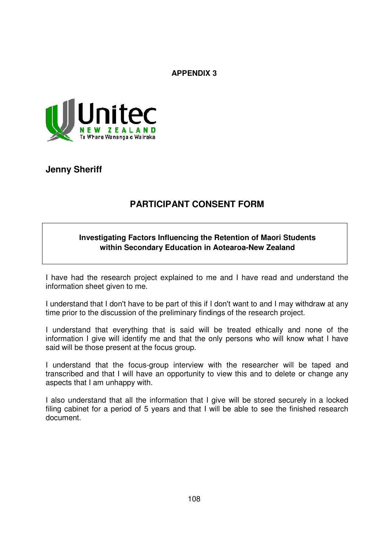**APPENDIX 3** 



**Jenny Sheriff** 

# **PARTICIPANT CONSENT FORM**

### **Investigating Factors Influencing the Retention of Maori Students within Secondary Education in Aotearoa-New Zealand**

I have had the research project explained to me and I have read and understand the information sheet given to me.

I understand that I don't have to be part of this if I don't want to and I may withdraw at any time prior to the discussion of the preliminary findings of the research project.

I understand that everything that is said will be treated ethically and none of the information I give will identify me and that the only persons who will know what I have said will be those present at the focus group.

I understand that the focus-group interview with the researcher will be taped and transcribed and that I will have an opportunity to view this and to delete or change any aspects that I am unhappy with.

I also understand that all the information that I give will be stored securely in a locked filing cabinet for a period of 5 years and that I will be able to see the finished research document.